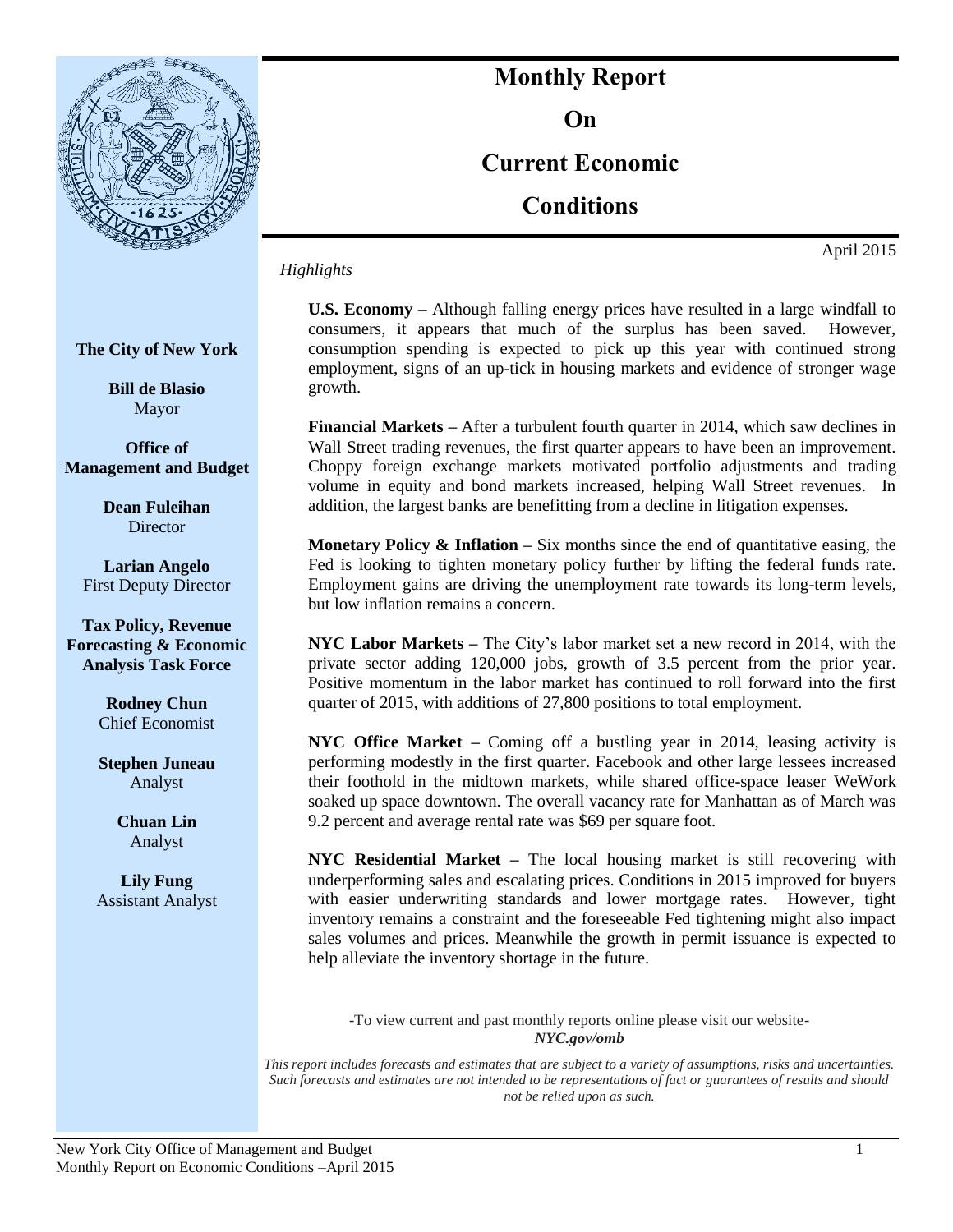

# **Monthly Report On**

# **Current Economic**

**Conditions**

*Highlights*

April 2015

**The City of New York**

**Bill de Blasio** Mayor

**Office of Management and Budget**

> **Dean Fuleihan Director**

**Larian Angelo** First Deputy Director

**Tax Policy, Revenue Forecasting & Economic Analysis Task Force**

> **Rodney Chun**  Chief Economist

> **Stephen Juneau** Analyst

> > **Chuan Lin** Analyst

**Lily Fung** Assistant Analyst **U.S. Economy –** Although falling energy prices have resulted in a large windfall to consumers, it appears that much of the surplus has been saved. However, consumption spending is expected to pick up this year with continued strong employment, signs of an up-tick in housing markets and evidence of stronger wage growth.

**Financial Markets –** After a turbulent fourth quarter in 2014, which saw declines in Wall Street trading revenues, the first quarter appears to have been an improvement. Choppy foreign exchange markets motivated portfolio adjustments and trading volume in equity and bond markets increased, helping Wall Street revenues. In addition, the largest banks are benefitting from a decline in litigation expenses.

**Monetary Policy & Inflation –** Six months since the end of quantitative easing, the Fed is looking to tighten monetary policy further by lifting the federal funds rate. Employment gains are driving the unemployment rate towards its long-term levels, but low inflation remains a concern.

**NYC Labor Markets –** The City's labor market set a new record in 2014, with the private sector adding 120,000 jobs, growth of 3.5 percent from the prior year. Positive momentum in the labor market has continued to roll forward into the first quarter of 2015, with additions of 27,800 positions to total employment.

**NYC Office Market –** Coming off a bustling year in 2014, leasing activity is performing modestly in the first quarter. Facebook and other large lessees increased their foothold in the midtown markets, while shared office-space leaser WeWork soaked up space downtown. The overall vacancy rate for Manhattan as of March was 9.2 percent and average rental rate was \$69 per square foot.

**NYC Residential Market –** The local housing market is still recovering with underperforming sales and escalating prices. Conditions in 2015 improved for buyers with easier underwriting standards and lower mortgage rates. However, tight inventory remains a constraint and the foreseeable Fed tightening might also impact sales volumes and prices. Meanwhile the growth in permit issuance is expected to help alleviate the inventory shortage in the future.

-To view current and past monthly reports online please visit our website-*NYC.gov/omb*

*This report includes forecasts and estimates that are subject to a variety of assumptions, risks and uncertainties. Such forecasts and estimates are not intended to be representations of fact or guarantees of results and should not be relied upon as such.*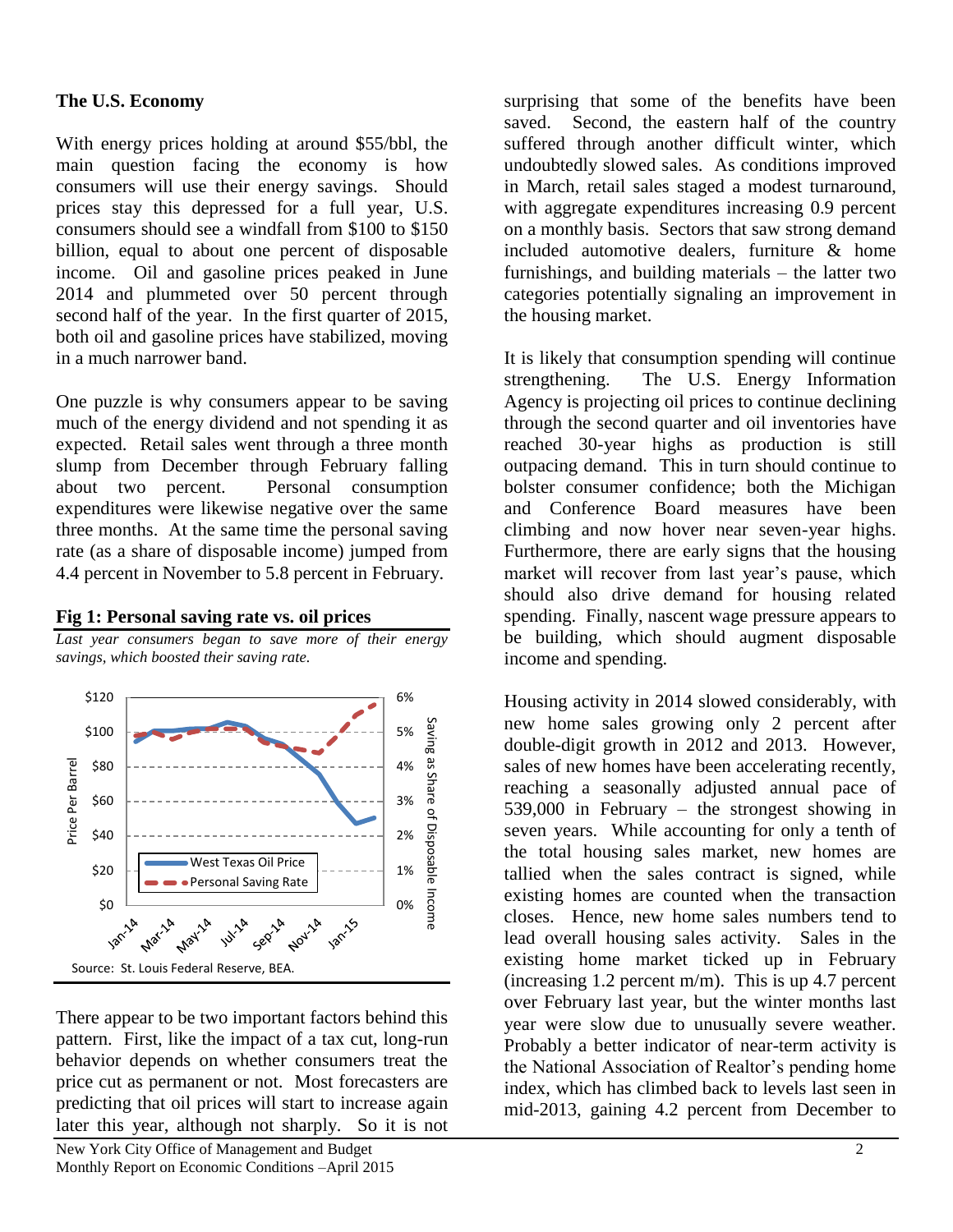#### **The U.S. Economy**

With energy prices holding at around \$55/bbl, the main question facing the economy is how consumers will use their energy savings. Should prices stay this depressed for a full year, U.S. consumers should see a windfall from \$100 to \$150 billion, equal to about one percent of disposable income. Oil and gasoline prices peaked in June 2014 and plummeted over 50 percent through second half of the year. In the first quarter of 2015, both oil and gasoline prices have stabilized, moving in a much narrower band.

One puzzle is why consumers appear to be saving much of the energy dividend and not spending it as expected. Retail sales went through a three month slump from December through February falling about two percent. Personal consumption expenditures were likewise negative over the same three months. At the same time the personal saving rate (as a share of disposable income) jumped from 4.4 percent in November to 5.8 percent in February.



*Last year consumers began to save more of their energy savings, which boosted their saving rate.*

**Fig 1: Personal saving rate vs. oil prices**

There appear to be two important factors behind this pattern. First, like the impact of a tax cut, long-run behavior depends on whether consumers treat the price cut as permanent or not. Most forecasters are predicting that oil prices will start to increase again later this year, although not sharply. So it is not

surprising that some of the benefits have been saved. Second, the eastern half of the country suffered through another difficult winter, which undoubtedly slowed sales. As conditions improved in March, retail sales staged a modest turnaround, with aggregate expenditures increasing 0.9 percent on a monthly basis. Sectors that saw strong demand included automotive dealers, furniture & home furnishings, and building materials – the latter two categories potentially signaling an improvement in the housing market.

It is likely that consumption spending will continue strengthening. The U.S. Energy Information Agency is projecting oil prices to continue declining through the second quarter and oil inventories have reached 30-year highs as production is still outpacing demand. This in turn should continue to bolster consumer confidence; both the Michigan and Conference Board measures have been climbing and now hover near seven-year highs. Furthermore, there are early signs that the housing market will recover from last year's pause, which should also drive demand for housing related spending. Finally, nascent wage pressure appears to be building, which should augment disposable income and spending.

Housing activity in 2014 slowed considerably, with new home sales growing only 2 percent after double-digit growth in 2012 and 2013. However, sales of new homes have been accelerating recently, reaching a seasonally adjusted annual pace of 539,000 in February – the strongest showing in seven years. While accounting for only a tenth of the total housing sales market, new homes are tallied when the sales contract is signed, while existing homes are counted when the transaction closes. Hence, new home sales numbers tend to lead overall housing sales activity. Sales in the existing home market ticked up in February (increasing 1.2 percent m/m). This is up 4.7 percent over February last year, but the winter months last year were slow due to unusually severe weather. Probably a better indicator of near-term activity is the National Association of Realtor's pending home index, which has climbed back to levels last seen in mid-2013, gaining 4.2 percent from December to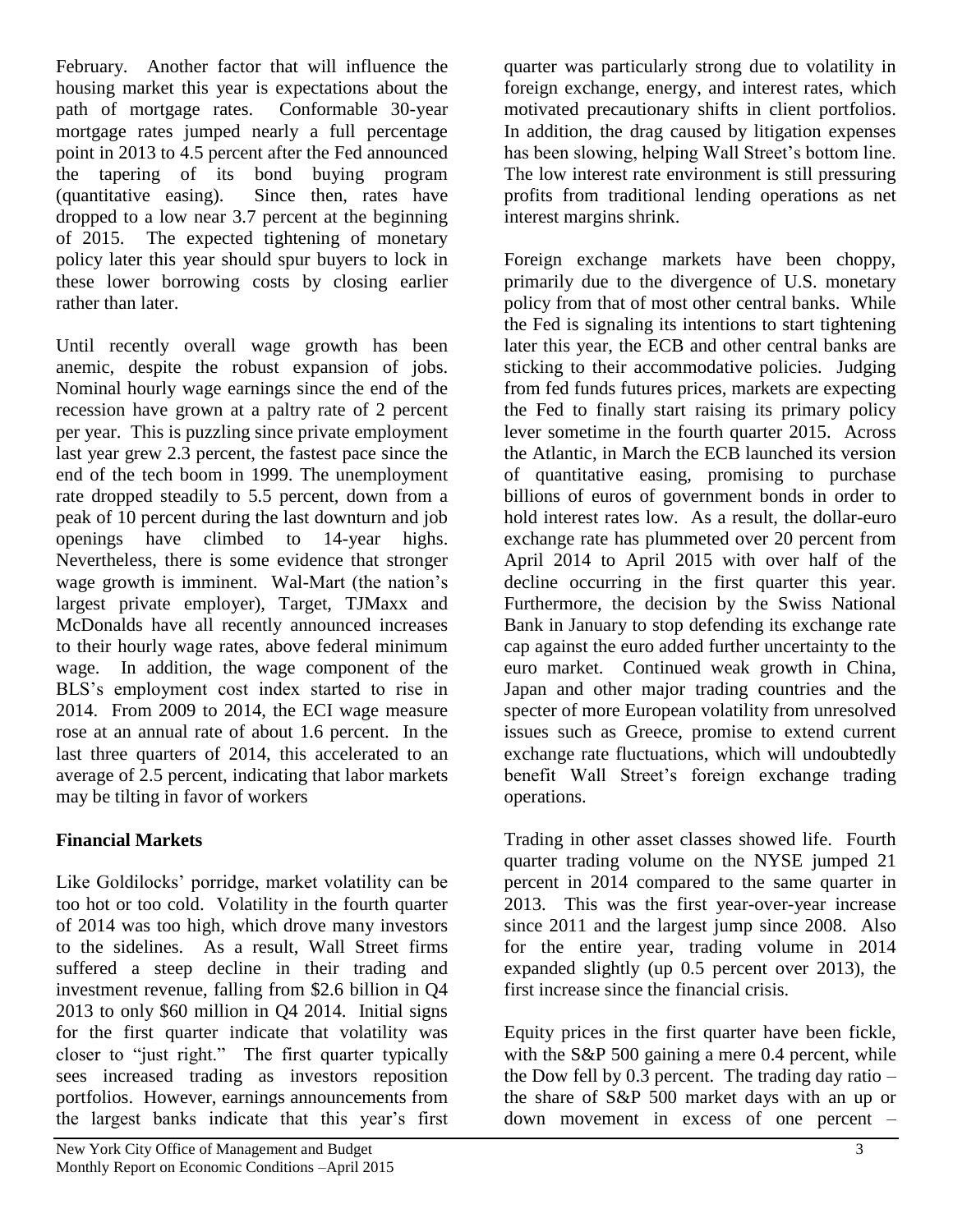February. Another factor that will influence the housing market this year is expectations about the path of mortgage rates. Conformable 30-year mortgage rates jumped nearly a full percentage point in 2013 to 4.5 percent after the Fed announced the tapering of its bond buying program (quantitative easing). Since then, rates have dropped to a low near 3.7 percent at the beginning of 2015. The expected tightening of monetary policy later this year should spur buyers to lock in these lower borrowing costs by closing earlier rather than later.

Until recently overall wage growth has been anemic, despite the robust expansion of jobs. Nominal hourly wage earnings since the end of the recession have grown at a paltry rate of 2 percent per year. This is puzzling since private employment last year grew 2.3 percent, the fastest pace since the end of the tech boom in 1999. The unemployment rate dropped steadily to 5.5 percent, down from a peak of 10 percent during the last downturn and job openings have climbed to 14-year highs. Nevertheless, there is some evidence that stronger wage growth is imminent. Wal-Mart (the nation's largest private employer), Target, TJMaxx and McDonalds have all recently announced increases to their hourly wage rates, above federal minimum wage. In addition, the wage component of the BLS's employment cost index started to rise in 2014. From 2009 to 2014, the ECI wage measure rose at an annual rate of about 1.6 percent. In the last three quarters of 2014, this accelerated to an average of 2.5 percent, indicating that labor markets may be tilting in favor of workers

## **Financial Markets**

Like Goldilocks' porridge, market volatility can be too hot or too cold. Volatility in the fourth quarter of 2014 was too high, which drove many investors to the sidelines. As a result, Wall Street firms suffered a steep decline in their trading and investment revenue, falling from \$2.6 billion in Q4 2013 to only \$60 million in Q4 2014. Initial signs for the first quarter indicate that volatility was closer to "just right." The first quarter typically sees increased trading as investors reposition portfolios. However, earnings announcements from the largest banks indicate that this year's first

quarter was particularly strong due to volatility in foreign exchange, energy, and interest rates, which motivated precautionary shifts in client portfolios. In addition, the drag caused by litigation expenses has been slowing, helping Wall Street's bottom line. The low interest rate environment is still pressuring profits from traditional lending operations as net interest margins shrink.

Foreign exchange markets have been choppy, primarily due to the divergence of U.S. monetary policy from that of most other central banks. While the Fed is signaling its intentions to start tightening later this year, the ECB and other central banks are sticking to their accommodative policies. Judging from fed funds futures prices, markets are expecting the Fed to finally start raising its primary policy lever sometime in the fourth quarter 2015. Across the Atlantic, in March the ECB launched its version of quantitative easing, promising to purchase billions of euros of government bonds in order to hold interest rates low. As a result, the dollar-euro exchange rate has plummeted over 20 percent from April 2014 to April 2015 with over half of the decline occurring in the first quarter this year. Furthermore, the decision by the Swiss National Bank in January to stop defending its exchange rate cap against the euro added further uncertainty to the euro market. Continued weak growth in China, Japan and other major trading countries and the specter of more European volatility from unresolved issues such as Greece, promise to extend current exchange rate fluctuations, which will undoubtedly benefit Wall Street's foreign exchange trading operations.

Trading in other asset classes showed life. Fourth quarter trading volume on the NYSE jumped 21 percent in 2014 compared to the same quarter in 2013. This was the first year-over-year increase since 2011 and the largest jump since 2008. Also for the entire year, trading volume in 2014 expanded slightly (up 0.5 percent over 2013), the first increase since the financial crisis.

Equity prices in the first quarter have been fickle, with the S&P 500 gaining a mere 0.4 percent, while the Dow fell by  $0.3$  percent. The trading day ratio – the share of S&P 500 market days with an up or down movement in excess of one percent –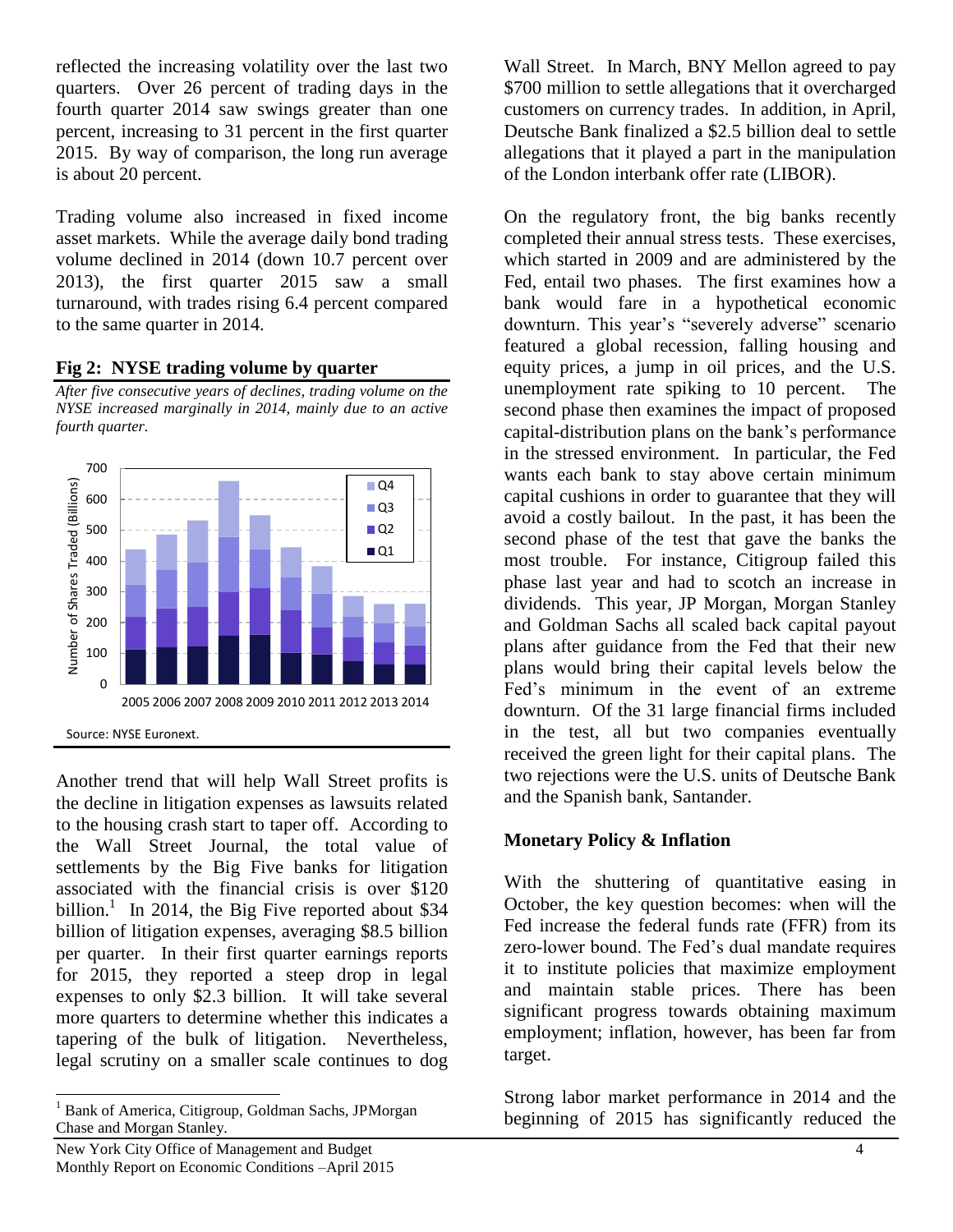reflected the increasing volatility over the last two quarters. Over 26 percent of trading days in the fourth quarter 2014 saw swings greater than one percent, increasing to 31 percent in the first quarter 2015. By way of comparison, the long run average is about 20 percent.

Trading volume also increased in fixed income asset markets. While the average daily bond trading volume declined in 2014 (down 10.7 percent over 2013), the first quarter 2015 saw a small turnaround, with trades rising 6.4 percent compared to the same quarter in 2014.

#### **Fig 2: NYSE trading volume by quarter**

*After five consecutive years of declines, trading volume on the NYSE increased marginally in 2014, mainly due to an active fourth quarter.*



Another trend that will help Wall Street profits is the decline in litigation expenses as lawsuits related to the housing crash start to taper off. According to the Wall Street Journal, the total value of settlements by the Big Five banks for litigation associated with the financial crisis is over \$120 billion.<sup>1</sup> In 2014, the Big Five reported about \$34 billion of litigation expenses, averaging \$8.5 billion per quarter. In their first quarter earnings reports for 2015, they reported a steep drop in legal expenses to only \$2.3 billion. It will take several more quarters to determine whether this indicates a tapering of the bulk of litigation. Nevertheless, legal scrutiny on a smaller scale continues to dog

 $\overline{a}$ 

Wall Street. In March, BNY Mellon agreed to pay \$700 million to settle allegations that it overcharged customers on currency trades. In addition, in April, Deutsche Bank finalized a \$2.5 billion deal to settle allegations that it played a part in the manipulation of the London interbank offer rate (LIBOR).

On the regulatory front, the big banks recently completed their annual stress tests. These exercises, which started in 2009 and are administered by the Fed, entail two phases. The first examines how a bank would fare in a hypothetical economic downturn. This year's "severely adverse" scenario featured a global recession, falling housing and equity prices, a jump in oil prices, and the U.S. unemployment rate spiking to 10 percent. The second phase then examines the impact of proposed capital-distribution plans on the bank's performance in the stressed environment. In particular, the Fed wants each bank to stay above certain minimum capital cushions in order to guarantee that they will avoid a costly bailout. In the past, it has been the second phase of the test that gave the banks the most trouble. For instance, Citigroup failed this phase last year and had to scotch an increase in dividends. This year, JP Morgan, Morgan Stanley and Goldman Sachs all scaled back capital payout plans after guidance from the Fed that their new plans would bring their capital levels below the Fed's minimum in the event of an extreme downturn. Of the 31 large financial firms included in the test, all but two companies eventually received the green light for their capital plans. The two rejections were the U.S. units of Deutsche Bank and the Spanish bank, Santander.

#### **Monetary Policy & Inflation**

With the shuttering of quantitative easing in October, the key question becomes: when will the Fed increase the federal funds rate (FFR) from its zero-lower bound. The Fed's dual mandate requires it to institute policies that maximize employment and maintain stable prices. There has been significant progress towards obtaining maximum employment; inflation, however, has been far from target.

Strong labor market performance in 2014 and the beginning of 2015 has significantly reduced the

<sup>&</sup>lt;sup>1</sup> Bank of America, Citigroup, Goldman Sachs, JPMorgan Chase and Morgan Stanley.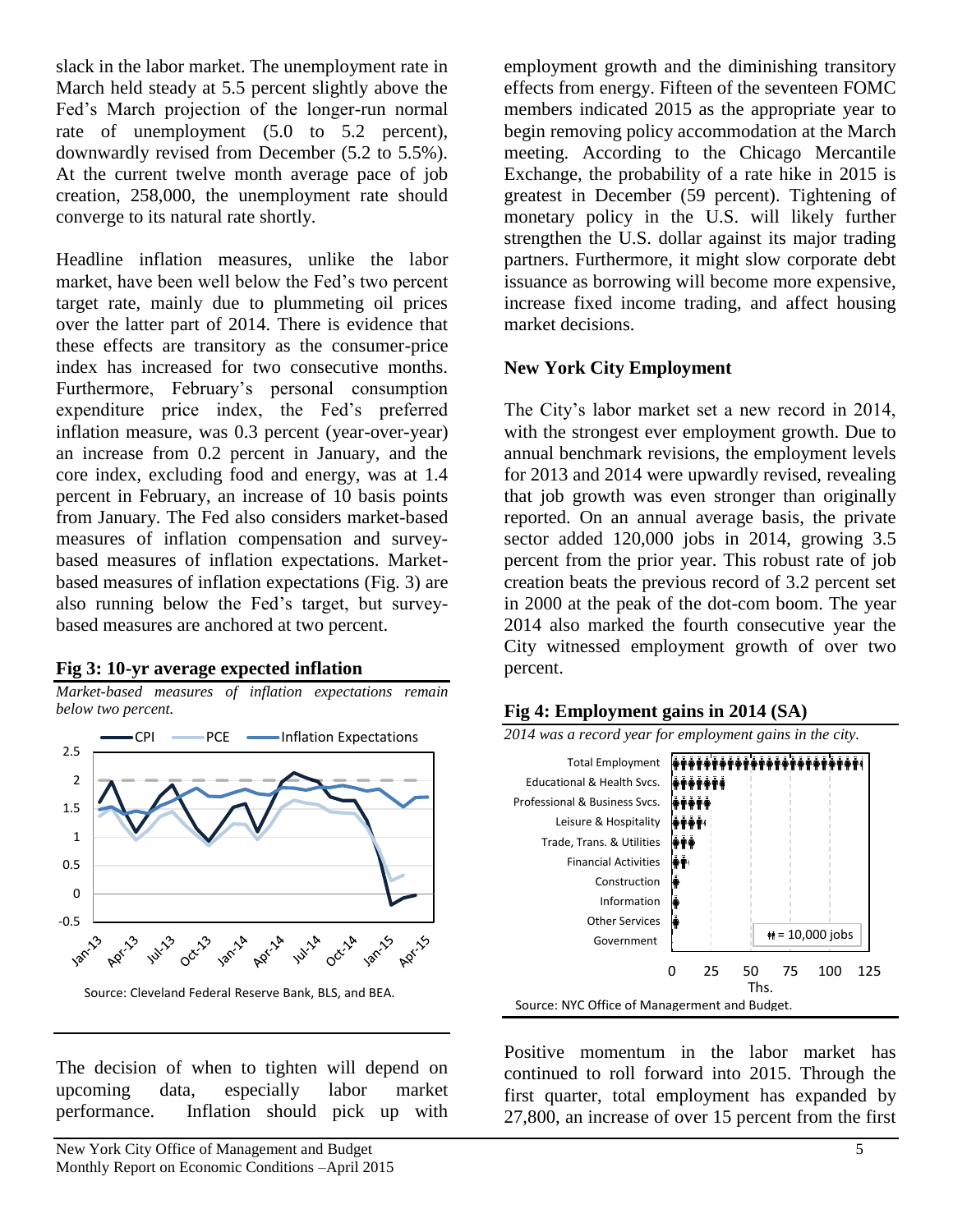slack in the labor market. The unemployment rate in March held steady at 5.5 percent slightly above the Fed's March projection of the longer-run normal rate of unemployment (5.0 to 5.2 percent), downwardly revised from December (5.2 to 5.5%). At the current twelve month average pace of job creation, 258,000, the unemployment rate should converge to its natural rate shortly.

Headline inflation measures, unlike the labor market, have been well below the Fed's two percent target rate, mainly due to plummeting oil prices over the latter part of 2014. There is evidence that these effects are transitory as the consumer-price index has increased for two consecutive months. Furthermore, February's personal consumption expenditure price index, the Fed's preferred inflation measure, was 0.3 percent (year-over-year) an increase from 0.2 percent in January, and the core index, excluding food and energy, was at 1.4 percent in February, an increase of 10 basis points from January. The Fed also considers market-based measures of inflation compensation and surveybased measures of inflation expectations. Marketbased measures of inflation expectations (Fig. 3) are also running below the Fed's target, but surveybased measures are anchored at two percent.

#### **Fig 3: 10-yr average expected inflation**



The decision of when to tighten will depend on upcoming data, especially labor market performance. Inflation should pick up with employment growth and the diminishing transitory effects from energy. Fifteen of the seventeen FOMC members indicated 2015 as the appropriate year to begin removing policy accommodation at the March meeting. According to the Chicago Mercantile Exchange, the probability of a rate hike in 2015 is greatest in December (59 percent). Tightening of monetary policy in the U.S. will likely further strengthen the U.S. dollar against its major trading partners. Furthermore, it might slow corporate debt issuance as borrowing will become more expensive, increase fixed income trading, and affect housing market decisions.

#### **New York City Employment**

The City's labor market set a new record in 2014, with the strongest ever employment growth. Due to annual benchmark revisions, the employment levels for 2013 and 2014 were upwardly revised, revealing that job growth was even stronger than originally reported. On an annual average basis, the private sector added 120,000 jobs in 2014, growing 3.5 percent from the prior year. This robust rate of job creation beats the previous record of 3.2 percent set in 2000 at the peak of the dot-com boom. The year 2014 also marked the fourth consecutive year the City witnessed employment growth of over two percent.



Positive momentum in the labor market has continued to roll forward into 2015. Through the first quarter, total employment has expanded by 27,800, an increase of over 15 percent from the first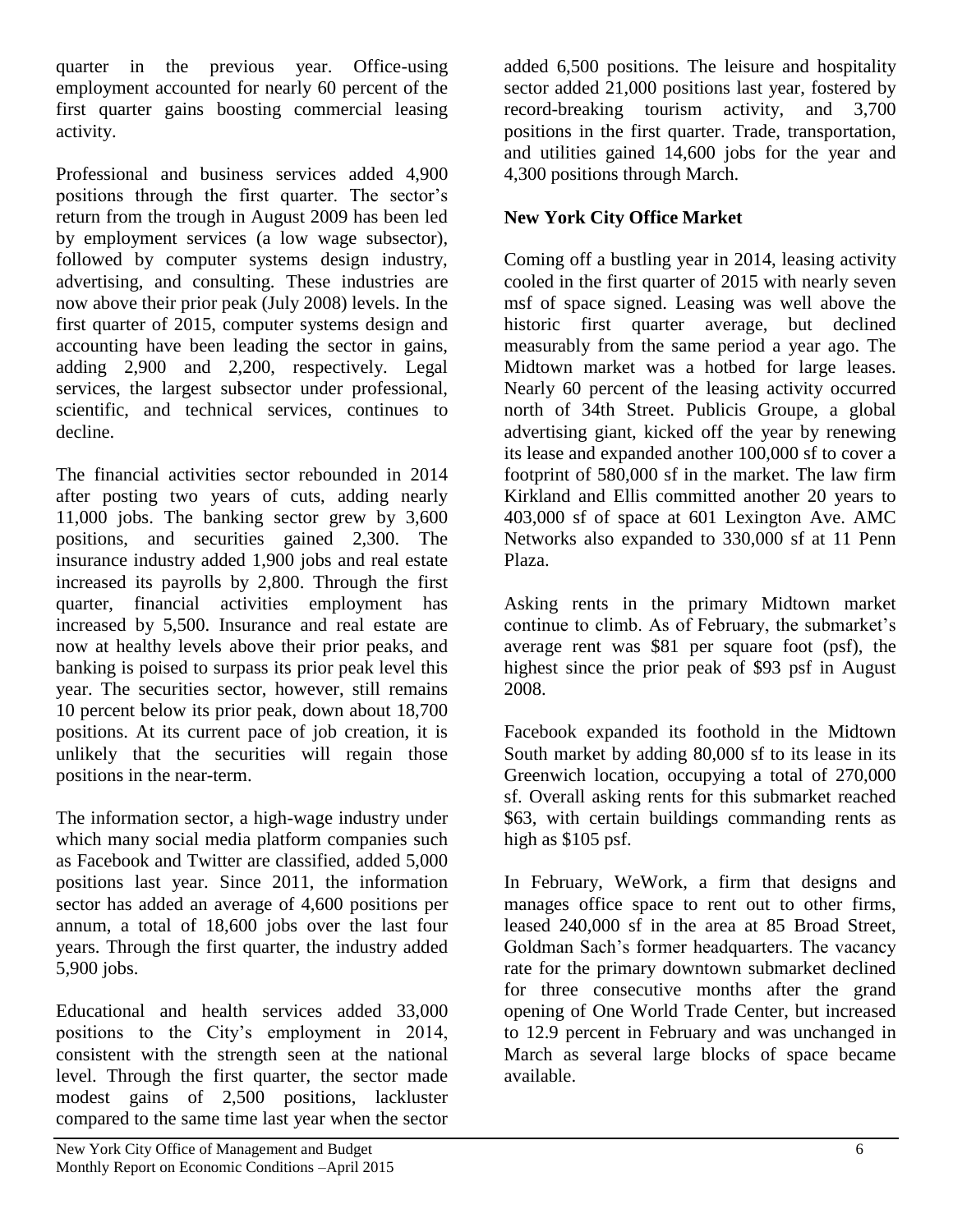quarter in the previous year. Office-using employment accounted for nearly 60 percent of the first quarter gains boosting commercial leasing activity.

Professional and business services added 4,900 positions through the first quarter. The sector's return from the trough in August 2009 has been led by employment services (a low wage subsector), followed by computer systems design industry, advertising, and consulting. These industries are now above their prior peak (July 2008) levels. In the first quarter of 2015, computer systems design and accounting have been leading the sector in gains, adding 2,900 and 2,200, respectively. Legal services, the largest subsector under professional, scientific, and technical services, continues to decline.

The financial activities sector rebounded in 2014 after posting two years of cuts, adding nearly 11,000 jobs. The banking sector grew by 3,600 positions, and securities gained 2,300. The insurance industry added 1,900 jobs and real estate increased its payrolls by 2,800. Through the first quarter, financial activities employment has increased by 5,500. Insurance and real estate are now at healthy levels above their prior peaks, and banking is poised to surpass its prior peak level this year. The securities sector, however, still remains 10 percent below its prior peak, down about 18,700 positions. At its current pace of job creation, it is unlikely that the securities will regain those positions in the near-term.

The information sector, a high-wage industry under which many social media platform companies such as Facebook and Twitter are classified, added 5,000 positions last year. Since 2011, the information sector has added an average of 4,600 positions per annum, a total of 18,600 jobs over the last four years. Through the first quarter, the industry added 5,900 jobs.

Educational and health services added 33,000 positions to the City's employment in 2014, consistent with the strength seen at the national level. Through the first quarter, the sector made modest gains of 2,500 positions, lackluster compared to the same time last year when the sector

added 6,500 positions. The leisure and hospitality sector added 21,000 positions last year, fostered by record-breaking tourism activity, and 3,700 positions in the first quarter. Trade, transportation, and utilities gained 14,600 jobs for the year and 4,300 positions through March.

# **New York City Office Market**

Coming off a bustling year in 2014, leasing activity cooled in the first quarter of 2015 with nearly seven msf of space signed. Leasing was well above the historic first quarter average, but declined measurably from the same period a year ago. The Midtown market was a hotbed for large leases. Nearly 60 percent of the leasing activity occurred north of 34th Street. Publicis Groupe, a global advertising giant, kicked off the year by renewing its lease and expanded another 100,000 sf to cover a footprint of 580,000 sf in the market. The law firm Kirkland and Ellis committed another 20 years to 403,000 sf of space at 601 Lexington Ave. AMC Networks also expanded to 330,000 sf at 11 Penn Plaza.

Asking rents in the primary Midtown market continue to climb. As of February, the submarket's average rent was \$81 per square foot (psf), the highest since the prior peak of \$93 psf in August 2008.

Facebook expanded its foothold in the Midtown South market by adding 80,000 sf to its lease in its Greenwich location, occupying a total of 270,000 sf. Overall asking rents for this submarket reached \$63, with certain buildings commanding rents as high as \$105 psf.

In February, WeWork, a firm that designs and manages office space to rent out to other firms, leased 240,000 sf in the area at 85 Broad Street, Goldman Sach's former headquarters. The vacancy rate for the primary downtown submarket declined for three consecutive months after the grand opening of One World Trade Center, but increased to 12.9 percent in February and was unchanged in March as several large blocks of space became available.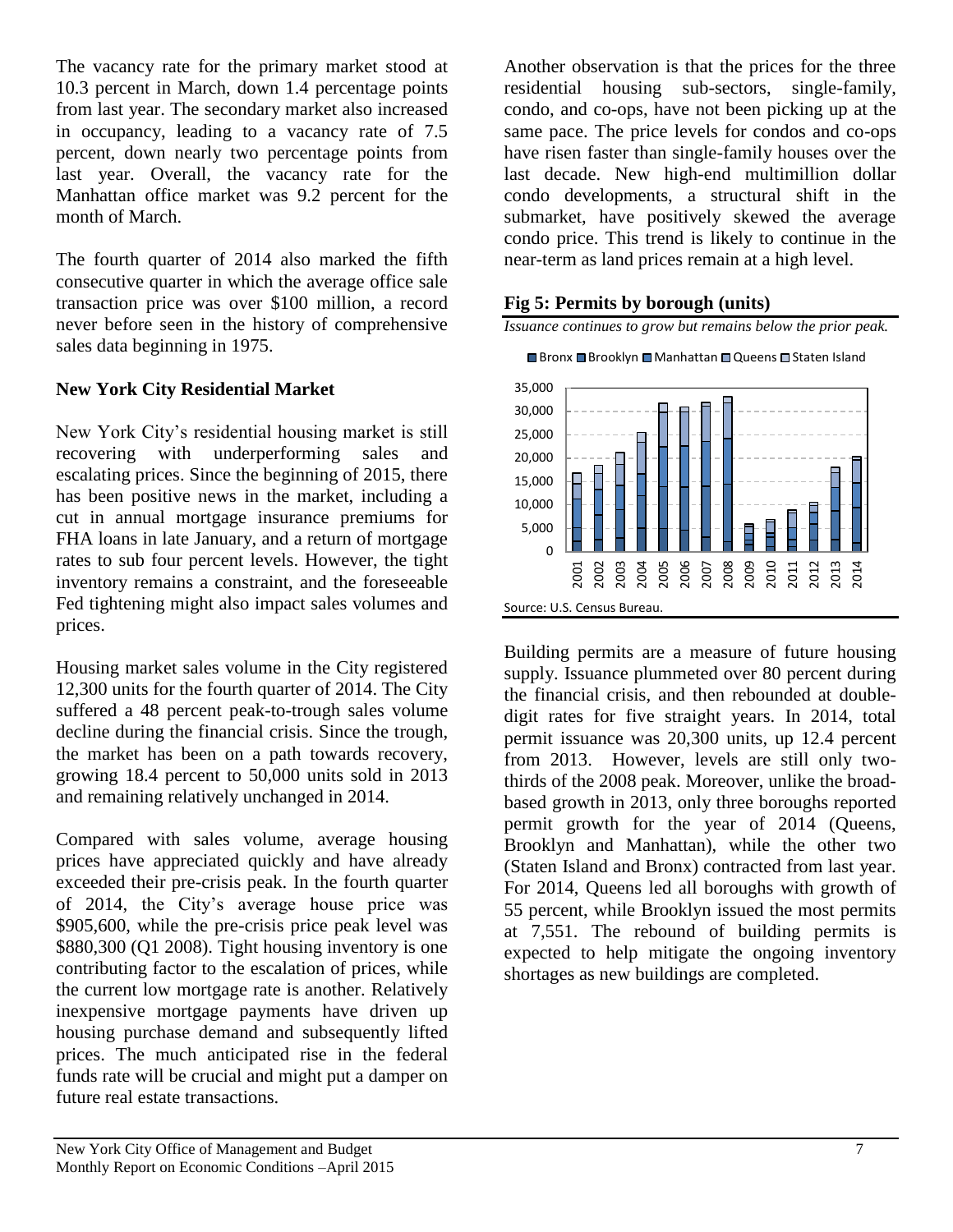The vacancy rate for the primary market stood at 10.3 percent in March, down 1.4 percentage points from last year. The secondary market also increased in occupancy, leading to a vacancy rate of 7.5 percent, down nearly two percentage points from last year. Overall, the vacancy rate for the Manhattan office market was 9.2 percent for the month of March.

The fourth quarter of 2014 also marked the fifth consecutive quarter in which the average office sale transaction price was over \$100 million, a record never before seen in the history of comprehensive sales data beginning in 1975.

### **New York City Residential Market**

New York City's residential housing market is still recovering with underperforming sales and escalating prices. Since the beginning of 2015, there has been positive news in the market, including a cut in annual mortgage insurance premiums for FHA loans in late January, and a return of mortgage rates to sub four percent levels. However, the tight inventory remains a constraint, and the foreseeable Fed tightening might also impact sales volumes and prices.

Housing market sales volume in the City registered 12,300 units for the fourth quarter of 2014. The City suffered a 48 percent peak-to-trough sales volume decline during the financial crisis. Since the trough, the market has been on a path towards recovery, growing 18.4 percent to 50,000 units sold in 2013 and remaining relatively unchanged in 2014.

Compared with sales volume, average housing prices have appreciated quickly and have already exceeded their pre-crisis peak. In the fourth quarter of 2014, the City's average house price was \$905,600, while the pre-crisis price peak level was \$880,300 (Q1 2008). Tight housing inventory is one contributing factor to the escalation of prices, while the current low mortgage rate is another. Relatively inexpensive mortgage payments have driven up housing purchase demand and subsequently lifted prices. The much anticipated rise in the federal funds rate will be crucial and might put a damper on future real estate transactions.

Another observation is that the prices for the three residential housing sub-sectors, single-family, condo, and co-ops, have not been picking up at the same pace. The price levels for condos and co-ops have risen faster than single-family houses over the last decade. New high-end multimillion dollar condo developments, a structural shift in the submarket, have positively skewed the average condo price. This trend is likely to continue in the near-term as land prices remain at a high level.

#### **Fig 5: Permits by borough (units)**



*Issuance continues to grow but remains below the prior peak.*

Building permits are a measure of future housing supply. Issuance plummeted over 80 percent during the financial crisis, and then rebounded at doubledigit rates for five straight years. In 2014, total permit issuance was 20,300 units, up 12.4 percent from 2013. However, levels are still only twothirds of the 2008 peak. Moreover, unlike the broadbased growth in 2013, only three boroughs reported permit growth for the year of 2014 (Queens, Brooklyn and Manhattan), while the other two (Staten Island and Bronx) contracted from last year. For 2014, Queens led all boroughs with growth of 55 percent, while Brooklyn issued the most permits at 7,551. The rebound of building permits is expected to help mitigate the ongoing inventory shortages as new buildings are completed.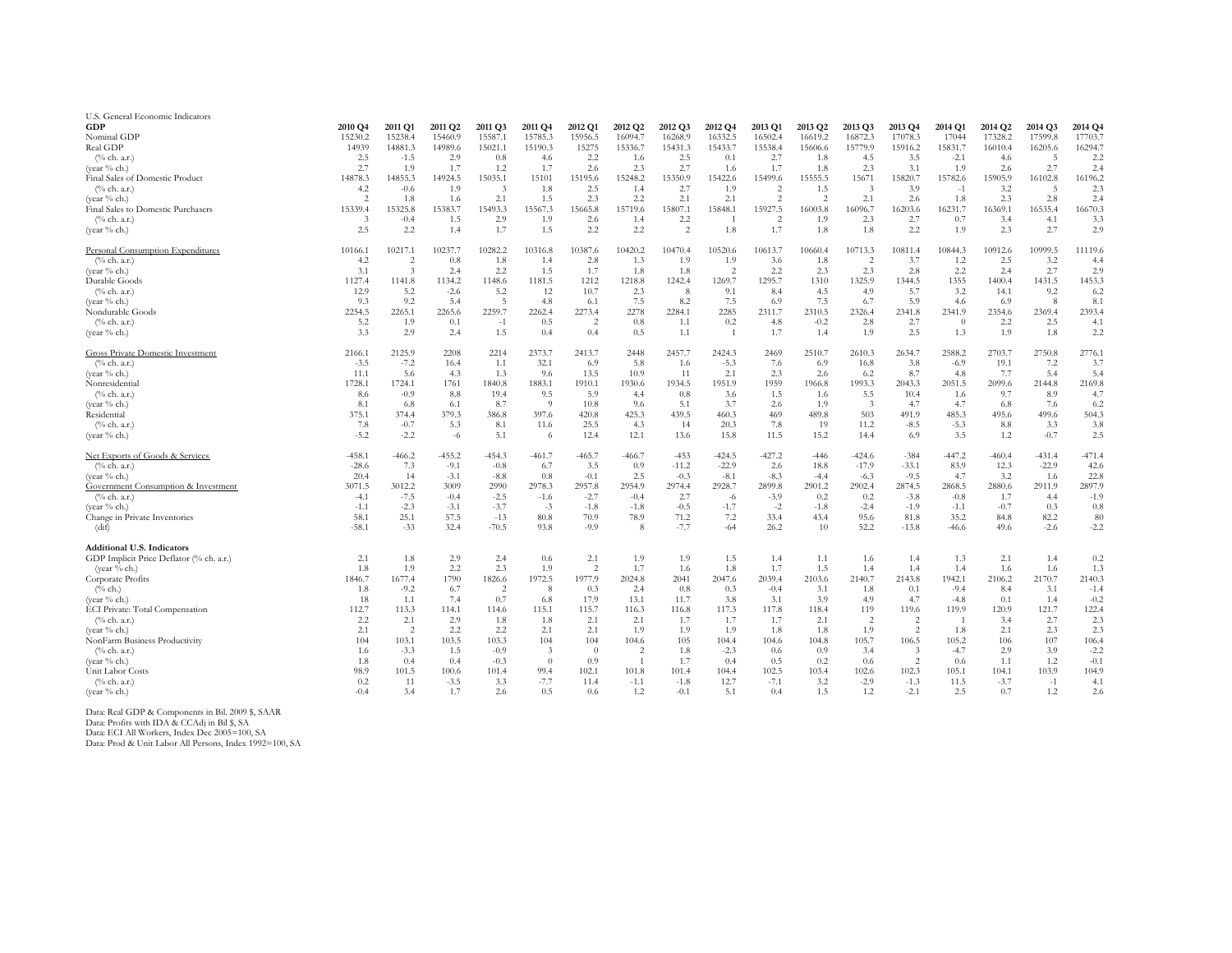| U.S. General Economic Indicators         |                |            |                     |            |               |                |                |                |                |                          |                     |               |         |                |          |          |          |
|------------------------------------------|----------------|------------|---------------------|------------|---------------|----------------|----------------|----------------|----------------|--------------------------|---------------------|---------------|---------|----------------|----------|----------|----------|
| <b>GDP</b>                               | 2010 Q4        | 2011 Q1    | 2011 Q <sub>2</sub> | 2011 Q3    | 2011 Q4       | 2012 Q1        | 2012 Q2        | 2012 Q3        | 2012 Q4        | 2013 Q1                  | 2013 Q <sub>2</sub> | 2013 Q3       | 2013 Q4 | 2014 Q1        | 2014 Q2  | 2014 Q3  | 2014 Q4  |
| Nominal GDP                              | 15230.2        | 15238.4    | 15460.9             | 15587.1    | 15785.3       | 15956.5        | 16094.7        | 16268.9        | 16332.5        | 16502.4                  | 16619.2             | 16872.3       | 17078.3 | 17044          | 17328.2  | 17599.8  | 17703.7  |
| Real GDP                                 | 14939          | 14881.3    | 14989.6             | 15021.1    | 15190.3       | 15275          | 15336.7        | 15431.3        | 15433.7        | 15538.4                  | 15606.6             | 15779.9       | 15916.2 | 15831.7        | 16010.4  | 16205.6  | 16294.7  |
| (% ch. a.r.)                             | 2.5            | $-1.5$     | 2.9                 | 0.8        | 4.6           | 2.2            | 1.6            | 2.5            | 0.1            | 2.7                      | 1.8                 | 4.5           | 3.5     | $-2.1$         | 4.6      | -5       | 2.2      |
| (vear $%$ ch.)                           | 2.7            | 1.9        | 1.7                 | 1.2        | 1.7           | 2.6            | 2.3            | 2.7            | 1.6            | 1.7                      | 1.8                 | 2.3           | 3.1     | 1.9            | 2.6      | 2.7      | 2.4      |
| Final Sales of Domestic Product          | 14878.3        | 14855.3    | 14924.5             | 15035.1    | 15101         | 15195.6        | 15248.2        | 15350.9        | 15422.6        | 15499.6                  | 15555.5             | 15671         | 15820.7 | 15782.6        | 15905.9  | 16102.8  | 16196.2  |
| $(\%$ ch. a.r.)                          | 4.2            | $-0.6$     | 1.9                 | $\ddot{ }$ | 1.8           | 2.5            | 1.4            | 2.7            | 1.9            | 2                        | 1.5                 | $\mathcal{R}$ | 3.9     | $-1$           | 3.2      | -5       | 2.3      |
| (vear % ch.)                             | $\overline{2}$ | 1.8        | 1.6                 | 2.1        | 1.5           | 2.3            | 2.2            | 2.1            | 2.1            | $\overline{2}$           | $\mathfrak{D}$      | 2.1           | 2.6     | 1.8            | 2.3      | 2.8      | 2.4      |
| Final Sales to Domestic Purchasers       | 15339.4        | 15325.8    | 15383.7             | 15493.3    | 15567.3       | 15665.8        | 15719.6        | 15807.1        | 15848.1        | 15927.5                  | 16003.8             | 16096.7       | 16203.6 | 16231.7        | 16369.1  | 16535.4  | 16670.3  |
| $(\%$ ch. a.r.)                          | $\mathcal{F}$  | $-0.4$     | 1.5                 | 2.9        | 1.9           | 2.6            | 1.4            | 2.2            |                | $\overline{\mathcal{L}}$ | 1.9                 | 2.3           | 2.7     | 0.7            | 3.4      | 4.1      | 3.3      |
| (year % ch.)                             | 2.5            | 2.2        | 1.4                 | 1.7        | 1.5           | 2.2            | 2.2            | $\overline{2}$ | 1.8            | 1.7                      | 1.8                 | 1.8           | 2.2     | 1.9            | 2.3      | 2.7      | 2.9      |
| Personal Consumption Expenditures        | 10166.1        | 10217.1    | 10237.7             | 10282.2    | 10316.8       | 10387.6        | 10420.2        | 10470.4        | 10520.6        | 10613.7                  | 10660.4             | 10713.3       | 10811.4 | 10844.3        | 10912.6  | 10999.5  | 11119.6  |
| $(\%$ ch. a.r.)                          | 4.2            | 2          | 0.8                 | 1.8        | 1.4           | 2.8            | 1.3            | 1.9            | 1.9            | 3.6                      | 1.8                 | 2             | 3.7     | 1.2            | 2.5      | 3.2      | 4.4      |
| (year % ch.)                             | 3.1            | $\ddot{3}$ | 2.4                 | 2.2        | 1.5           | 1.7            | 1.8            | 1.8            | $\mathfrak{D}$ | 2.2                      | 2.3                 | 2.3           | 2.8     | 2.2            | 2.4      | 2.7      | 2.9      |
| Durable Goods                            | 1127.4         | 1141.8     | 1134.2              | 1148.6     | 1181.5        | 1212           | 1218.8         | 1242.4         | 1269.7         | 1295.7                   | 1310                | 1325.9        | 1344.5  | 1355           | 1400.4   | 1431.5   | 1453.3   |
| $(\%$ ch. a.r.)                          | 12.9           | 5.2        | $-2.6$              | 5.2        | 12            | 10.7           | 2.3            | 8              | 9.1            | 8.4                      | 4.5                 | 4.9           | 5.7     | 3.2            | 14.1     | 9.2      | 6.2      |
| (year % ch.)                             | 9.3            | 9.2        | 5.4                 | 5          | 4.8           | 6.1            | 7.5            | 8.2            | 7.5            | 6.9                      | 7.5                 | 6.7           | 5.9     | 4.6            | 6.9      | 8        | 8.1      |
| Nondurable Goods                         | 2254.5         | 2265.1     | 2265.6              | 2259.7     | 2262.4        | 2273.4         | 2278           | 2284.1         | 2285           | 2311.7                   | 2310.5              | 2326.4        | 2341.8  | 2341.9         | 2354.6   | 2369.4   | 2393.4   |
| $(\%$ ch. a.r.)                          | 5.2            | 1.9        | 0.1                 | $-1$       | 0.5           | 2              | 0.8            | 1.1            | 0.2            | 4.8                      | $-0.2$              | 2.8           | 2.7     | $\theta$       | 2.2      | 2.5      | 4.1      |
| (year % ch.)                             | 3.3            | 2.9        | 2.4                 | 1.5        | 0.4           | 0.4            | 0.5            | 1.1            | $\overline{1}$ | 1.7                      | 1.4                 | 1.9           | 2.5     | 1.3            | 1.9      | 1.8      | 2.2      |
|                                          |                |            |                     |            |               |                |                |                |                |                          |                     |               |         |                |          |          |          |
| Gross Private Domestic Investment        | 2166.1         | 2125.9     | 2208                | 2214       | 2373.7        | 2413.7         | 2448           | 2457.7         | 2424.3         | 2469                     | 2510.7              | 2610.3        | 2634.7  | 2588.2         | 2703.7   | 2750.8   | 2776.1   |
| (% ch. a.r.)                             | $-3.5$         | $-7.2$     | 16.4                | 1.1        | 32.1          | 6.9            | 5.8            | 1.6            | $-5.3$         | 7.6                      | 6.9                 | 16.8          | 3.8     | $-6.9$         | 19.1     | 7.2      | 3.7      |
| (vear $%$ ch.)                           | 11.1           | 5.6        | 4.3                 | 1.3        | 9.6           | 13.5           | 10.9           | 11             | 2.1            | 2.3                      | 2.6                 | 6.2           | 8.7     | 4.8            | 7.7      | 5.4      | 5.4      |
| Nonresidential                           | 1728.1         | 1724.1     | 1761                | 1840.8     | 1883.1        | 1910.1         | 1930.6         | 1934.5         | 1951.9         | 1959                     | 1966.8              | 1993.3        | 2043.3  | 2051.5         | 2099.6   | 2144.8   | 2169.8   |
| $(\%$ ch. a.r.)                          | 8.6            | $-0.9$     | 8.8                 | 19.4       | 9.5           | 5.9            | 4.4            | 0.8            | 3.6            | 1.5                      | 1.6                 | 5.5           | 10.4    | 1.6            | 9.7      | 8.9      | 4.7      |
| (year % ch.)                             | 8.1            | 6.8        | 6.1                 | 8.7        | -9            | 10.8           | 9.6            | 5.1            | 3.7            | 2.6                      | 1.9                 | -3            | 4.7     | 4.7            | 6.8      | 7.6      | 6.2      |
| Residential                              | 375.1          | 374.4      | 379.3               | 386.8      | 397.6         | 420.8          | 425.3          | 439.5          | 460.3          | 469                      | 489.8               | 503           | 491.9   | 485.3          | 495.6    | 499.6    | 504.3    |
| (% ch. a.r.)                             | 7.8            | $-0.7$     | 5.3                 | 8.1        | 11.6          | 25.5           | 4.3            | 14             | 20.3           | 7.8                      | 19                  | 11.2          | $-8.5$  | $-5.3$         | 8.8      | 3.3      | 3.8      |
| (year % ch.)                             | $-5.2$         | $-2.2$     | -6                  | 5.1        | -6            | 12.4           | 12.1           | 13.6           | 15.8           | 11.5                     | 15.2                | 14.4          | 6.9     | 3.5            | 1.2      | $-0.7$   | 2.5      |
| Net Exports of Goods & Services          | $-458.1$       | $-466.2$   | $-455.2$            | $-454.3$   | $-461.7$      | $-465.7$       | $-466.7$       | $-453$         | $-424.5$       | $-427.2$                 | $-446$              | $-424.6$      | $-384$  | $-447.2$       | $-460.4$ | $-431.4$ | $-471.4$ |
| $(\%$ ch. a.r.)                          | $-28.6$        | 7.3        | $-9.1$              | $-0.8$     | 6.7           | 3.5            | 0.9            | $-11.2$        | $-22.9$        | 2.6                      | 18.8                | $-17.9$       | $-33.1$ | 83.9           | 12.3     | $-22.9$  | 42.6     |
| (year % ch.)                             | 20.4           | 14         | $-3.1$              | $-8.8$     | 0.8           | $-0.1$         | 2.5            | $-0.3$         | $-8.1$         | $-8.3$                   | $-4.4$              | $-6.3$        | $-9.5$  | 4.7            | 3.2      | 1.6      | 22.8     |
| Government Consumption & Investment      | 3071.5         | 3012.2     | 3009                | 2990       | 2978.3        | 2957.8         | 2954.9         | 2974.4         | 2928.7         | 2899.8                   | 2901.2              | 2902.4        | 2874.5  | 2868.5         | 2880.6   | 2911.9   | 2897.9   |
| $(\%$ ch. a.r.)                          | $-4.1$         | $-7.5$     | $-0.4$              | $-2.5$     | $-1.6$        | $-2.7$         | $-0.4$         | 2.7            | -6             | $-3.9$                   | 0.2                 | 0.2           | $-3.8$  | $-0.8$         | 1.7      | 4.4      | $-1.9$   |
| (year % ch.)                             | $-1.1$         | $-2.3$     | $-3.1$              | $-3.7$     | $-3$          | $-1.8$         | $-1.8$         | $-0.5$         | $-1.7$         | $-2$                     | $-1.8$              | $-2.4$        | $-1.9$  | $-1.1$         | $-0.7$   | 0.3      | 0.8      |
| Change in Private Inventories            | 58.1           | 25.1       | 57.5                | $-13$      | 80.8          | 70.9           | 78.9           | 71.2           | 7.2            | 33.4                     | 43.4                | 95.6          | 81.8    | 35.2           | 84.8     | 82.2     | 80       |
| (dif)                                    | $-58.1$        | $-33$      | 32.4                | $-70.5$    | 93.8          | $-9.9$         | 8              | $-7.7$         | $-64$          | 26.2                     | 10                  | 52.2          | $-13.8$ | $-46.6$        | 49.6     | $-2.6$   | $-2.2$   |
| <b>Additional U.S. Indicators</b>        |                |            |                     |            |               |                |                |                |                |                          |                     |               |         |                |          |          |          |
| GDP Implicit Price Deflator (% ch. a.r.) | 2.1            | 1.8        | 2.9                 | 2.4        | 0.6           | 2.1            | 1.9            | 1.9            | 1.5            | 1.4                      | 1.1                 | 1.6           | 1.4     | 1.3            | 2.1      | 1.4      | 0.2      |
| (year % ch.)                             | 1.8            | 1.9        | 2.2                 | 2.3        | 1.9           | 2              | 1.7            | 1.6            | 1.8            | 1.7                      | 1.5                 | 1.4           | 1.4     | 1.4            | 1.6      | 1.6      | 1.3      |
| Corporate Profits                        | 1846.7         | 1677.4     | 1790                | 1826.6     | 1972.5        | 1977.9         | 2024.8         | 2041           | 2047.6         | 2039.4                   | 2103.6              | 2140.7        | 2143.8  | 1942.1         | 2106.2   | 2170.7   | 2140.3   |
| $(\%$ ch.)                               | 1.8            | $-9.2$     | 6.7                 | 2          | -8            | 0.3            | 2.4            | 0.8            | 0.3            | $-0.4$                   | 3.1                 | 1.8           | 0.1     | $-9.4$         | 8.4      | 3.1      | $-1.4$   |
| (year % ch.)                             | 18             | 1.1        | 7.4                 | 0.7        | 6.8           | 17.9           | 13.1           | 11.7           | 3.8            | 3.1                      | 3.9                 | 4.9           | 4.7     | $-4.8$         | 0.1      | 1.4      | $-0.2$   |
| ECI Private: Total Compensation          | 112.7          | 113.3      | 114.1               | 114.6      | 115.1         | 115.7          | 116.3          | 116.8          | 117.3          | 117.8                    | 118.4               | 119           | 119.6   | 119.9          | 120.9    | 121.7    | 122.4    |
| $(\%$ ch. a.r.)                          | 2.2            | 2.1        | 2.9                 | 1.8        | 1.8           | 2.1            | 2.1            | 1.7            | 1.7            | 1.7                      | 2.1                 | 2             | 2       | $\overline{1}$ | 3.4      | 2.7      | 2.3      |
| (year % ch.)                             | 2.1            | 2          | 2.2                 | 2.2        | 2.1           | 2.1            | 1.9            | 1.9            | 1.9            | 1.8                      | 1.8                 | 1.9           | 2       | 1.8            | 2.1      | 2.3      | 2.3      |
| NonFarm Business Productivity            | 104            | 103.1      | 103.5               | 103.3      | 104           | 104            | 104.6          | 105            | 104.4          | 104.6                    | 104.8               | 105.7         | 106.5   | 105.2          | 106      | 107      | 106.4    |
| $(\%$ ch. a.r.)                          | 1.6            | $-3.3$     | 1.5                 | $-0.9$     | $\mathcal{F}$ | $\overline{0}$ | $\mathfrak{D}$ | 1.8            | $-2.3$         | 0.6                      | 0.9                 | 3.4           | 3       | $-4.7$         | 2.9      | 3.9      | $-2.2$   |
| (year % ch.)                             | 1.8            | 0.4        | 0.4                 | $-0.3$     | $\theta$      | 0.9            | $\overline{1}$ | 1.7            | 0.4            | 0.5                      | 0.2                 | 0.6           | 2       | 0.6            | 1.1      | 1.2      | $-0.1$   |
| Unit Labor Costs                         | 98.9           | 101.5      | 100.6               | 101.4      | 99.4          | 102.1          | 101.8          | 101.4          | 104.4          | 102.5                    | 103.4               | 102.6         | 102.3   | 105.1          | 104.1    | 103.9    | 104.9    |
| $(\%$ ch. a.r.)                          | 0.2            | 11         | $-3.5$              | 3.3        | $-7.7$        | 11.4           | $-1.1$         | $-1.8$         | 12.7           | $-7.1$                   | 3.2                 | $-2.9$        | $-1.3$  | 11.5           | $-3.7$   | $-1$     | 4.1      |
| (year % ch.)                             | $-0.4$         | 3.4        | 1.7                 | 2.6        | 0.5           | 0.6            | 1.2            | $-0.1$         | 5.1            | 0.4                      | 1.5                 | 1.2           | $-2.1$  | 2.5            | 0.7      | 1.2      | 2.6      |
|                                          |                |            |                     |            |               |                |                |                |                |                          |                     |               |         |                |          |          |          |

Data: Real GDP & Components in Bil. 2009 \$, SAAR Data: Profits with IDA & CCAdj in Bil \$, SA

Data: ECI All Workers, Index Dec 2005=100, SA Data: Prod & Unit Labor All Persons, Index 1992=100, SA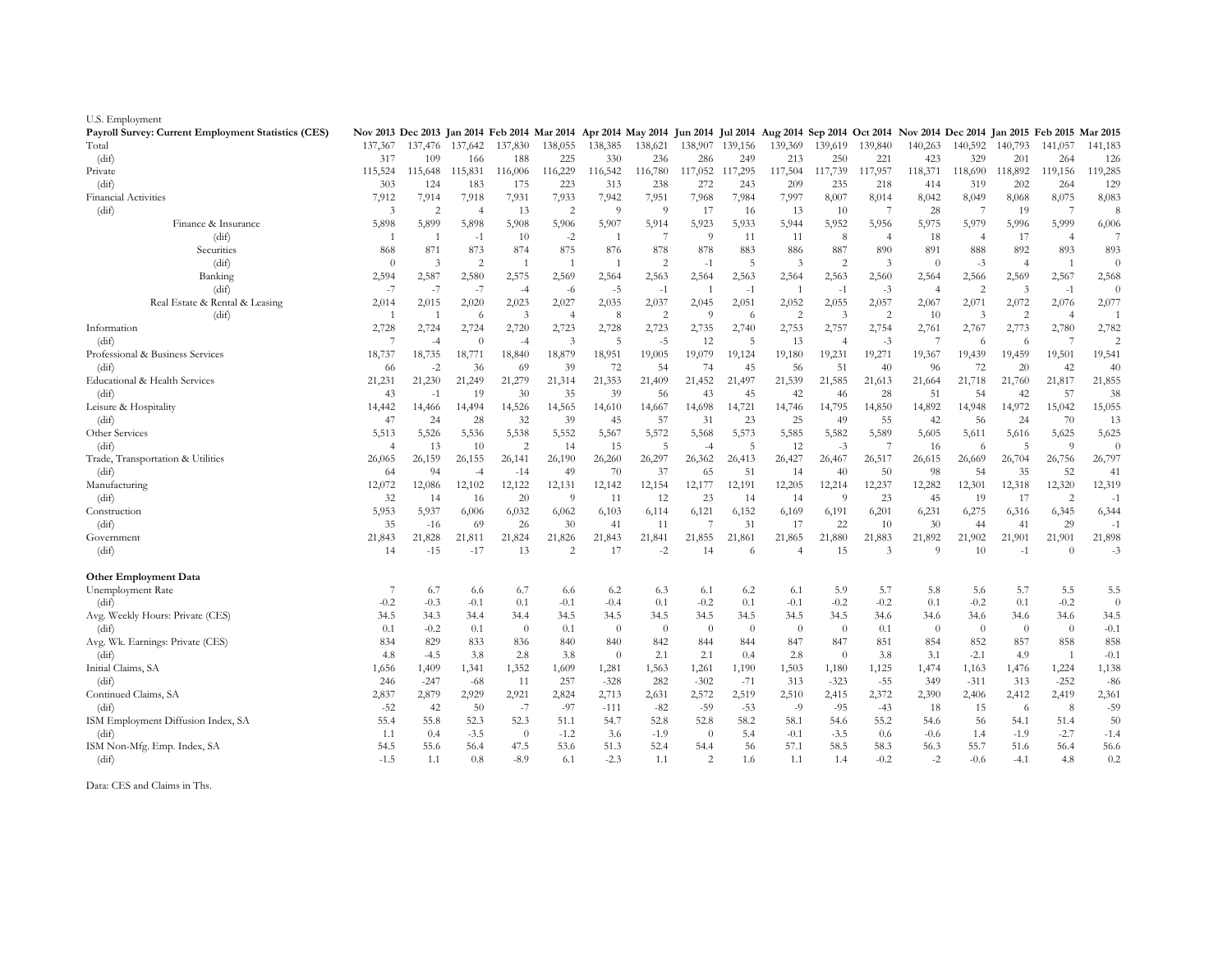| U.S. Employment                                     |                                                                                                                                                          |                |                |                |                |                |                |                |                 |                |                |                |                |                |                |                         |                |
|-----------------------------------------------------|----------------------------------------------------------------------------------------------------------------------------------------------------------|----------------|----------------|----------------|----------------|----------------|----------------|----------------|-----------------|----------------|----------------|----------------|----------------|----------------|----------------|-------------------------|----------------|
| Payroll Survey: Current Employment Statistics (CES) | Nov 2013 Dec 2013 Jan 2014 Feb 2014 Mar 2014 Apr 2014 May 2014 Jun 2014 Jul 2014 Aug 2014 Sep 2014 Oct 2014 Nov 2014 Dec 2014 Jan 2015 Feb 2015 Mar 2015 |                |                |                |                |                |                |                |                 |                |                |                |                |                |                |                         |                |
| Total                                               | 137,367                                                                                                                                                  | 137,476        | 137,642        | 137,830        | 138,055        | 138,385        | 138,621        |                | 138,907 139,156 | 139,369        | 139,619        | 139,840        | 140,263        | 140,592        | 140,793        | 141,057                 | 141,183        |
| (dif)                                               | 317                                                                                                                                                      | 109            | 166            | 188            | 225            | 330            | 236            | 286            | 249             | 213            | 250            | 221            | 423            | 329            | 201            | 264                     | 126            |
| Private                                             | 115,524                                                                                                                                                  | 115,648        | 115,831        | 116,006        | 116,229        | 116,542        | 116,780        | 117,052        | 117,295         | 117,504        | 117,739        | 117,957        | 118,371        | 118,690        | 118,892        | 119,156                 | 119,285        |
| (dif)                                               | 303                                                                                                                                                      | 124            | 183            | 175            | 223            | 313            | 238            | 272            | 243             | 209            | 235            | 218            | 414            | 319            | 202            | 264                     | 129            |
| Financial Activities                                | 7,912                                                                                                                                                    | 7,914          | 7,918          | 7,931          | 7,933          | 7,942          | 7,951          | 7,968          | 7,984           | 7,997          | 8,007          | 8,014          | 8,042          | 8,049          | 8,068          | 8,075                   | 8,083          |
| (dif)                                               | 3                                                                                                                                                        | $\overline{c}$ | $\overline{4}$ | 13             | $\overline{2}$ | 9              | $\Omega$       | 17             | 16              | 13             | 10             |                | 28             | -7             | 19             | $\overline{7}$          | 8              |
| Finance & Insurance                                 | 5,898                                                                                                                                                    | 5,899          | 5,898          | 5,908          | 5,906          | 5,907          | 5,914          | 5,923          | 5,933           | 5,944          | 5,952          | 5,956          | 5,975          | 5,979          | 5,996          | 5,999                   | 6,006          |
| (dif)                                               | $\overline{1}$                                                                                                                                           | -1             | $-1$           | 10             | $-2$           | -1             | $\overline{7}$ | $\overline{9}$ | 11              | 11             | 8              | $\overline{4}$ | 18             | $\overline{4}$ | 17             | $\overline{4}$          | $\overline{7}$ |
| Securities                                          | 868                                                                                                                                                      | 871            | 873            | 874            | 875            | 876            | 878            | 878            | 883             | 886            | 887            | 890            | 891            | 888            | 892            | 893                     | 893            |
| (dif)                                               | $\theta$                                                                                                                                                 | 3              | $\overline{c}$ |                | $\overline{1}$ | $\overline{1}$ | $\overline{2}$ | $-1$           | 5               | 3              | $\overline{c}$ | 3              | $\Omega$       | $-3$           | $\overline{4}$ | $\mathbf{1}$            | $\theta$       |
| Banking                                             | 2,594                                                                                                                                                    | 2,587          | 2,580          | 2,575          | 2,569          | 2,564          | 2,563          | 2,564          | 2,563           | 2,564          | 2,563          | 2,560          | 2,564          | 2,566          | 2,569          | 2,567                   | 2,568          |
| (dif)                                               | $-7$                                                                                                                                                     | $-7$           | $-7$           | $-4$           | $-6$           | $-5$           | $-1$           | $\overline{1}$ | $-1$            | $\overline{1}$ | $-1$           | $-3$           | $\overline{4}$ | $\overline{c}$ | 3              | $-1$                    | $\theta$       |
| Real Estate & Rental & Leasing                      | 2,014                                                                                                                                                    | 2,015          | 2,020          | 2,023          | 2,027          | 2,035          | 2,037          | 2,045          | 2,051           | 2,052          | 2,055          | 2,057          | 2,067          | 2,071          | 2,072          | 2,076                   | 2,077          |
| (dif)                                               | $\overline{1}$                                                                                                                                           | $\overline{1}$ | 6              | 3              | $\overline{4}$ | 8              | $\overline{2}$ | $\overline{9}$ | 6               | 2              | $\mathfrak{Z}$ | $\overline{c}$ | 10             | $\overline{3}$ | 2              | $\overline{4}$          | 1              |
| Information                                         | 2,728                                                                                                                                                    | 2,724          | 2,724          | 2,720          |                | 2,728          | 2,723          |                | 2,740           | 2,753          | 2,757          | 2,754          | 2,761          |                | 2,773          |                         | 2,782          |
| (dif)                                               | 7                                                                                                                                                        | $-4$           | $\theta$       | $-4$           | 2,723<br>3     | 5              | $-5$           | 2,735<br>12    | 5               | 13             | $\overline{4}$ | $-3$           | 7              | 2,767<br>6     | 6              | 2,780<br>$\overline{7}$ | 2              |
| Professional & Business Services                    |                                                                                                                                                          |                | 18,771         |                | 18,879         | 18,951         | 19,005         | 19,079         | 19,124          |                | 19,231         | 19,271         |                | 19,439         | 19,459         | 19,501                  | 19,541         |
|                                                     | 18,737                                                                                                                                                   | 18,735         |                | 18,840         |                |                |                |                |                 | 19,180         |                |                | 19,367         |                |                |                         |                |
| (dif)                                               | 66                                                                                                                                                       | $-2$           | 36             | 69             | 39             | 72             | 54             | 74             | 45              | 56             | 51             | 40             | 96             | 72             | 20             | 42                      | 40             |
| Educational & Health Services                       | 21,231                                                                                                                                                   | 21,230         | 21,249         | 21,279         | 21,314         | 21,353         | 21,409         | 21,452         | 21,497          | 21,539         | 21,585         | 21,613         | 21,664         | 21,718         | 21,760         | 21,817                  | 21,855         |
| (dif)                                               | 43                                                                                                                                                       | $-1$           | 19             | 30             | 35             | 39             | 56             | 43             | 45              | 42             | 46             | 28             | 51             | 54             | 42             | 57                      | 38             |
| Leisure & Hospitality                               | 14,442                                                                                                                                                   | 14,466         | 14,494         | 14,526         | 14,565         | 14,610         | 14,667         | 14,698         | 14,721          | 14,746         | 14,795         | 14,850         | 14,892         | 14,948         | 14,972         | 15,042                  | 15,055         |
| (dif)                                               | 47                                                                                                                                                       | 24             | 28             | 32             | 39             | 45             | 57             | 31             | 23              | 25             | 49             | 55             | 42             | 56             | 24             | 70                      | 13             |
| Other Services                                      | 5,513                                                                                                                                                    | 5,526          | 5,536          | 5,538          | 5,552          | 5,567          | 5,572          | 5,568          | 5,573           | 5,585          | 5,582          | 5,589          | 5,605          | 5,611          | 5,616          | 5,625                   | 5,625          |
| (dif)                                               | $\overline{4}$                                                                                                                                           | 13             | 10             | $\overline{c}$ | 14             | 15             | -5             | $-4$           | -5              | 12             | $-3$           | -7             | 16             | 6              | 5              | 9                       | $\theta$       |
| Trade, Transportation & Utilities                   | 26,065                                                                                                                                                   | 26,159         | 26,155         | 26,141         | 26,190         | 26,260         | 26,297         | 26,362         | 26,413          | 26,427         | 26,467         | 26,517         | 26,615         | 26,669         | 26,704         | 26,756                  | 26,797         |
| (dif)                                               | 64                                                                                                                                                       | 94             | $-4$           | $-14$          | 49             | 70             | 37             | 65             | 51              | 14             | 40             | 50             | 98             | 54             | 35             | 52                      | 41             |
| Manufacturing                                       | 12,072                                                                                                                                                   | 12,086         | 12,102         | 12,122         | 12,131         | 12,142         | 12,154         | 12,177         | 12,191          | 12,205         | 12,214         | 12,237         | 12,282         | 12,301         | 12,318         | 12,320                  | 12,319         |
| (dif)                                               | 32                                                                                                                                                       | 14             | -16            | 20             | 9              | 11             | 12             | 23             | 14              | 14             | 9              | 23             | 45             | 19             | 17             | 2                       | $-1$           |
| Construction                                        | 5,953                                                                                                                                                    | 5,937          | 6,006          | 6,032          | 6,062          | 6,103          | 6,114          | 6,121          | 6,152           | 6,169          | 6,191          | 6,201          | 6,231          | 6,275          | 6,316          | 6,345                   | 6,344          |
| (dif)                                               | 35                                                                                                                                                       | $-16$          | 69             | 26             | 30             | 41             | 11             |                | 31              | 17             | 22             | 10             | 30             | 44             | 41             | 29                      | $-1$           |
| Government                                          | 21,843                                                                                                                                                   | 21,828         | 21,811         | 21,824         | 21,826         | 21,843         | 21,841         | 21,855         | 21,861          | 21,865         | 21,880         | 21,883         | 21,892         | 21,902         | 21,901         | 21,901                  | 21,898         |
| (dif)                                               | 14                                                                                                                                                       | $-15$          | $-17$          | 13             | $\overline{c}$ | 17             | $-2$           | 14             | 6               | $\overline{4}$ | 15             | 3              | $\Omega$       | 10             | $-1$           | $\Omega$                | $-3$           |
| <b>Other Employment Data</b>                        |                                                                                                                                                          |                |                |                |                |                |                |                |                 |                |                |                |                |                |                |                         |                |
| Unemployment Rate                                   | 7                                                                                                                                                        | 6.7            | 6.6            | 6.7            | 6.6            | 6.2            | 6.3            | 6.1            | 6.2             | 6.1            | 5.9            | 5.7            | 5.8            | 5.6            | 5.7            | 5.5                     | 5.5            |
| (dif)                                               | $-0.2$                                                                                                                                                   | $-0.3$         | $-0.1$         | 0.1            | $-0.1$         | $-0.4$         | 0.1            | $-0.2$         | 0.1             | $-0.1$         | $-0.2$         | $-0.2$         | 0.1            | $-0.2$         | 0.1            | $-0.2$                  | $\theta$       |
| Avg. Weekly Hours: Private (CES)                    | 34.5                                                                                                                                                     | 34.3           | 34.4           | 34.4           | 34.5           | 34.5           | 34.5           | 34.5           | 34.5            | 34.5           | 34.5           | 34.6           | 34.6           | 34.6           | 34.6           | 34.6                    | 34.5           |
| (dif)                                               | 0.1                                                                                                                                                      | $-0.2$         | 0.1            | $\theta$       | 0.1            | $\theta$       | $\theta$       | $\Omega$       | $\Omega$        | $\theta$       | $\overline{0}$ | 0.1            | $\theta$       | $\theta$       | $\theta$       | $\theta$                | $-0.1$         |
| Avg. Wk. Earnings: Private (CES)                    | 834                                                                                                                                                      | 829            | 833            | 836            | 840            | 840            | 842            | 844            | 844             | 847            | 847            | 851            | 854            | 852            | 857            | 858                     | 858            |
| (dif)                                               | 4.8                                                                                                                                                      | $-4.5$         | 3.8            | 2.8            | 3.8            | $\overline{0}$ | 2.1            | 2.1            | 0.4             | 2.8            | $\overline{0}$ | 3.8            | 3.1            | $-2.1$         | 4.9            | $\overline{1}$          | $-0.1$         |
| Initial Claims, SA                                  | 1,656                                                                                                                                                    | 1,409          | 1,341          | 1,352          | 1,609          | 1,281          | 1,563          | 1,261          | 1,190           | 1,503          | 1,180          | 1,125          | 1,474          | 1,163          | 1,476          | 1,224                   | 1,138          |
| (dif)                                               | 246                                                                                                                                                      | $-247$         | $-68$          | -11            | 257            | $-328$         | 282            | $-302$         | $-71$           | 313            | $-323$         | $-55$          | 349            | $-311$         | 313            | $-252$                  | $-86$          |
| Continued Claims, SA                                | 2,837                                                                                                                                                    | 2,879          | 2,929          | 2,921          | 2,824          | 2,713          | 2,631          | 2,572          | 2,519           | 2,510          | 2,415          | 2,372          | 2,390          | 2,406          | 2,412          | 2,419                   | 2,361          |
| (dif)                                               | $-52$                                                                                                                                                    | 42             | 50             | $-7$           | $-97$          | $-111$         | $-82$          | $-59$          | $-53$           | $-9$           | $-95$          | $-43$          | 18             | 15             | -6             | 8                       | $-59$          |
| ISM Employment Diffusion Index, SA                  | 55.4                                                                                                                                                     | 55.8           | 52.3           | 52.3           | 51.1           | 54.7           | 52.8           | 52.8           | 58.2            | 58.1           | 54.6           | 55.2           | 54.6           | 56             | 54.1           | 51.4                    | 50             |
| (dif)                                               | 1.1                                                                                                                                                      | 0.4            | $-3.5$         | $\theta$       | $-1.2$         | 3.6            | $-1.9$         | $\Omega$       | 5.4             | $-0.1$         | $-3.5$         | 0.6            | $-0.6$         | 1.4            | $-1.9$         | $-2.7$                  | $-1.4$         |
| ISM Non-Mfg. Emp. Index, SA                         | 54.5                                                                                                                                                     | 55.6           | 56.4           | 47.5           | 53.6           | 51.3           | 52.4           | 54.4           | 56              | 57.1           | 58.5           | 58.3           | 56.3           | 55.7           | 51.6           | 56.4                    | 56.6           |
| (dif)                                               | $-1.5$                                                                                                                                                   | 1.1            | 0.8            | $-8.9$         | 6.1            | $-2.3$         | 1.1            | $\overline{2}$ | 1.6             | 1.1            | 1.4            | $-0.2$         | $-2$           | $-0.6$         | $-4.1$         | 4.8                     | 0.2            |
|                                                     |                                                                                                                                                          |                |                |                |                |                |                |                |                 |                |                |                |                |                |                |                         |                |

Data: CES and Claims in Ths.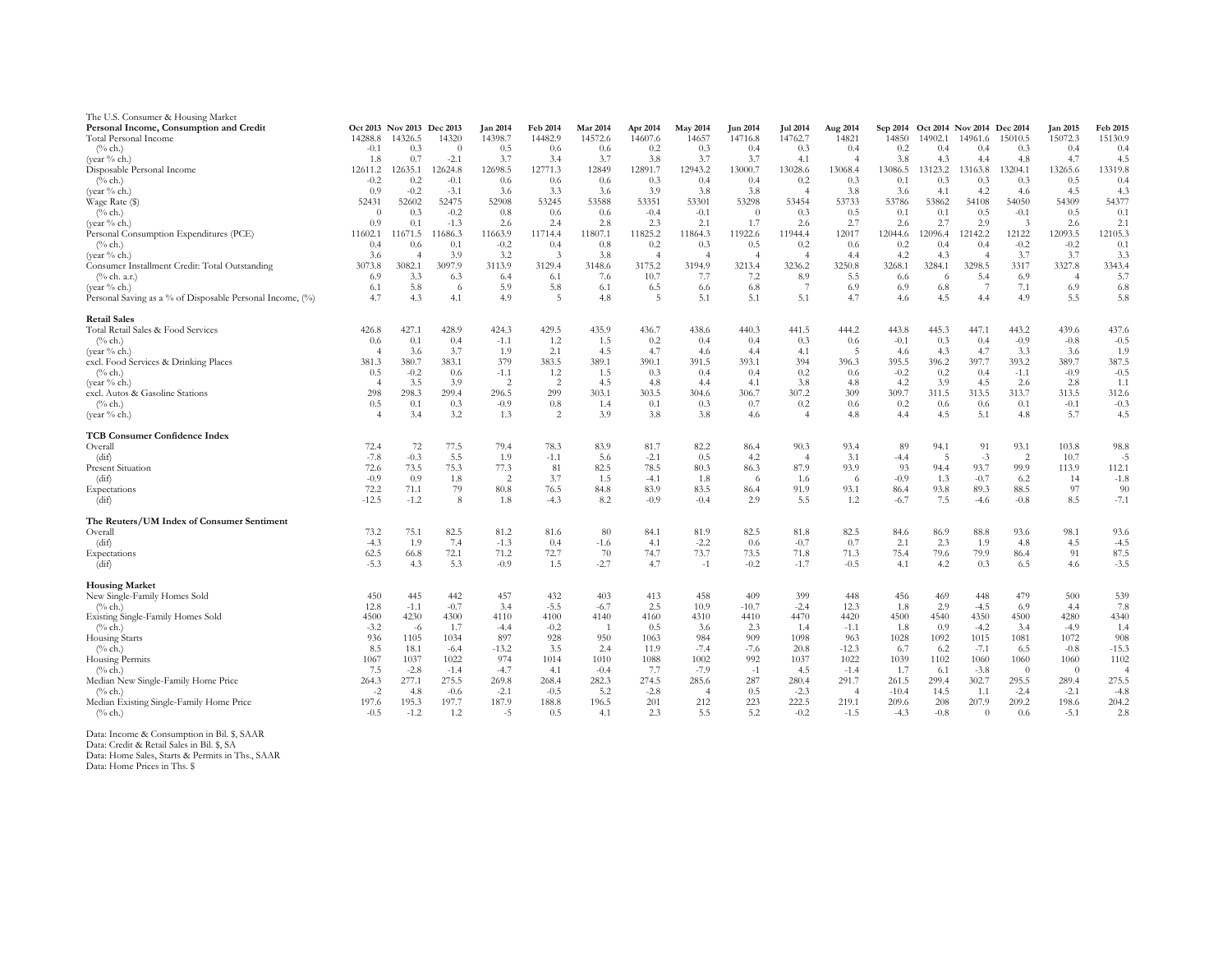| The U.S. Consumer & Housing Market                        |                   |                            |                   |                 |                |              |                |                |                 |                       |                |                |                |                                     |               |                 |                 |
|-----------------------------------------------------------|-------------------|----------------------------|-------------------|-----------------|----------------|--------------|----------------|----------------|-----------------|-----------------------|----------------|----------------|----------------|-------------------------------------|---------------|-----------------|-----------------|
| Personal Income, Consumption and Credit                   |                   | Oct 2013 Nov 2013 Dec 2013 |                   | <b>Jan 2014</b> | Feb 2014       | Mar 2014     | Apr 2014       | May 2014       | <b>Jun 2014</b> | <b>Jul 2014</b>       | Aug 2014       |                |                | Sep 2014 Oct 2014 Nov 2014 Dec 2014 |               | <b>Jan 2015</b> | Feb 2015        |
| Total Personal Income                                     | 14288.8           | 14326.5                    | 14320             | 14398.7         | 14482.9        | 14572.6      | 14607.6        | 14657          | 14716.8         | 14762.7               | 14821          | 14850          | 14902.1        | 14961.6                             | 15010.5       | 15072.3         | 15130.9         |
| $(\%$ ch.)                                                | $-0.1$            | 0.3                        | $\overline{0}$    | 0.5             | 0.6            | 0.6          | 0.2            | 0.3            | 0.4             | 0.3                   | 0.4            | 0.2            | 0.4            | 0.4                                 | 0.3           | 0.4             | 0.4             |
| (year % ch.)                                              | 1.8               | 0.7                        | $-2.1$            | 3.7             | 3.4            | 3.7          | 3.8            | 3.7            | 3.7             | 4.1                   | $\overline{4}$ | 3.8            | 4.3            | 4.4                                 | 4.8           | 4.7             | 4.5             |
| Disposable Personal Income                                | 12611.2<br>$-0.2$ | 12635.1<br>0.2             | 12624.8<br>$-0.1$ | 12698.5<br>0.6  | 12771.3        | 12849        | 12891.7<br>0.3 | 12943.2        | 13000.7<br>0.4  | 13028.6               | 13068.4        | 13086.5<br>0.1 | 13123.2<br>0.3 | 13163.8                             | 13204.1       | 13265.6<br>0.5  | 13319.8         |
| $(\%$ ch.)<br>(vear % ch.)                                | 0.9               | $-0.2$                     | $-3.1$            | 3.6             | 0.6<br>3.3     | 0.6<br>3.6   | 3.9            | 0.4<br>3.8     | 3.8             | 0.2<br>$\overline{4}$ | 0.3<br>3.8     | 3.6            | 4.1            | 0.3<br>4.2                          | 0.3<br>4.6    | 4.5             | 0.4<br>4.3      |
| Wage Rate (\$)                                            | 52431             | 52602                      | 52475             | 52908           | 53245          | 53588        | 53351          | 53301          | 53298           | 53454                 | 53733          | 53786          | 53862          | 54108                               | 54050         | 54309           | 54377           |
| $(\%$ ch.)                                                | $\Omega$          | 0.3                        | $-0.2$            | 0.8             | 0.6            | 0.6          | $-0.4$         | $-0.1$         | $\theta$        | 0.3                   | 0.5            | 0.1            | 0.1            | 0.5                                 | $-0.1$        | 0.5             | 0.1             |
| (year % ch.)                                              | 0.9               | 0.1                        | $-1.3$            | 2.6             | 2.4            | 2.8          | 2.3            | 2.1            | 1.7             | 2.6                   | 2.7            | 2.6            | 2.7            | 2.9                                 | $\mathcal{R}$ | 2.6             | 2.1             |
| Personal Consumption Expenditures (PCE)                   | 11602.1           | 11671.5                    | 11686.3           | 11663.9         | 11714.4        | 11807.1      | 11825.2        | 11864.3        | 11922.6         | 11944.4               | 12017          | 12044.6        | 12096.4        | 12142.2                             | 12122         | 12093.5         | 12105.3         |
| $(\%$ ch.)                                                | 0.4               | 0.6                        | 0.1               | $-0.2$          | 0.4            | $0.8\,$      | 0.2            | 0.3            | 0.5             | 0.2                   | 0.6            | 0.2            | 0.4            | 0.4                                 | $-0.2$        | $-0.2$          | 0.1             |
| (year % ch.)                                              | 3.6               | $\overline{4}$             | 3.9               | 3.2             | $\ddot{3}$     | 3.8          | $\overline{4}$ | $\overline{4}$ | $\overline{4}$  | $\overline{4}$        | 4.4            | 4.2            | 4.3            | $\overline{4}$                      | 3.7           | 3.7             | 3.3             |
| Consumer Installment Credit: Total Outstanding            | 3073.8            | 3082.1                     | 3097.9            | 3113.9          | 3129.4         | 3148.6       | 3175.2         | 3194.9         | 3213.4          | 3236.2                | 3250.8         | 3268.1         | 3284.1         | 3298.5                              | 3317          | 3327.8          | 3343.4          |
| $(\%$ ch. a.r.)                                           | 6.9               | 3.3                        | 6.3               | 6.4             | 6.1            | 7.6          | 10.7           | 7.7            | 7.2             | 8.9                   | 5.5            | 6.6            | -6             | 5.4                                 | 6.9           | $\overline{4}$  | 5.7             |
| (year % ch.)                                              | 6.1               | 5.8                        | -6                | 5.9             | 5.8            | 6.1          | 6.5            | 6.6            | 6.8             | $\overline{7}$        | 6.9            | 6.9            | 6.8            | -7                                  | 7.1           | 6.9             | 6.8             |
| Personal Saving as a % of Disposable Personal Income, (%) | 4.7               | 4.3                        | 4.1               | 4.9             | 5              | 4.8          | -5             | 5.1            | 5.1             | 5.1                   | 4.7            | 4.6            | 4.5            | 4.4                                 | 4.9           | 5.5             | 5.8             |
| <b>Retail Sales</b>                                       |                   |                            |                   |                 |                |              |                |                |                 |                       |                |                |                |                                     |               |                 |                 |
| Total Retail Sales & Food Services                        | 426.8             | 427.1                      | 428.9             | 424.3           | 429.5          | 435.9        | 436.7          | 438.6          | 440.3           | 441.5                 | 444.2          | 443.8          | 445.3          | 447.1                               | 443.2         | 439.6           | 437.6           |
| $(\%$ ch.                                                 | 0.6               | 0.1                        | 0.4               | $-1.1$          | 1.2            | 1.5          | 0.2            | 0.4            | 0.4             | 0.3                   | 0.6            | $-0.1$         | 0.3            | 0.4                                 | $-0.9$        | $-0.8$          | $-0.5$          |
| (year % ch.)                                              | $\overline{4}$    | 3.6                        | 3.7               | 1.9             | 2.1            | 4.5          | 4.7            | 4.6            | 4.4             | 4.1                   | -5             | 4.6            | 4.3            | 4.7                                 | 3.3           | 3.6             | 1.9             |
| excl. Food Services & Drinking Places                     | 381.3             | 380.7                      | 383.1             | 379             | 383.5          | 389.1        | 390.1          | 391.5          | 393.1           | 394                   | 396.3          | 395.5          | 396.2          | 397.7                               | 393.2         | 389.7           | 387.5           |
| $(\%$ ch.                                                 | 0.5               | $-0.2$                     | 0.6               | $-1.1$          | 1.2            | 1.5          | 0.3            | 0.4            | 0.4             | 0.2                   | 0.6            | $-0.2$         | 0.2            | 0.4                                 | $-1.1$        | $-0.9$          | $-0.5$          |
| (year % ch.)                                              | $\overline{4}$    | 3.5                        | 3.9               | 2               | $\overline{c}$ | 4.5          | 4.8            | 4.4            | 4.1             | 3.8                   | 4.8            | 4.2            | 3.9            | 4.5                                 | 2.6           | 2.8             | 1.1             |
| excl. Autos & Gasoline Stations<br>$(\%$ ch.)             | 298<br>0.5        | 298.3<br>0.1               | 299.4<br>0.3      | 296.5<br>$-0.9$ | 299<br>0.8     | 303.1<br>1.4 | 303.5<br>0.1   | 304.6<br>0.3   | 306.7<br>0.7    | 307.2<br>0.2          | 309<br>0.6     | 309.7<br>0.2   | 311.5<br>0.6   | 313.5<br>0.6                        | 313.7<br>0.1  | 313.5<br>$-0.1$ | 312.6<br>$-0.3$ |
| (year % ch.)                                              | $\overline{4}$    | 3.4                        | 3.2               | 1.3             | 2              | 3.9          | 3.8            | 3.8            | 4.6             | $\overline{4}$        | 4.8            | 4.4            | 4.5            | 5.1                                 | 4.8           | 5.7             | 4.5             |
| <b>TCB Consumer Confidence Index</b>                      |                   |                            |                   |                 |                |              |                |                |                 |                       |                |                |                |                                     |               |                 |                 |
| Overall                                                   | 72.4              | 72                         | 77.5              | 79.4            | 78.3           | 83.9         | 81.7           | 82.2           | 86.4            | 90.3                  | 93.4           | 89             | 94.1           | 91                                  | 93.1          | 103.8           | 98.8            |
| (dif)                                                     | $-7.8$            | $-0.3$                     | 5.5               | 1.9             | $-1.1$         | 5.6          | $-2.1$         | 0.5            | 4.2             | $\overline{4}$        | 3.1            | $-4.4$         | -5             | $-3$                                | 2             | 10.7            | $-5$            |
| <b>Present Situation</b>                                  | 72.6              | 73.5                       | 75.3              | 77.3            | 81             | 82.5         | 78.5           | 80.3           | 86.3            | 87.9                  | 93.9           | 93             | 94.4           | 93.7                                | 99.9          | 113.9           | 112.1           |
| (dif)                                                     | $-0.9$            | 0.9                        | 1.8               | 2               | 3.7            | 1.5          | $-4.1$         | 1.8            | -6              | 1.6                   | -6             | $-0.9$         | 1.3            | $-0.7$                              | 6.2           | 14              | $-1.8$          |
| Expectations                                              | 72.2              | 71.1                       | 79                | 80.8            | 76.5           | 84.8         | 83.9           | 83.5           | 86.4            | 91.9                  | 93.1           | 86.4           | 93.8           | 89.3                                | 88.5          | 97              | 90              |
| (dif)                                                     | $-12.5$           | $-1.2$                     | 8                 | 1.8             | $-4.3$         | 8.2          | $-0.9$         | $-0.4$         | 2.9             | 5.5                   | 1.2            | $-6.7$         | 7.5            | $-4.6$                              | $-0.8$        | 8.5             | $-7.1$          |
| The Reuters/UM Index of Consumer Sentiment                |                   |                            |                   |                 |                |              |                |                |                 |                       |                |                |                |                                     |               |                 |                 |
| Overall                                                   | 73.2              | 75.1                       | 82.5              | 81.2            | 81.6           | 80           | 84.1           | 81.9           | 82.5            | 81.8                  | 82.5           | 84.6           | 86.9           | 88.8                                | 93.6          | 98.1            | 93.6            |
| (dif)                                                     | $-4.3$            | 1.9                        | 7.4               | $-1.3$          | 0.4            | $-1.6$       | 4.1            | $-2.2$         | 0.6             | $-0.7$                | 0.7            | 2.1            | 2.3            | 1.9                                 | 4.8           | 4.5             | $-4.5$          |
| Expectations                                              | 62.5              | 66.8                       | 72.1              | 71.2            | 72.7           | 70           | 74.7           | 73.7           | 73.5            | 71.8                  | 71.3           | 75.4           | 79.6           | 79.9                                | 86.4          | 91              | 87.5            |
| (dif)                                                     | $-5.3$            | 4.3                        | 5.3               | $-0.9$          | 1.5            | $-2.7$       | 4.7            | $-1$           | $-0.2$          | $-1.7$                | $-0.5$         | 4.1            | 4.2            | 0.3                                 | 6.5           | 4.6             | $-3.5$          |
| <b>Housing Market</b>                                     |                   |                            |                   |                 |                |              |                |                |                 |                       |                |                |                |                                     |               |                 |                 |
| New Single-Family Homes Sold                              | 450               | 445                        | 442               | 457             | 432            | 403          | 413            | 458            | 409             | 399                   | 448            | 456            | 469            | 448                                 | 479           | 500             | 539             |
| $(\%$ ch.)                                                | 12.8              | $-1.1$                     | $-0.7$            | 3.4             | $-5.5$         | $-6.7$       | 2.5            | 10.9           | $-10.7$         | $-2.4$                | 12.3           | 1.8            | 2.9            | $-4.5$                              | 6.9           | 4.4             | 7.8             |
| Existing Single-Family Homes Sold                         | 4500              | 4230                       | 4300              | 4110            | 4100           | 4140         | 4160           | 4310           | 4410            | 4470                  | 4420           | 4500           | 4540           | 4350                                | 4500          | 4280            | 4340            |
| $(\%$ ch.)                                                | $-3.2$            | $-6$                       | 1.7               | $-4.4$          | $-0.2$         | -1           | 0.5            | 3.6            | 2.3             | 1.4                   | $-1.1$         | 1.8            | 0.9            | $-4.2$                              | 3.4           | $-4.9$          | 1.4             |
| <b>Housing Starts</b>                                     | 936<br>8.5        | 1105                       | 1034<br>$-6.4$    | 897<br>$-13.2$  | 928<br>3.5     | 950<br>2.4   | 1063<br>11.9   | 984<br>$-7.4$  | 909             | 1098<br>20.8          | 963<br>$-12.3$ | 1028           | 1092           | 1015                                | 1081<br>6.5   | 1072<br>$-0.8$  | 908             |
| $\frac{6}{6}$ ch.<br>Housing Permits                      | 1067              | 18.1<br>1037               | 1022              | 974             | 1014           | 1010         | 1088           | 1002           | $-7.6$<br>992   | 1037                  | 1022           | 6.7<br>1039    | 6.2<br>1102    | $-7.1$<br>1060                      | 1060          | 1060            | $-15.3$<br>1102 |
| $(\%$ ch.)                                                | 7.5               | $-2.8$                     | $-1.4$            | $-4.7$          | 4.1            | $-0.4$       | 7.7            | $-7.9$         | $-1$            | 4.5                   | $-1.4$         | 1.7            | 6.1            | $-3.8$                              | $\theta$      | $\theta$        | $\overline{A}$  |
| Median New Single-Family Home Price                       | 264.3             | 277.1                      | 275.5             | 269.8           | 268.4          | 282.3        | 274.5          | 285.6          | 287             | 280.4                 | 291.7          | 261.5          | 299.4          | 302.7                               | 295.5         | 289.4           | 275.5           |
| $(\%$ ch.)                                                | $-2$              | 4.8                        | $-0.6$            | $-2.1$          | $-0.5$         | 5.2          | $-2.8$         | $\overline{4}$ | 0.5             | $-2.3$                | $\overline{4}$ | $-10.4$        | 14.5           | 1.1                                 | $-2.4$        | $-2.1$          | $-4.8$          |
| Median Existing Single-Family Home Price                  | 197.6             | 195.3                      | 197.7             | 187.9           | 188.8          | 196.5        | 201            | 212            | 223             | 222.5                 | 219.1          | 209.6          | 208            | 207.9                               | 209.2         | 198.6           | 204.2           |
| $(^{0}\!/_{0}$ ch.)                                       | $-0.5$            | $-1.2$                     | 1.2               | $-5$            | 0.5            | 4.1          | 2.3            | 5.5            | 5.2             | $-0.2$                | $-1.5$         | $-4.3$         | $-0.8$         | $\theta$                            | 0.6           | $-5.1$          | 2.8             |
|                                                           |                   |                            |                   |                 |                |              |                |                |                 |                       |                |                |                |                                     |               |                 |                 |

Data: Income & Consumption in Bil. \$, SAAR<br>Data: Credit & Retail Sales in Bil. \$, SA<br>Data: Home Sales, Starts & Permits in Ths., SAAR<br>Data: Home Prices in Ths. \$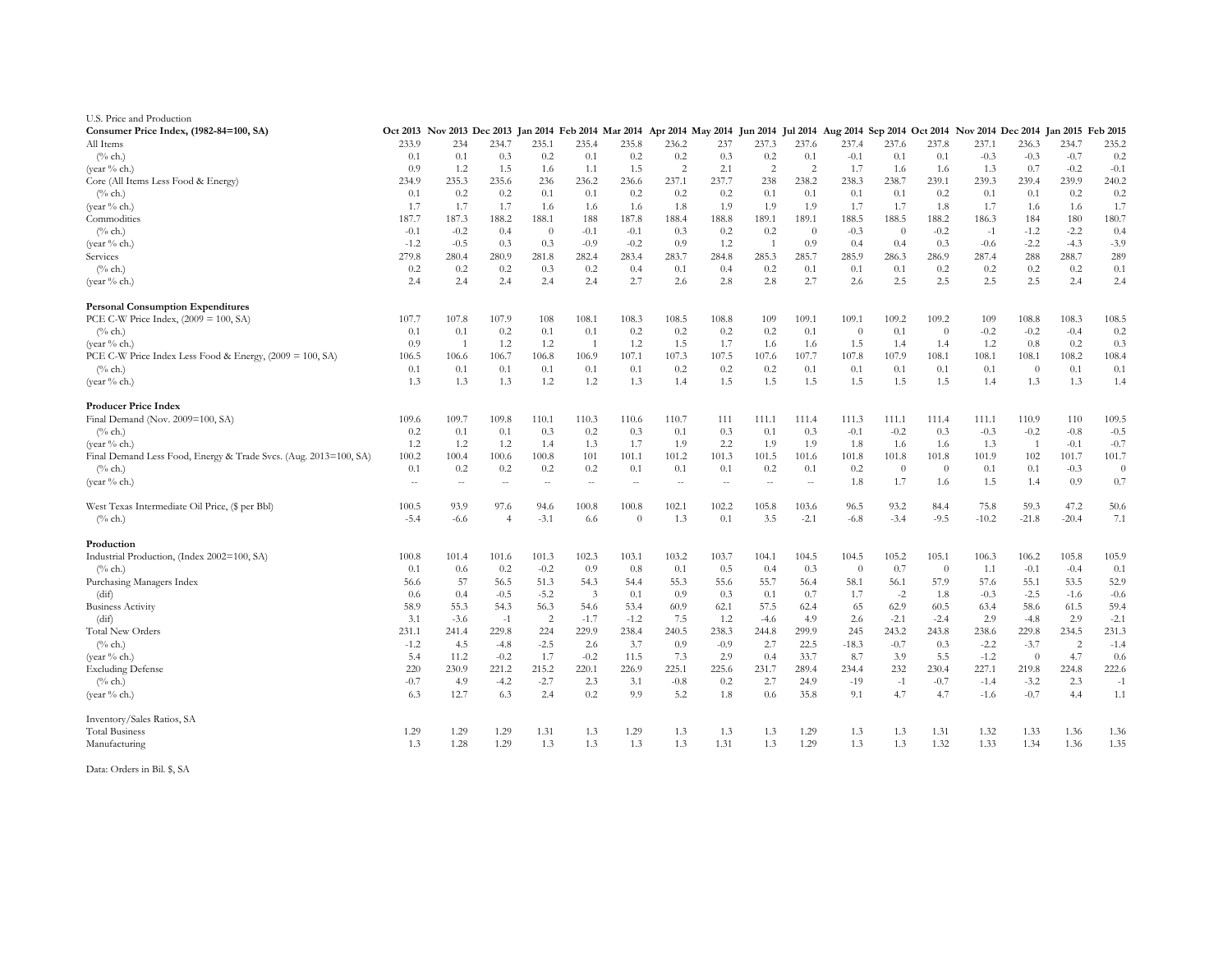| U.S. Price and Production                                        |                                                                                                                                                          |                |                |                |                |          |                |        |                |                |          |                |                |         |          |                |          |
|------------------------------------------------------------------|----------------------------------------------------------------------------------------------------------------------------------------------------------|----------------|----------------|----------------|----------------|----------|----------------|--------|----------------|----------------|----------|----------------|----------------|---------|----------|----------------|----------|
| Consumer Price Index, (1982-84=100, SA)                          | Oct 2013 Nov 2013 Dec 2013 Jan 2014 Feb 2014 Mar 2014 Apr 2014 May 2014 Jun 2014 Jul 2014 Aug 2014 Sep 2014 Oct 2014 Nov 2014 Dec 2014 Jan 2015 Feb 2015 |                |                |                |                |          |                |        |                |                |          |                |                |         |          |                |          |
| All Items                                                        | 233.9                                                                                                                                                    | 234            | 234.7          | 235.1          | 235.4          | 235.8    | 236.2          | 237    | 237.3          | 237.6          | 237.4    | 237.6          | 237.8          | 237.1   | 236.3    | 234.7          | 235.2    |
| $(\%$ ch.)                                                       | 0.1                                                                                                                                                      | 0.1            | 0.3            | 0.2            | 0.1            | 0.2      | 0.2            | 0.3    | 0.2            | 0.1            | $-0.1$   | 0.1            | 0.1            | $-0.3$  | $-0.3$   | $-0.7$         | 0.2      |
| (vear % ch.)                                                     | 0.9                                                                                                                                                      | 1.2            | 1.5            | 1.6            | 1.1            | 1.5      | $\overline{2}$ | 2.1    | $\overline{2}$ | $\overline{2}$ | 1.7      | 1.6            | 1.6            | 1.3     | 0.7      | $-0.2$         | $-0.1$   |
| Core (All Items Less Food & Energy)                              | 234.9                                                                                                                                                    | 235.3          | 235.6          | 236            | 236.2          | 236.6    | 237.1          | 237.7  | 238            | 238.2          | 238.3    | 238.7          | 239.1          | 239.3   | 239.4    | 239.9          | 240.2    |
| $(\%$ ch.)                                                       | 0.1                                                                                                                                                      | 0.2            | 0.2            | 0.1            | 0.1            | 0.2      | 0.2            | 0.2    | 0.1            | 0.1            | 0.1      | 0.1            | 0.2            | 0.1     | 0.1      | 0.2            | 0.2      |
| (year % ch.)                                                     | 1.7                                                                                                                                                      | 1.7            | 1.7            | 1.6            | 1.6            | 1.6      | 1.8            | 1.9    | 1.9            | 1.9            | 1.7      | 1.7            | 1.8            | 1.7     | 1.6      | 1.6            | 1.7      |
| Commodities                                                      | 187.7                                                                                                                                                    | 187.3          | 188.2          | 188.1          | 188            | 187.8    | 188.4          | 188.8  | 189.1          | 189.1          | 188.5    | 188.5          | 188.2          | 186.3   | 184      | 180            | 180.7    |
| $(\%$ ch.)                                                       | $-0.1$                                                                                                                                                   | $-0.2$         | 0.4            | $\Omega$       | $-0.1$         | $-0.1$   | 0.3            | 0.2    | 0.2            | $\theta$       | $-0.3$   | $\theta$       | $-0.2$         | $-1$    | $-1.2$   | $-2.2$         | 0.4      |
| (year % ch.)                                                     | $-1.2$                                                                                                                                                   | $-0.5$         | 0.3            | 0.3            | $-0.9$         | $-0.2$   | 0.9            | 1.2    | -1             | 0.9            | 0.4      | 0.4            | 0.3            | $-0.6$  | $-2.2$   | $-4.3$         | $-3.9$   |
| Services                                                         | 279.8                                                                                                                                                    | 280.4          | 280.9          | 281.8          | 282.4          | 283.4    | 283.7          | 284.8  | 285.3          | 285.7          | 285.9    | 286.3          | 286.9          | 287.4   | 288      | 288.7          | 289      |
| $(\%$ ch.)                                                       | 0.2                                                                                                                                                      | 0.2            | 0.2            | 0.3            | 0.2            | 0.4      | 0.1            | 0.4    | 0.2            | 0.1            | 0.1      | 0.1            | 0.2            | 0.2     | 0.2      | $0.2^{\circ}$  | 0.1      |
| (year $%$ ch.)                                                   | 2.4                                                                                                                                                      | 2.4            | 2.4            | 2.4            | 2.4            | 2.7      | 2.6            | 2.8    | 2.8            | 2.7            | 2.6      | 2.5            | 2.5            | 2.5     | 2.5      | 2.4            | 2.4      |
| <b>Personal Consumption Expenditures</b>                         |                                                                                                                                                          |                |                |                |                |          |                |        |                |                |          |                |                |         |          |                |          |
| PCE C-W Price Index, $(2009 = 100, SA)$                          | 107.7                                                                                                                                                    | 107.8          | 107.9          | 108            | 108.1          | 108.3    | 108.5          | 108.8  | 109            | 109.1          | 109.1    | 109.2          | 109.2          | 109     | 108.8    | 108.3          | 108.5    |
| $(\%$ ch.)                                                       | 0.1                                                                                                                                                      | 0.1            | 0.2            | 0.1            | 0.1            | 0.2      | 0.2            | 0.2    | 0.2            | 0.1            | $\Omega$ | 0.1            | $\overline{0}$ | $-0.2$  | $-0.2$   | $-0.4$         | 0.2      |
| (year % ch.)                                                     | 0.9                                                                                                                                                      | $\overline{1}$ | 1.2            | 1.2            | $\overline{1}$ | 1.2      | 1.5            | 1.7    | 1.6            | 1.6            | 1.5      | 1.4            | 1.4            | 1.2     | 0.8      | 0.2            | 0.3      |
|                                                                  |                                                                                                                                                          |                |                |                |                | 107.1    | 107.3          | 107.5  | 107.6          | 107.7          | 107.8    | 107.9          |                |         |          | 108.2          | 108.4    |
| PCE C-W Price Index Less Food & Energy, (2009 = 100, SA)         | 106.5                                                                                                                                                    | 106.6          | 106.7          | 106.8          | 106.9          |          |                |        |                |                |          |                | 108.1          | 108.1   | 108.1    |                | 0.1      |
| $(\%$ ch.)                                                       | 0.1                                                                                                                                                      | 0.1            | 0.1            | 0.1            | 0.1            | 0.1      | 0.2            | 0.2    | 0.2            | 0.1            | 0.1      | 0.1            | 0.1            | 0.1     | $\theta$ | 0.1            |          |
| (year $%$ ch.)                                                   | 1.3                                                                                                                                                      | 1.3            | 1.3            | 1.2            | 1.2            | 1.3      | 1.4            | 1.5    | 1.5            | 1.5            | 1.5      | 1.5            | 1.5            | 1.4     | 1.3      | 1.3            | 1.4      |
| <b>Producer Price Index</b>                                      |                                                                                                                                                          |                |                |                |                |          |                |        |                |                |          |                |                |         |          |                |          |
| Final Demand (Nov. 2009=100, SA)                                 | 109.6                                                                                                                                                    | 109.7          | 109.8          | 110.1          | 110.3          | 110.6    | 110.7          | 111    | 111.1          | 111.4          | 111.3    | 111.1          | 111.4          | 111.1   | 110.9    | 110            | 109.5    |
| $(\%$ ch.)                                                       | 0.2                                                                                                                                                      | 0.1            | 0.1            | 0.3            | 0.2            | 0.3      | 0.1            | 0.3    | 0.1            | 0.3            | $-0.1$   | $-0.2$         | 0.3            | $-0.3$  | $-0.2$   | $-0.8$         | $-0.5$   |
| (year % ch.)                                                     | 1.2                                                                                                                                                      | 1.2            | 1.2            | 1.4            | 1.3            | 1.7      | 1.9            | 2.2    | 1.9            | 1.9            | 1.8      | 1.6            | 1.6            | 1.3     | -1       | $-0.1$         | $-0.7$   |
| Final Demand Less Food, Energy & Trade Svcs. (Aug. 2013=100, SA) | 100.2                                                                                                                                                    | 100.4          | 100.6          | 100.8          | 101            | 101.1    | 101.2          | 101.3  | 101.5          | 101.6          | 101.8    | 101.8          | 101.8          | 101.9   | 102      | 101.7          | 101.7    |
| $(\%$ ch.)                                                       | 0.1                                                                                                                                                      | 0.2            | 0.2            | 0.2            | 0.2            | 0.1      | 0.1            | 0.1    | 0.2            | 0.1            | 0.2      | $\overline{0}$ | $\overline{0}$ | 0.1     | 0.1      | $-0.3$         | $\theta$ |
| (year $%$ ch.)                                                   | $\sim$                                                                                                                                                   | $\sim$         | $\sim$         | $\sim$         | $\sim$         | $\sim$   | $\sim$         | $\sim$ | $\sim$         | $\sim$         | 1.8      | 1.7            | 1.6            | 1.5     | 1.4      | 0.9            | 0.7      |
| West Texas Intermediate Oil Price, (\$ per Bbl)                  | 100.5                                                                                                                                                    | 93.9           | 97.6           | 94.6           | 100.8          | 100.8    | 102.1          | 102.2  | 105.8          | 103.6          | 96.5     | 93.2           | 84.4           | 75.8    | 59.3     | 47.2           | 50.6     |
| $(\%$ ch.)                                                       | $-5.4$                                                                                                                                                   | $-6.6$         | $\overline{4}$ | $-3.1$         | 6.6            | $\theta$ | 1.3            | 0.1    | 3.5            | $-2.1$         | $-6.8$   | $-3.4$         | $-9.5$         | $-10.2$ | $-21.8$  | $-20.4$        | 7.1      |
| Production                                                       |                                                                                                                                                          |                |                |                |                |          |                |        |                |                |          |                |                |         |          |                |          |
| Industrial Production, (Index 2002=100, SA)                      | 100.8                                                                                                                                                    | 101.4          | 101.6          | 101.3          | 102.3          | 103.1    | 103.2          | 103.7  | 104.1          | 104.5          | 104.5    | 105.2          | 105.1          | 106.3   | 106.2    | 105.8          | 105.9    |
| $(\%$ ch.)                                                       | 0.1                                                                                                                                                      | 0.6            | 0.2            | $-0.2$         | 0.9            | 0.8      | 0.1            | 0.5    | 0.4            | 0.3            | $\theta$ | 0.7            | $\overline{0}$ | 1.1     | $-0.1$   | $-0.4$         | 0.1      |
| Purchasing Managers Index                                        | 56.6                                                                                                                                                     | 57             | 56.5           | 51.3           | 54.3           | 54.4     | 55.3           | 55.6   | 55.7           | 56.4           | 58.1     | 56.1           | 57.9           | 57.6    | 55.1     | 53.5           | 52.9     |
| (dif)                                                            | 0.6                                                                                                                                                      | 0.4            | $-0.5$         | $-5.2$         | 3              | 0.1      | 0.9            | 0.3    | 0.1            | 0.7            | 1.7      | $-2$           | 1.8            | $-0.3$  | $-2.5$   | $-1.6$         | $-0.6$   |
| <b>Business Activity</b>                                         | 58.9                                                                                                                                                     | 55.3           | 54.3           | 56.3           | 54.6           | 53.4     | 60.9           | 62.1   | 57.5           | 62.4           | 65       | 62.9           | 60.5           | 63.4    | 58.6     | 61.5           | 59.4     |
| (dif)                                                            | 3.1                                                                                                                                                      | $-3.6$         | $-1$           | $\overline{2}$ | $-1.7$         | $-1.2$   | 7.5            | 1.2    | $-4.6$         | 4.9            | 2.6      | $-2.1$         | $-2.4$         | 2.9     | $-4.8$   | 2.9            | $-2.1$   |
| <b>Total New Orders</b>                                          | 231.1                                                                                                                                                    | 241.4          | 229.8          | 224            | 229.9          | 238.4    | 240.5          | 238.3  | 244.8          | 299.9          | 245      | 243.2          | 243.8          | 238.6   | 229.8    | 234.5          | 231.3    |
| $(\%$ ch.)                                                       | $-1.2$                                                                                                                                                   | 4.5            | $-4.8$         | $-2.5$         | 2.6            | 3.7      | 0.9            | $-0.9$ | 2.7            | 22.5           | $-18.3$  | $-0.7$         | 0.3            | $-2.2$  | $-3.7$   | $\overline{c}$ | $-1.4$   |
| (year % ch.)                                                     | 5.4                                                                                                                                                      | 11.2           | $-0.2$         | 1.7            | $-0.2$         | 11.5     | 7.3            | 2.9    | 0.4            | 33.7           | 8.7      | 3.9            | 5.5            | $-1.2$  | $\theta$ | 4.7            | 0.6      |
| <b>Excluding Defense</b>                                         | 220                                                                                                                                                      | 230.9          | 221.2          | 215.2          | 220.1          | 226.9    | 225.1          | 225.6  | 231.7          | 289.4          | 234.4    | 232            | 230.4          | 227.1   | 219.8    | 224.8          | 222.6    |
| $(\%$ ch.)                                                       | $-0.7$                                                                                                                                                   | 4.9            | $-4.2$         | $-2.7$         | 2.3            | 3.1      | $-0.8$         | 0.2    | 2.7            | 24.9           | $-19$    | $-1$           | $-0.7$         | $-1.4$  | $-3.2$   | 2.3            | $-1$     |
| (year % ch.)                                                     | 6.3                                                                                                                                                      | 12.7           | 6.3            | 2.4            | 0.2            | 9.9      | 5.2            | 1.8    | 0.6            | 35.8           | 9.1      | 4.7            | 4.7            | $-1.6$  | $-0.7$   | 4.4            | 1.1      |
| Inventory/Sales Ratios, SA                                       |                                                                                                                                                          |                |                |                |                |          |                |        |                |                |          |                |                |         |          |                |          |
| <b>Total Business</b>                                            | 1.29                                                                                                                                                     | 1.29           | 1.29           | 1.31           | 1.3            | 1.29     | 1.3            | 1.3    | 1.3            | 1.29           | 1.3      | 1.3            | 1.31           | 1.32    | 1.33     | 1.36           | 1.36     |
| Manufacturing                                                    | 1.3                                                                                                                                                      | 1.28           | 1.29           | 1.3            | 1.3            | 1.3      | 1.3            | 1.31   | 1.3            | 1.29           | 1.3      | 1.3            | 1.32           | 1.33    | 1.34     | 1.36           | 1.35     |
|                                                                  |                                                                                                                                                          |                |                |                |                |          |                |        |                |                |          |                |                |         |          |                |          |
| Data: Orders in Bil. \$, SA                                      |                                                                                                                                                          |                |                |                |                |          |                |        |                |                |          |                |                |         |          |                |          |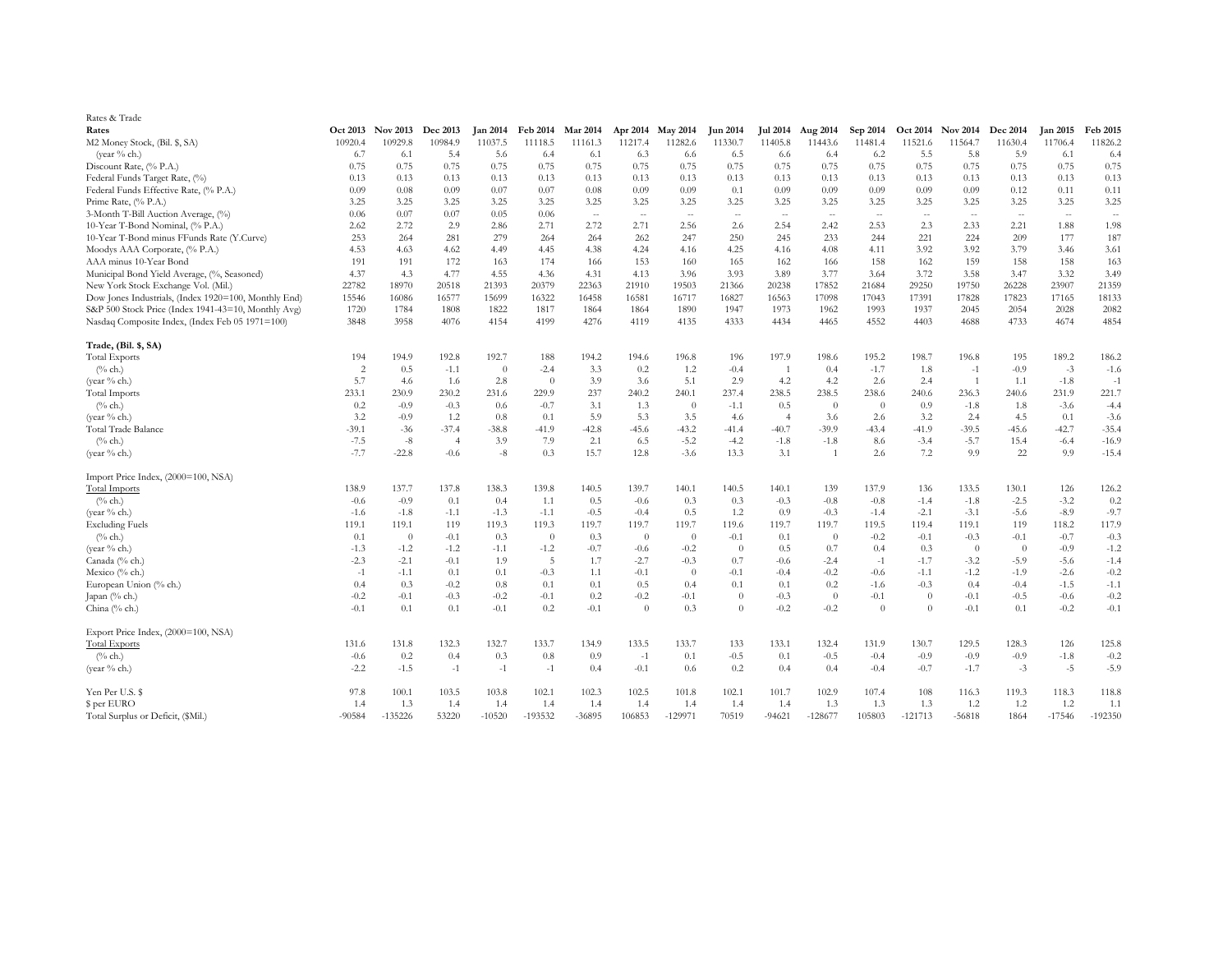| Rates & Trade                                        |                |                 |                 |                 |                 |                 |          |                   |                 |                 |                |          |                          |                   |                 |                 |                 |
|------------------------------------------------------|----------------|-----------------|-----------------|-----------------|-----------------|-----------------|----------|-------------------|-----------------|-----------------|----------------|----------|--------------------------|-------------------|-----------------|-----------------|-----------------|
| Rates                                                | Oct 2013       | <b>Nov 2013</b> | <b>Dec 2013</b> | <b>Jan 2014</b> | <b>Feb 2014</b> | <b>Mar 2014</b> |          | Apr 2014 May 2014 | <b>Jun 2014</b> | <b>Jul 2014</b> | Aug 2014       | Sep 2014 |                          | Oct 2014 Nov 2014 | <b>Dec 2014</b> | <b>Jan 2015</b> | <b>Feb 2015</b> |
| M2 Money Stock, (Bil. \$, SA)                        | 10920.4        | 10929.8         | 10984.9         | 11037.5         | 11118.5         | 11161.3         | 11217.4  | 11282.6           | 11330.7         | 11405.8         | 11443.6        | 11481.4  | 11521.6                  | 11564.7           | 11630.4         | 11706.4         | 11826.2         |
| (year $%$ ch.)                                       | 6.7            | 6.1             | 5.4             | 5.6             | 6.4             | 6.1             | 6.3      | 6.6               | 6.5             | 6.6             | 6.4            | 6.2      | 5.5                      | 5.8               | 5.9             | 6.1             | 6.4             |
| Discount Rate, (% P.A.)                              | 0.75           | 0.75            | 0.75            | 0.75            | 0.75            | 0.75            | 0.75     | 0.75              | 0.75            | 0.75            | 0.75           | 0.75     | 0.75                     | 0.75              | 0.75            | 0.75            | 0.75            |
| Federal Funds Target Rate, (%)                       | 0.13           | 0.13            | 0.13            | 0.13            | 0.13            | 0.13            | 0.13     | 0.13              | 0.13            | 0.13            | 0.13           | 0.13     | 0.13                     | 0.13              | 0.13            | 0.13            | 0.13            |
| Federal Funds Effective Rate, (% P.A.)               | 0.09           | 0.08            | 0.09            | 0.07            | 0.07            | 0.08            | 0.09     | 0.09              | 0.1             | 0.09            | 0.09           | 0.09     | 0.09                     | 0.09              | 0.12            | 0.11            | 0.11            |
| Prime Rate, (% P.A.)                                 | 3.25           | 3.25            | 3.25            | 3.25            | 3.25            | 3.25            | 3.25     | 3.25              | 3.25            | 3.25            | 3.25           | 3.25     | 3.25                     | 3.25              | 3.25            | 3.25            | 3.25            |
| 3-Month T-Bill Auction Average, (%)                  | 0.06           | 0.07            | 0.07            | 0.05            | 0.06            | $\sim$          | $\sim$   | $\sim$            | $\overline{a}$  | $\sim$          | $\sim$         | $\sim$   | $\overline{\phantom{a}}$ | $\sim$            | $\sim$          | $\sim$          | $\sim$          |
| 10-Year T-Bond Nominal, (% P.A.)                     | 2.62           | 2.72            | 2.9             | 2.86            | 2.71            | 2.72            | 2.71     | 2.56              | 2.6             | 2.54            | 2.42           | 2.53     | 2.3                      | 2.33              | 2.21            | 1.88            | 1.98            |
| 10-Year T-Bond minus FFunds Rate (Y.Curve)           | 253            | 264             | 281             | 279             | 264             | 264             | 262      | 247               | 250             | 245             | 233            | 244      | 221                      | 224               | 209             | 177             | 187             |
| Moodys AAA Corporate, (% P.A.)                       | 4.53           | 4.63            | 4.62            | 4.49            | 4.45            | 4.38            | 4.24     | 4.16              | 4.25            | 4.16            | 4.08           | 4.11     | 3.92                     | 3.92              | 3.79            | 3.46            | 3.61            |
| AAA minus 10-Year Bond                               | 191            | 191             | 172             | 163             | 174             | 166             | 153      | 160               | 165             | 162             | 166            | 158      | 162                      | 159               | 158             | 158             | 163             |
| Municipal Bond Yield Average, (%, Seasoned)          | 4.37           | 4.3             | 4.77            | 4.55            | 4.36            | 4.31            | 4.13     | 3.96              | 3.93            | 3.89            | 3.77           | 3.64     | 3.72                     | 3.58              | 3.47            | 3.32            | 3.49            |
| New York Stock Exchange Vol. (Mil.)                  | 22782          | 18970           | 20518           | 21393           | 20379           | 22363           | 21910    | 19503             | 21366           | 20238           | 17852          | 21684    | 29250                    | 19750             | 26228           | 23907           | 21359           |
| Dow Jones Industrials, (Index 1920=100, Monthly End) | 15546          | 16086           | 16577           | 15699           | 16322           | 16458           | 16581    | 16717             | 16827           | 16563           | 17098          | 17043    | 17391                    | 17828             | 17823           | 17165           | 18133           |
| S&P 500 Stock Price (Index 1941-43=10, Monthly Avg)  | 1720           | 1784            | 1808            | 1822            | 1817            | 1864            | 1864     | 1890              | 1947            | 1973            | 1962           | 1993     | 1937                     | 2045              | 2054            | 2028            | 2082            |
| Nasdaq Composite Index, (Index Feb 05 1971=100)      | 3848           | 3958            | 4076            | 4154            | 4199            | 4276            | 4119     | 4135              | 4333            | 4434            | 4465           | 4552     | 4403                     | 4688              | 4733            | 4674            | 4854            |
| Trade, (Bil. \$, SA)                                 |                |                 |                 |                 |                 |                 |          |                   |                 |                 |                |          |                          |                   |                 |                 |                 |
| <b>Total Exports</b>                                 | 194            | 194.9           | 192.8           | 192.7           | 188             | 194.2           | 194.6    | 196.8             | 196             | 197.9           | 198.6          | 195.2    | 198.7                    | 196.8             | 195             | 189.2           | 186.2           |
| $(\%$ ch.)                                           | $\overline{c}$ | 0.5             | $-1.1$          | $\theta$        | $-2.4$          | 3.3             | 0.2      | 1.2               | $-0.4$          | $\overline{1}$  | 0.4            | $-1.7$   | 1.8                      | $-1$              | $-0.9$          | $-3$            | $-1.6$          |
| (year % ch.)                                         | 5.7            | 4.6             | -1.6            | 2.8             | $\overline{0}$  | 3.9             | 3.6      | 5.1               | 2.9             | 4.2             | 4.2            | 2.6      | 2.4                      | $\overline{1}$    | 1.1             | $-1.8$          | $-1$            |
| <b>Total Imports</b>                                 | 233.1          | 230.9           | 230.2           | 231.6           | 229.9           | 237             | 240.2    | 240.1             | 237.4           | 238.5           | 238.5          | 238.6    | 240.6                    | 236.3             | 240.6           | 231.9           | 221.7           |
| $(\%$ ch.)                                           | 0.2            | $-0.9$          | $-0.3$          | 0.6             | $-0.7$          | 3.1             | 1.3      | $\theta$          | $-1.1$          | 0.5             | $\theta$       | $\theta$ | 0.9                      | $-1.8$            | 1.8             | $-3.6$          | $-4.4$          |
| (year % ch.)                                         | 3.2            | $-0.9$          | 1.2             | 0.8             | 0.1             | 5.9             | 5.3      | 3.5               | 4.6             | $\overline{4}$  | 3.6            | 2.6      | 3.2                      | 2.4               | 4.5             | 0.1             | $-3.6$          |
| Total Trade Balance                                  | $-39.1$        | $-36$           | $-37.4$         | $-38.8$         | $-41.9$         | $-42.8$         | $-45.6$  | $-43.2$           | $-41.4$         | $-40.7$         | $-39.9$        | $-43.4$  | $-41.9$                  | $-39.5$           | $-45.6$         | $-42.7$         | $-35.4$         |
| $(\%$ ch.)                                           | $-7.5$         | $-8$            | $\overline{4}$  | 3.9             | 7.9             | 2.1             | 6.5      | $-5.2$            | $-4.2$          | $-1.8$          | $-1.8$         | 8.6      | $-3.4$                   | $-5.7$            | 15.4            | $-6.4$          | $-16.9$         |
| (year % ch.)                                         | $-7.7$         | $-22.8$         | $-0.6$          | $-8$            | 0.3             | 15.7            | 12.8     | $-3.6$            | 13.3            | 3.1             | $\overline{1}$ | 2.6      | 7.2                      | 9.9               | 22              | 9.9             | $-15.4$         |
| Import Price Index, (2000=100, NSA)                  |                |                 |                 |                 |                 |                 |          |                   |                 |                 |                |          |                          |                   |                 |                 |                 |
| <b>Total Imports</b>                                 | 138.9          | 137.7           | 137.8           | 138.3           | 139.8           | 140.5           | 139.7    | 140.1             | 140.5           | 140.1           | 139            | 137.9    | 136                      | 133.5             | 130.1           | 126             | 126.2           |
| $(\%$ ch.)                                           | $-0.6$         | $-0.9$          | 0.1             | 0.4             | 1.1             | 0.5             | $-0.6$   | 0.3               | 0.3             | $-0.3$          | $-0.8$         | $-0.8$   | $-1.4$                   | $-1.8$            | $-2.5$          | $-3.2$          | 0.2             |
| (year % ch.)                                         | $-1.6$         | $-1.8$          | $-1.1$          | $-1.3$          | $-1.1$          | $-0.5$          | $-0.4$   | 0.5               | 1.2             | 0.9             | $-0.3$         | $-1.4$   | $-2.1$                   | $-3.1$            | $-5.6$          | $-8.9$          | $-9.7$          |
| <b>Excluding Fuels</b>                               | 119.1          | 119.1           | 119             | 119.3           | 119.3           | 119.7           | 119.7    | 119.7             | 119.6           | 119.7           | 119.7          | 119.5    | 119.4                    | 119.1             | 119             | 118.2           | 117.9           |
| $(\%$ ch.)                                           | 0.1            | $\Omega$        | $-0.1$          | 0.3             | $\overline{0}$  | 0.3             | $\theta$ | $\theta$          | $-0.1$          | 0.1             | $\theta$       | $-0.2$   | $-0.1$                   | $-0.3$            | $-0.1$          | $-0.7$          | $-0.3$          |
| (year % ch.)                                         | $-1.3$         | $-1.2$          | $-1.2$          | $-1.1$          | $-1.2$          | $-0.7$          | $-0.6$   | $-0.2$            | $\theta$        | 0.5             | 0.7            | 0.4      | 0.3                      | $\theta$          | $\overline{0}$  | $-0.9$          | $-1.2$          |
| Canada (% ch.)                                       | $-2.3$         | $-2.1$          | $-0.1$          | 1.9             | 5               | 1.7             | $-2.7$   | $-0.3$            | 0.7             | $-0.6$          | $-2.4$         | $-1$     | $-1.7$                   | $-3.2$            | $-5.9$          | $-5.6$          | $-1.4$          |
| Mexico (% ch.)                                       | $-1$           | $-1.1$          | 0.1             | 0.1             | $-0.3$          | 1.1             | $-0.1$   | $\theta$          | $-0.1$          | $-0.4$          | $-0.2$         | $-0.6$   | $-1.1$                   | $-1.2$            | $-1.9$          | $-2.6$          | $-0.2$          |
| European Union (% ch.)                               | 0.4            | 0.3             | $-0.2$          | 0.8             | 0.1             | 0.1             | 0.5      | 0.4               | 0.1             | 0.1             | 0.2            | $-1.6$   | $-0.3$                   | 0.4               | $-0.4$          | $-1.5$          | $-1.1$          |
| Japan (% ch.)                                        | $-0.2$         | $-0.1$          | $-0.3$          | $-0.2$          | $-0.1$          | 0.2             | $-0.2$   | $-0.1$            | $\theta$        | $-0.3$          | $\theta$       | $-0.1$   | $\Omega$                 | $-0.1$            | $-0.5$          | $-0.6$          | $-0.2$          |
| China (% ch.)                                        | $-0.1$         | 0.1             | 0.1             | $-0.1$          | 0.2             | $-0.1$          | $\theta$ | 0.3               | $\Omega$        | $-0.2$          | $-0.2$         | $\theta$ | $\Omega$                 | $-0.1$            | 0.1             | $-0.2$          | $-0.1$          |
| Export Price Index, (2000=100, NSA)                  |                |                 |                 |                 |                 |                 |          |                   |                 |                 |                |          |                          |                   |                 |                 |                 |
| <b>Total Exports</b>                                 | 131.6          | 131.8           | 132.3           | 132.7           | 133.7           | 134.9           | 133.5    | 133.7             | 133             | 133.1           | 132.4          | 131.9    | 130.7                    | 129.5             | 128.3           | 126             | 125.8           |
| $(\%$ ch.)                                           | $-0.6$         | 0.2             | 0.4             | 0.3             | 0.8             | 0.9             | $-1$     | 0.1               | $-0.5$          | 0.1             | $-0.5$         | $-0.4$   | $-0.9$                   | $-0.9$            | $-0.9$          | $-1.8$          | $-0.2$          |
| (year % ch.)                                         | $-2.2$         | $-1.5$          | $-1$            | $-1$            | $-1$            | 0.4             | $-0.1$   | 0.6               | 0.2             | 0.4             | 0.4            | $-0.4$   | $-0.7$                   | $-1.7$            | $-3$            | $-5$            | $-5.9$          |
| Yen Per U.S. \$                                      | 97.8           | 100.1           | 103.5           | 103.8           | 102.1           | 102.3           | 102.5    | 101.8             | 102.1           | 101.7           | 102.9          | 107.4    | 108                      | 116.3             | 119.3           | 118.3           | 118.8           |
| \$ per EURO                                          | 1.4            | 1.3             | 1.4             | 1.4             | 1.4             | 1.4             | 1.4      | 1.4               | 1.4             | 1.4             | 1.3            | 1.3      | 1.3                      | 1.2               | 1.2             | 1.2             | 1.1             |
| Total Surplus or Deficit, (\$Mil.)                   | $-90584$       | $-135226$       | 53220           | $-10520$        | $-193532$       | $-36895$        | 106853   | $-129971$         | 70519           | $-94621$        | $-128677$      | 105803   | $-121713$                | $-56818$          | 1864            | $-17546$        | $-192350$       |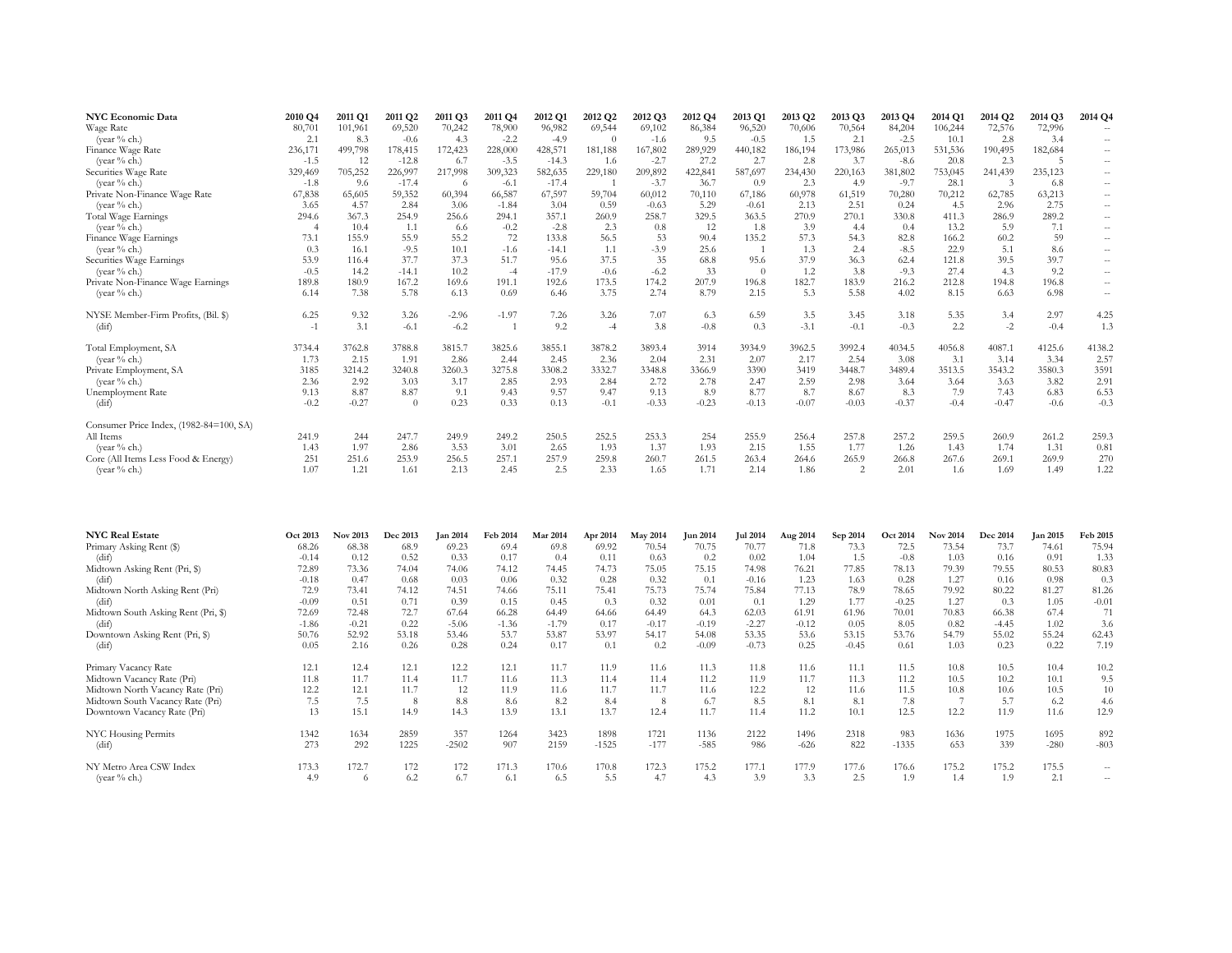| <b>NYC Economic Data</b>                | 2010 Q4 | 2011 Q1 | 2011 Q2 | 2011 Q3 | 2011 Q4 | 2012 Q1 | 2012 Q2  | 2012 Q3 | 2012 Q4 | 2013 Q1  | 2013 Q2 | 2013 Q3 | 2013 Q4 | 2014 Q1 | 2014 Q2 | 2014 Q3 | 2014 Q4                  |
|-----------------------------------------|---------|---------|---------|---------|---------|---------|----------|---------|---------|----------|---------|---------|---------|---------|---------|---------|--------------------------|
| Wage Rate                               | 80,701  | 101,961 | 69,520  | 70,242  | 78,900  | 96,982  | 69,544   | 69,102  | 86,384  | 96,520   | 70,606  | 70,564  | 84,204  | 106,244 | 72,576  | 72,996  | $\sim$                   |
| (year % ch.)                            | 2.1     | 8.3     | $-0.6$  | 4.3     | $-2.2$  | $-4.9$  | $\Omega$ | $-1.6$  | 9.5     | $-0.5$   | 1.5     | 2.1     | $-2.5$  | 10.1    | 2.8     | 3.4     | $\sim$                   |
| Finance Wage Rate                       | 236,171 | 499,798 | 178,415 | 172,423 | 228,000 | 428,571 | 181,188  | 167,802 | 289,929 | 440,182  | 186,194 | 173,986 | 265,013 | 531,536 | 190,495 | 182,684 | $\overline{\phantom{m}}$ |
| (vear % ch.)                            | $-1.5$  | 12      | $-12.8$ | 6.7     | $-3.5$  | $-14.3$ | 1.6      | $-2.7$  | 27.2    | 2.7      | 2.8     | 3.7     | $-8.6$  | 20.8    | 2.3     |         | $\sim$                   |
| Securities Wage Rate                    | 329,469 | 705,252 | 226,997 | 217,998 | 309,323 | 582,635 | 229,180  | 209,892 | 422,841 | 587,697  | 234,430 | 220,163 | 381,802 | 753,045 | 241,439 | 235,123 | $\overline{\phantom{m}}$ |
| (year % ch.)                            | $-1.8$  | 9.6     | $-17.4$ | -6      | $-6.1$  | $-17.4$ |          | $-3.7$  | 36.7    | 0.9      | 2.3     | 4.9     | $-9.7$  | 28.1    |         | 6.8     | $\sim$                   |
| Private Non-Finance Wage Rate           | 67,838  | 65.605  | 59,352  | 60,394  | 66,587  | 67,597  | 59,704   | 60,012  | 70,110  | 67,186   | 60,978  | 61,519  | 70,280  | 70,212  | 62,785  | 63,213  | $\overline{\phantom{a}}$ |
| (year % ch.)                            | 3.65    | 4.57    | 2.84    | 3.06    | $-1.84$ | 3.04    | 0.59     | $-0.63$ | 5.29    | $-0.61$  | 2.13    | 2.51    | 0.24    | 4.5     | 2.96    | 2.75    | $\sim$                   |
| Total Wage Earnings                     | 294.6   | 367.3   | 254.9   | 256.6   | 294.1   | 357.1   | 260.9    | 258.7   | 329.5   | 363.5    | 270.9   | 270.1   | 330.8   | 411.3   | 286.9   | 289.2   | $\overline{\phantom{a}}$ |
| (year % ch.)                            |         | 10.4    | 1.1     | 6.6     | $-0.2$  | $-2.8$  | 2.3      | 0.8     | 12      | 1.8      | 3.9     | 4.4     | 0.4     | 13.2    | 5.9     | 7.1     | $\sim$                   |
| Finance Wage Earnings                   | 73.1    | 155.9   | 55.9    | 55.2    | 72      | 133.8   | 56.5     | 53      | 90.4    | 135.2    | 57.3    | 54.3    | 82.8    | 166.2   | 60.2    | 59      | $\overline{\phantom{a}}$ |
| (year % ch.)                            | 0.3     | 16.1    | $-9.5$  | 10.1    | $-1.6$  | $-14.1$ | 1.1      | $-3.9$  | 25.6    |          | 1.3     | 2.4     | $-8.5$  | 22.9    | 5.1     | 8.6     | $\sim$ $-$               |
| Securities Wage Earnings                | 53.9    | 116.4   | 37.7    | 37.3    | 51.7    | 95.6    | 37.5     | 35      | 68.8    | 95.6     | 37.9    | 36.3    | 62.4    | 121.8   | 39.5    | 39.7    | $\overline{\phantom{a}}$ |
| (vear $%$ ch.)                          | $-0.5$  | 14.2    | $-14.1$ | 10.2    | $-4$    | $-17.9$ | $-0.6$   | $-6.2$  | 33      | $\Omega$ | 1.2     | 3.8     | $-9.3$  | 27.4    | 4.3     | 9.2     | $\sim$                   |
| Private Non-Finance Wage Earnings       | 189.8   | 180.9   | 167.2   | 169.6   | 191.1   | 192.6   | 173.5    | 174.2   | 207.9   | 196.8    | 182.7   | 183.9   | 216.2   | 212.8   | 194.8   | 196.8   | $\overline{\phantom{a}}$ |
| (year % ch.)                            | 6.14    | 7.38    | 5.78    | 6.13    | 0.69    | 6.46    | 3.75     | 2.74    | 8.79    | 2.15     | 5.3     | 5.58    | 4.02    | 8.15    | 6.63    | 6.98    | $\overline{\phantom{a}}$ |
| NYSE Member-Firm Profits, (Bil. \$)     | 6.25    | 9.32    | 3.26    | $-2.96$ | $-1.97$ | 7.26    | 3.26     | 7.07    | 6.3     | 6.59     | 3.5     | 3.45    | 3.18    | 5.35    | 3.4     | 2.97    | 4.25                     |
| (dif)                                   | $-1$    | 3.1     | $-6.1$  | $-6.2$  |         | 9.2     | $-4$     | 3.8     | $-0.8$  | 0.3      | $-3.1$  | $-0.1$  | $-0.3$  | 2.2     | $-2$    | $-0.4$  | 1.3                      |
| Total Employment, SA                    | 3734.4  | 3762.8  | 3788.8  | 3815.7  | 3825.6  | 3855.1  | 3878.2   | 3893.4  | 3914    | 3934.9   | 3962.5  | 3992.4  | 4034.5  | 4056.8  | 4087.1  | 4125.6  | 4138.2                   |
| (year % ch.)                            | 1.73    | 2.15    | 1.91    | 2.86    | 2.44    | 2.45    | 2.36     | 2.04    | 2.31    | 2.07     | 2.17    | 2.54    | 3.08    | 3.1     | 3.14    | 3.34    | 2.57                     |
| Private Employment, SA                  | 3185    | 3214.2  | 3240.8  | 3260.3  | 3275.8  | 3308.2  | 3332.7   | 3348.8  | 3366.9  | 3390     | 3419    | 3448.7  | 3489.4  | 3513.5  | 3543.2  | 3580.3  | 3591                     |
| (vear $\%$ ch.)                         | 2.36    | 2.92    | 3.03    | 3.17    | 2.85    | 2.93    | 2.84     | 2.72    | 2.78    | 2.47     | 2.59    | 2.98    | 3.64    | 3.64    | 3.63    | 3.82    | 2.91                     |
| Unemployment Rate                       | 9.13    | 8.87    | 8.87    | 9.1     | 9.43    | 9.57    | 9.47     | 9.13    | 8.9     | 8.77     | 8.7     | 8.67    | 8.3     | 7.9     | 7.43    | 6.83    | 6.53                     |
| (dif)                                   | $-0.2$  | $-0.27$ |         | 0.23    | 0.33    | 0.13    | $-0.1$   | $-0.33$ | $-0.23$ | $-0.13$  | $-0.07$ | $-0.03$ | $-0.37$ | $-0.4$  | $-0.47$ | $-0.6$  | $-0.3$                   |
| Consumer Price Index, (1982-84=100, SA) |         |         |         |         |         |         |          |         |         |          |         |         |         |         |         |         |                          |
| All Items                               | 241.9   | 244     | 247.7   | 249.9   | 249.2   | 250.5   | 252.5    | 253.3   | 254     | 255.9    | 256.4   | 257.8   | 257.2   | 259.5   | 260.9   | 261.2   | 259.3                    |
| (year % ch.)                            | 1.43    | 1.97    | 2.86    | 3.53    | 3.01    | 2.65    | 1.93     | 1.37    | 1.93    | 2.15     | 1.55    | 1.77    | 1.26    | 1.43    | 1.74    | 1.31    | 0.81                     |
| Core (All Items Less Food & Energy)     | 251     | 251.6   | 253.9   | 256.5   | 257.1   | 257.9   | 259.8    | 260.7   | 261.5   | 263.4    | 264.6   | 265.9   | 266.8   | 267.6   | 269.1   | 269.9   | 270                      |
| (year % ch.)                            | 1.07    | 1.21    | 1.61    | 2.13    | 2.45    | 2.5     | 2.33     | 1.65    | 1.71    | 2.14     | 1.86    | 2       | 2.01    | 1.6     | 1.69    | 1.49    | 1.22                     |

| <b>NYC Real Estate</b>              | Oct 2013 | Nov 2013 | <b>Dec 2013</b> | <b>Jan 2014</b> | Feb 2014 | <b>Mar 2014</b> | Apr 2014 | <b>May 2014</b> | Jun 2014 | Jul 2014 | Aug 2014 | Sep 2014 | Oct 2014 | <b>Nov 2014</b> | Dec 2014 | <b>Jan 2015</b> | Feb 2015 |
|-------------------------------------|----------|----------|-----------------|-----------------|----------|-----------------|----------|-----------------|----------|----------|----------|----------|----------|-----------------|----------|-----------------|----------|
| Primary Asking Rent (\$)            | 68.26    | 68.38    | 68.9            | 69.23           | 69.4     | 69.8            | 69.92    | 70.54           | 70.75    | 70.77    | 71.8     | 73.3     | 72.5     | 73.54           | 73.7     | 74.61           | 75.94    |
| (dif)                               | $-0.14$  | 0.12     | 0.52            | 0.33            | 0.17     | 0.4             | 0.11     | 0.63            | 0.2      | 0.02     | 1.04     | 1.5      | $-0.8$   | 1.03            | 0.16     | 0.91            | 1.33     |
| Midtown Asking Rent (Pri, \$)       | 72.89    | 73.36    | 74.04           | 74.06           | 74.12    | 74.45           | 74.73    | 75.05           | 75.15    | 74.98    | 76.21    | 77.85    | 78.13    | 79.39           | 79.55    | 80.53           | 80.83    |
| (dif)                               | $-0.18$  | 0.47     | 0.68            | 0.03            | 0.06     | 0.32            | 0.28     | 0.32            | 0.1      | $-0.16$  | 1.23     | 1.63     | 0.28     | 1.27            | 0.16     | 0.98            | 0.3      |
| Midtown North Asking Rent (Pri)     | 72.9     | 73.41    | 74.12           | 74.51           | 74.66    | 75.11           | 75.41    | 75.73           | 75.74    | 75.84    | 77.13    | 78.9     | 78.65    | 79.92           | 80.22    | 81.27           | 81.26    |
| (dif)                               | $-0.09$  | 0.51     | 0.71            | 0.39            | 0.15     | 0.45            | 0.3      | 0.32            | 0.01     | 0.1      | 1.29     | 1.77     | $-0.25$  | 1.27            | 0.3      | 1.05            | $-0.01$  |
| Midtown South Asking Rent (Pri, \$) | 72.69    | 72.48    | 72.7            | 67.64           | 66.28    | 64.49           | 64.66    | 64.49           | 64.3     | 62.03    | 61.91    | 61.96    | 70.01    | 70.83           | 66.38    | 67.4            | 71       |
| (dif)                               | $-1.86$  | $-0.21$  | 0.22            | $-5.06$         | $-1.36$  | $-1.79$         | 0.17     | $-0.17$         | $-0.19$  | $-2.27$  | $-0.12$  | 0.05     | 8.05     | 0.82            | $-4.45$  | 1.02            | 3.6      |
| Downtown Asking Rent (Pri, \$)      | 50.76    | 52.92    | 53.18           | 53.46           | 53.7     | 53.87           | 53.97    | 54.17           | 54.08    | 53.35    | 53.6     | 53.15    | 53.76    | 54.79           | 55.02    | 55.24           | 62.43    |
| (dif)                               | 0.05     | 2.16     | 0.26            | 0.28            | 0.24     | 0.17            | 0.1      | 0.2             | $-0.09$  | $-0.73$  | 0.25     | $-0.45$  | 0.61     | 1.03            | 0.23     | 0.22            | 7.19     |
| Primary Vacancy Rate                | 12.1     | 12.4     | 12.1            | 12.2            | 12.1     | 11.7            | 11.9     | 11.6            | 11.3     | 11.8     | 11.6     | 11.1     | 11.5     | 10.8            | 10.5     | 10.4            | 10.2     |
| Midtown Vacancy Rate (Pri)          | 11.8     | 11.7     | 11.4            | 11.7            | 11.6     | 11.3            | 11.4     | 11.4            | 11.2     | 11.9     | 11.7     | 11.3     | 11.2     | 10.5            | 10.2     | 10.1            | 9.5      |
| Midtown North Vacancy Rate (Pri)    | 12.2     | 12.1     | 11.7            | 12              | 11.9     | 11.6            | 11.7     | 11.7            | 11.6     | 12.2     | 12       | 11.6     | 11.5     | 10.8            | 10.6     | 10.5            | 10       |
| Midtown South Vacancy Rate (Pri)    | 7.5      | 7.5      | 8               | 8.8             | 8.6      | 8.2             | 8.4      | 8               | 6.7      | 8.5      | 8.1      | 8.1      | 7.8      |                 | 5.7      | 6.2             | 4.6      |
| Downtown Vacancy Rate (Pri)         | 13       | 15.1     | 14.9            | 14.3            | 13.9     | 13.1            | 13.7     | 12.4            | 11.7     | 11.4     | 11.2     | 10.1     | 12.5     | 12.2            | 11.9     | 11.6            | 12.9     |
| NYC Housing Permits                 | 1342     | 1634     | 2859            | 357             | 1264     | 3423            | 1898     | 1721            | 1136     | 2122     | 1496     | 2318     | 983      | 1636            | 1975     | 1695            | 892      |
| (dt)                                | 273      | 292      | 1225            | $-2502$         | 907      | 2159            | $-1525$  | $-177$          | $-585$   | 986      | $-626$   | 822      | $-1335$  | 653             | 339      | $-280$          | $-803$   |
| NY Metro Area CSW Index             | 173.3    | 172.7    | 172             | 172             | 171.3    | 170.6           | 170.8    | 172.3           | 175.2    | 177.1    | 177.9    | 177.6    | 176.6    | 175.2           | 175.2    | 175.5           | --       |
| (year % ch.)                        | 4.9      | 6        | 6.2             | 6.7             | 6.1      | 6.5             | 5.5      | 4.7             | 4.3      | 3.9      | 3.3      | 2.5      | 1.9      | 1.4             | 1.9      | 2.1             | $\sim$   |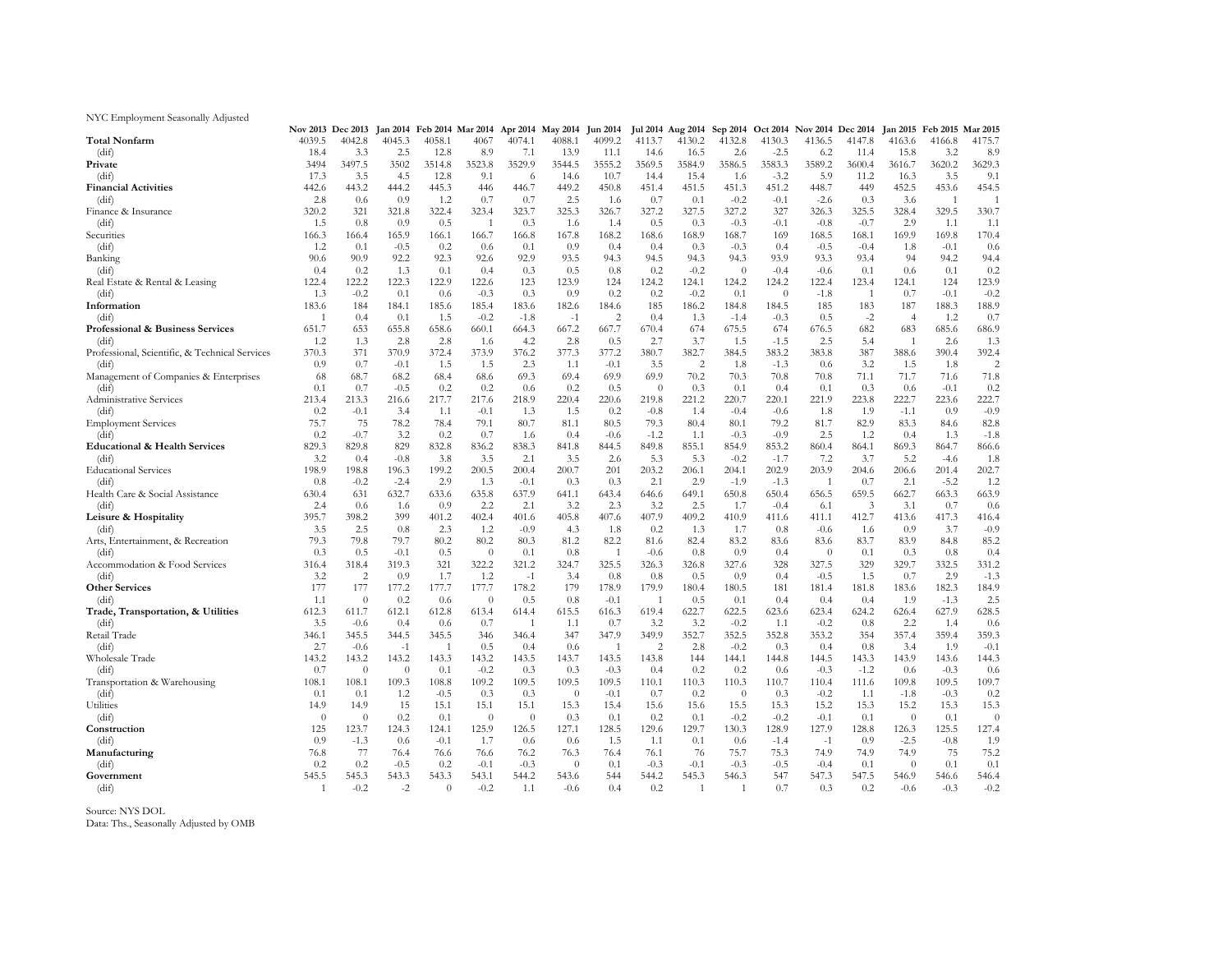#### NYC Employment Seasonally Adjusted

|                                                |                | Nov 2013 Dec 2013 |             |                |                | Jan 2014 Feb 2014 Mar 2014 Apr 2014 May 2014 Jun 2014 |                  |                |                |                | Jul 2014 Aug 2014 Sep 2014 |          | Oct 2014 Nov 2014 Dec 2014 |        | <b>Jan 2015</b> | Feb 2015 Mar 2015 |                |
|------------------------------------------------|----------------|-------------------|-------------|----------------|----------------|-------------------------------------------------------|------------------|----------------|----------------|----------------|----------------------------|----------|----------------------------|--------|-----------------|-------------------|----------------|
| <b>Total Nonfarm</b>                           | 4039.5         | 4042.8            | 4045.3      | 4058.1         | 4067           | 4074.1                                                | 4088.1           | 4099.2         | 4113.7         | 4130.2         | 4132.8                     | 4130.3   | 4136.5                     | 4147.8 | 4163.6          | 4166.8            | 4175.7         |
| (dif)                                          | 18.4           | 3.3               | 2.5         | 12.8           | 8.9            | 7.1                                                   | 13.9             | 11.1           | 14.6           | 16.5           | 2.6                        | $-2.5$   | 6.2                        | 11.4   | 15.8            | 3.2               | 8.9            |
| Private                                        | 3494           | 3497.5            | 3502        | 3514.8         | 3523.8         | 3529.9                                                | 3544.5           | 3555.2         | 3569.5         | 3584.9         | 3586.5                     | 3583.3   | 3589.2                     | 3600.4 | 3616.7          | 3620.2            | 3629.3         |
| (dif)                                          | 17.3           | 3.5               | 4.5         | 12.8           | 9.1            | 6                                                     | 14.6             | 10.7           | 14.4           | 15.4           | 1.6                        | $-3.2$   | 5.9                        | 11.2   | 16.3            | 3.5               | 9.1            |
| <b>Financial Activities</b>                    | 442.6          | 443.2             | 444.2       | 445.3          | 446            | 446.7                                                 | 449.2            | 450.8          | 451.4          | 451.5          | 451.3                      | 451.2    | 448.7                      | 449    | 452.5           | 453.6             | 454.5          |
| (dif)                                          | 2.8            | 0.6               | 0.9         | 1.2            | 0.7            | 0.7                                                   | 2.5              | 1.6            | 0.7            | 0.1            | $-0.2$                     | $-0.1$   | $-2.6$                     | 0.3    | 3.6             | 1                 | $\overline{1}$ |
| Finance & Insurance                            | 320.2          | 321               | 321.8       | 322.4          | 323.4          | 323.7                                                 | 325.3            | 326.7          | 327.2          | 327.5          | 327.2                      | 327      | 326.3                      | 325.5  | 328.4           | 329.5             | 330.7          |
| (dif)                                          | 1.5            | 0.8               | 0.9         | 0.5            | $\mathbf{1}$   | 0.3                                                   | 1.6              | 1.4            | 0.5            | 0.3            | $-0.3$                     | $-0.1$   | $-0.8$                     | $-0.7$ | 2.9             | 1.1               | 1.1            |
| Securities                                     | 166.3          | 166.4             | 165.9       | 166.1          | 166.7          | 166.8                                                 | 167.8            | 168.2          | 168.6          | 168.9          | 168.7                      | 169      | 168.5                      | 168.1  | 169.9           | 169.8             | 170.4          |
| (dif)                                          | 1.2            | 0.1               | $-0.5$      | 0.2            | 0.6            | 0.1                                                   | 0.9              | 0.4            | 0.4            | 0.3            | $-0.3$                     | 0.4      | $-0.5$                     | $-0.4$ | 1.8             | $-0.1$            | 0.6            |
| Banking                                        | 90.6           | 90.9              | 92.2        | 92.3           | 92.6           | 92.9                                                  | 93.5             | 94.3           | 94.5           | 94.3           | 94.3                       | 93.9     | 93.3                       | 93.4   | 94              | 94.2              | 94.4           |
| (dif)                                          | 0.4            | 0.2               | 1.3         | 0.1            | 0.4            | 0.3                                                   | 0.5              | 0.8            | 0.2            | $-0.2$         | $\theta$                   | $-0.4$   | $-0.6$                     | 0.1    | 0.6             | 0.1               | 0.2            |
| Real Estate & Rental & Leasing                 | 122.4          | 122.2             | 122.3       | 122.9          | 122.6          | 123                                                   | 123.9            | 124            | 124.2          | 124.1          | 124.2                      | 124.2    | 122.4                      | 123.4  | 124.1           | 124               | 123.9          |
| (dif)                                          | 1.3            | $-0.2$            | 0.1         | 0.6            | $-0.3$         | 0.3                                                   | 0.9              | 0.2            | 0.2            | $-0.2$         | 0.1                        | $\theta$ | $-1.8$                     | -1     | 0.7             | $-0.1$            | $-0.2$         |
| Information                                    | 183.6          | 184               | 184.1       | 185.6          | 185.4          | 183.6                                                 | 182.6            | 184.6          | 185            | 186.2          | 184.8                      | 184.5    | 185                        | 183    | 187             | 188.3             | 188.9          |
| (dif)                                          | $\overline{1}$ | 0.4               | 0.1         | 1.5            | $-0.2$         | $-1.8$                                                | $-1$             | 2              | 0.4            | 1.3            | $-1.4$                     | $-0.3$   | 0.5                        | $-2$   | $\overline{4}$  | 1.2               | 0.7            |
| Professional & Business Services               | 651.7          | 653               | 655.8       | 658.6          | 660.1          | 664.3                                                 | 667.2            | 667.7          | 670.4          | 674            | 675.5                      | 674      | 676.5                      | 682    | 683             | 685.6             | 686.9          |
| (dif)                                          | 1.2            | 1.3               | 2.8         | 2.8            | 1.6            | 4.2                                                   | 2.8              | 0.5            | 2.7            | 3.7            | 1.5                        | $-1.5$   | 2.5                        | 5.4    | $\overline{1}$  | 2.6               | 1.3            |
| Professional, Scientific, & Technical Services | 370.3          | 371               | 370.9       | 372.4          | 373.9          | 376.2                                                 | 377.3            | 377.2          | 380.7          | 382.7          | 384.5                      | 383.2    | 383.8                      | 387    | 388.6           | 390.4             | 392.4          |
| (dif)                                          | 0.9            | 0.7               | $-0.1$      | 1.5            | 1.5            | 2.3                                                   | 1.1              | $-0.1$         | 3.5            | 2              | 1.8                        | $-1.3$   | 0.6                        | 3.2    | 1.5             | 1.8               | $\overline{c}$ |
| Management of Companies & Enterprises          | 68             | 68.7              | 68.2        | 68.4           | 68.6           | 69.3                                                  | 69.4             | 69.9           | 69.9           | 70.2           | 70.3                       | 70.8     | 70.8                       | 71.1   | 71.7            | 71.6              | 71.8           |
| (dif)                                          | 0.1            | 0.7               | $-0.5$      | 0.2            | 0.2            | 0.6                                                   | 0.2              | 0.5            | $\theta$       | 0.3            | 0.1                        | 0.4      | 0.1                        | 0.3    | 0.6             | $-0.1$            | 0.2            |
| Administrative Services                        | 213.4          | 213.3             | 216.6       | 217.7          | 217.6          | 218.9                                                 | 220.4            | 220.6          | 219.8          | 221.2          | 220.7                      | 220.1    | 221.9                      | 223.8  | 222.7           | 223.6             | 222.7          |
|                                                | 0.2            |                   |             |                |                |                                                       |                  |                |                |                | $-0.4$                     | $-0.6$   |                            | 1.9    | $-1.1$          | 0.9               | $-0.9$         |
| (dif)                                          | 75.7           | $-0.1$<br>75      | 3.4<br>78.2 | 1.1<br>78.4    | $-0.1$<br>79.1 | 1.3<br>80.7                                           | 1.5              | 0.2<br>80.5    | $-0.8$<br>79.3 | 1.4<br>80.4    | 80.1                       | 79.2     | 1.8                        | 82.9   | 83.3            |                   | 82.8           |
| <b>Employment Services</b>                     |                |                   |             |                |                |                                                       | 81.1             |                |                |                |                            |          | 81.7                       |        |                 | 84.6              |                |
| (dif)                                          | 0.2            | $-0.7$            | 3.2         | 0.2            | 0.7            | 1.6                                                   | 0.4              | $-0.6$         | $-1.2$         | 1.1            | $-0.3$                     | $-0.9$   | 2.5                        | 1.2    | 0.4             | 1.3               | $-1.8$         |
| <b>Educational &amp; Health Services</b>       | 829.3          | 829.8             | 829         | 832.8          | 836.2          | 838.3                                                 | 841.8            | 844.5          | 849.8          | 855.1          | 854.9                      | 853.2    | 860.4                      | 864.1  | 869.3           | 864.7             | 866.6          |
| (dif)                                          | 3.2            | 0.4               | $-0.8$      | 3.8            | 3.5            | 2.1                                                   | 3.5              | 2.6            | 5.3            | 5.3            | $-0.2$                     | $-1.7$   | 7.2                        | 3.7    | 5.2             | $-4.6$            | 1.8            |
| <b>Educational Services</b>                    | 198.9          | 198.8             | 196.3       | 199.2          | 200.5          | 200.4                                                 | 200.7            | 201            | 203.2          | 206.1          | 204.1                      | 202.9    | 203.9                      | 204.6  | 206.6           | 201.4             | 202.7          |
| (dif)                                          | 0.8            | $-0.2$            | $-2.4$      | 2.9            | 1.3            | $-0.1$                                                | 0.3              | 0.3            | 2.1            | 2.9            | $-1.9$                     | $-1.3$   | $\overline{1}$             | 0.7    | 2.1             | $-5.2$            | 1.2            |
| Health Care & Social Assistance                | 630.4          | 631               | 632.7       | 633.6          | 635.8          | 637.9                                                 | 641.1            | 643.4          | 646.6          | 649.1          | 650.8                      | 650.4    | 656.5                      | 659.5  | 662.7           | 663.3             | 663.9          |
| (dif)                                          | 2.4            | 0.6               | 1.6         | 0.9            | 2.2            | 2.1                                                   | 3.2              | 2.3            | 3.2            | 2.5            | 1.7                        | $-0.4$   | 6.1                        | 3      | 3.1             | 0.7               | 0.6            |
| Leisure & Hospitality                          | 395.7          | 398.2             | 399         | 401.2          | 402.4          | 401.6                                                 | 405.8            | 407.6          | 407.9          | 409.2          | 410.9                      | 411.6    | 411.1                      | 412.7  | 413.6           | 417.3             | 416.4          |
| (dif)                                          | 3.5            | 2.5               | 0.8         | 2.3            | 1.2            | $-0.9$                                                | 4.3              | 1.8            | 0.2            | 1.3            | 1.7                        | 0.8      | $-0.6$                     | 1.6    | 0.9             | 3.7               | $-0.9$         |
| Arts, Entertainment, & Recreation              | 79.3           | 79.8              | 79.7        | 80.2           | 80.2           | 80.3                                                  | 81.2             | 82.2           | 81.6           | 82.4           | 83.2                       | 83.6     | 83.6                       | 83.7   | 83.9            | 84.8              | 85.2           |
| (dif)                                          | 0.3            | 0.5               | $-0.1$      | 0.5            | $\theta$       | 0.1                                                   | 0.8              | $\overline{1}$ | $-0.6$         | 0.8            | 0.9                        | 0.4      | $\theta$                   | 0.1    | 0.3             | 0.8               | 0.4            |
| Accommodation & Food Services                  | 316.4          | 318.4             | 319.3       | 321            | 322.2          | 321.2                                                 | 324.7            | 325.5          | 326.3          | 326.8          | 327.6                      | 328      | 327.5                      | 329    | 329.7           | 332.5             | 331.2          |
| (dif)                                          | 3.2            | 2                 | 0.9         | 1.7            | 1.2            | $-1$                                                  | 3.4              | 0.8            | 0.8            | 0.5            | 0.9                        | 0.4      | $-0.5$                     | 1.5    | 0.7             | 2.9               | $-1.3$         |
| <b>Other Services</b>                          | 177            | 177               | 177.2       | 177.7          | 177.7          | 178.2                                                 | 179              | 178.9          | 179.9          | 180.4          | 180.5                      | 181      | 181.4                      | 181.8  | 183.6           | 182.3             | 184.9          |
| (dif)                                          | 1.1            | $\theta$          | 0.2         | 0.6            | $\theta$       | 0.5                                                   | 0.8              | $-0.1$         | $\overline{1}$ | 0.5            | 0.1                        | 0.4      | 0.4                        | 0.4    | 1.9             | $-1.3$            | 2.5            |
| Trade, Transportation, & Utilities             | 612.3          | 611.7             | 612.1       | 612.8          | 613.4          | 614.4                                                 | 615.5            | 616.3          | 619.4          | 622.7          | 622.5                      | 623.6    | 623.4                      | 624.2  | 626.4           | 627.9             | 628.5          |
| (dif)                                          | 3.5            | $-0.6$            | 0.4         | 0.6            | 0.7            | 1                                                     | 1.1              | 0.7            | 3.2            | 3.2            | $-0.2$                     | 1.1      | $-0.2$                     | 0.8    | 2.2             | 1.4               | 0.6            |
| Retail Trade                                   | 346.1          | 345.5             | 344.5       | 345.5          | 346            | 346.4                                                 | 347              | 347.9          | 349.9          | 352.7          | 352.5                      | 352.8    | 353.2                      | 354    | 357.4           | 359.4             | 359.3          |
| (dif)                                          | 2.7            | $-0.6$            | $-1$        | $\overline{1}$ | 0.5            | 0.4                                                   | 0.6              | $\overline{1}$ | $\overline{2}$ | 2.8            | $-0.2$                     | 0.3      | 0.4                        | 0.8    | 3.4             | 1.9               | $-0.1$         |
| Wholesale Trade                                | 143.2          | 143.2             | 143.2       | 143.3          | 143.2          | 143.5                                                 | 143.7            | 143.5          | 143.8          | 144            | 144.1                      | 144.8    | 144.5                      | 143.3  | 143.9           | 143.6             | 144.3          |
| (dif)                                          | 0.7            | $\theta$          | $\theta$    | 0.1            | $-0.2$         | 0.3                                                   | 0.3              | $-0.3$         | 0.4            | 0.2            | 0.2                        | 0.6      | $-0.3$                     | $-1.2$ | 0.6             | $-0.3$            | 0.6            |
| Transportation & Warehousing                   | 108.1          | 108.1             | 109.3       | 108.8          | 109.2          | 109.5                                                 | 109.5            | 109.5          | 110.1          | 110.3          | 110.3                      | 110.7    | 110.4                      | 111.6  | 109.8           | 109.5             | 109.7          |
| (dif)                                          | 0.1            | 0.1               | 1.2         | $-0.5$         | 0.3            | 0.3                                                   | $\boldsymbol{0}$ | $-0.1$         | 0.7            | 0.2            | $\theta$                   | 0.3      | $-0.2$                     | 1.1    | $-1.8$          | $-0.3$            | 0.2            |
| Utilities                                      | 14.9           | 14.9              | 15          | 15.1           | 15.1           | 15.1                                                  | 15.3             | 15.4           | 15.6           | 15.6           | 15.5                       | 15.3     | 15.2                       | 15.3   | 15.2            | 15.3              | 15.3           |
| (dif)                                          | $\theta$       | $\theta$          | 0.2         | 0.1            | $\theta$       | $\theta$                                              | 0.3              | 0.1            | 0.2            | 0.1            | $-0.2$                     | $-0.2$   | $-0.1$                     | 0.1    | $\theta$        | 0.1               | $\theta$       |
| Construction                                   | 125            | 123.7             | 124.3       | 124.1          | 125.9          | 126.5                                                 | 127.1            | 128.5          | 129.6          | 129.7          | 130.3                      | 128.9    | 127.9                      | 128.8  | 126.3           | 125.5             | 127.4          |
| (dif)                                          | 0.9            | $-1.3$            | 0.6         | $-0.1$         | 1.7            | 0.6                                                   | 0.6              | 1.5            | 1.1            | 0.1            | 0.6                        | $-1.4$   | $-1$                       | 0.9    | $-2.5$          | $-0.8$            | 1.9            |
| Manufacturing                                  | 76.8           | 77                | 76.4        | 76.6           | 76.6           | 76.2                                                  | 76.3             | 76.4           | 76.1           | 76             | 75.7                       | 75.3     | 74.9                       | 74.9   | 74.9            | 75                | 75.2           |
| (dif)                                          | 0.2            | 0.2               | $-0.5$      | 0.2            | $-0.1$         | $-0.3$                                                | $\theta$         | 0.1            | $-0.3$         | $-0.1$         | $-0.3$                     | $-0.5$   | $-0.4$                     | 0.1    | $\theta$        | 0.1               | 0.1            |
| Government                                     | 545.5          | 545.3             | 543.3       | 543.3          | 543.1          | 544.2                                                 | 543.6            | 544            | 544.2          | 545.3          | 546.3                      | 547      | 547.3                      | 547.5  | 546.9           | 546.6             | 546.4          |
| (dif)                                          | 1              | $-0.2$            | $-2$        | $\theta$       | $-0.2$         | 1.1                                                   | $-0.6$           | 0.4            | 0.2            | $\overline{1}$ | $\overline{1}$             | 0.7      | 0.3                        | 0.2    | $-0.6$          | $-0.3$            | $-0.2$         |
|                                                |                |                   |             |                |                |                                                       |                  |                |                |                |                            |          |                            |        |                 |                   |                |

Source: NYS DOL Data: Ths., Seasonally Adjusted by OMB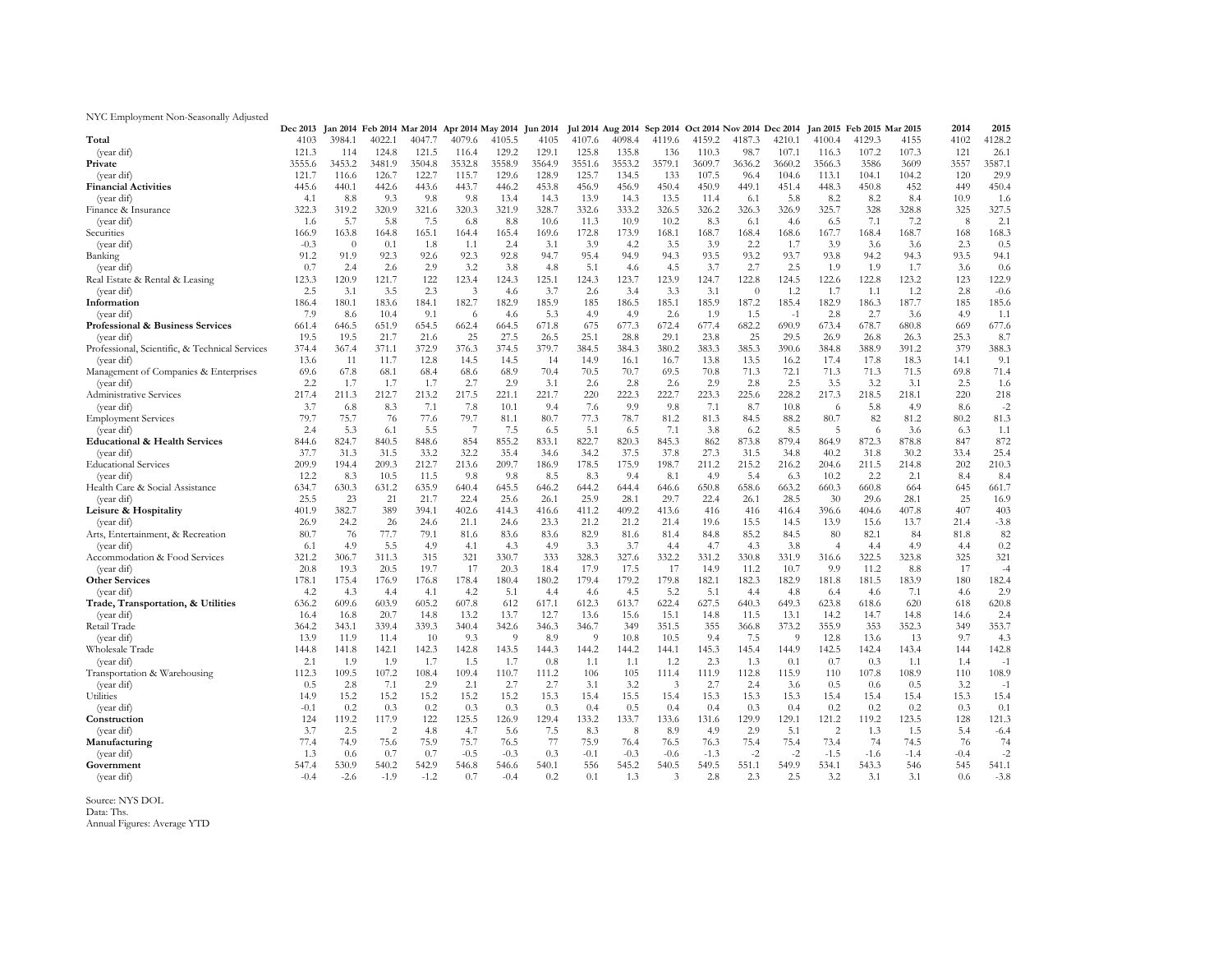NYC Employment Non-Seasonally Adjusted

|                                                | <b>Dec 2013</b> |          | Jan 2014 Feb 2014 Mar 2014 Apr 2014 May 2014 |        |        |        | <b>Jun 2014</b> |                | Jul 2014 Aug 2014 Sep 2014 |        | Oct 2014 Nov 2014 Dec 2014 |          |              |                | Jan 2015 Feb 2015 Mar 2015 |        | 2014   | 2015   |
|------------------------------------------------|-----------------|----------|----------------------------------------------|--------|--------|--------|-----------------|----------------|----------------------------|--------|----------------------------|----------|--------------|----------------|----------------------------|--------|--------|--------|
| Total                                          | 4103            | 3984.1   | 4022.1                                       | 4047.7 | 4079.6 | 4105.5 | 4105            | 4107.6         | 4098.4                     | 4119.6 | 4159.2                     | 4187.3   | 4210.1       | 4100.4         | 4129.3                     | 4155   | 4102   | 4128.2 |
| (year dif)                                     | 121.3           | 114      | 124.8                                        | 121.5  | 116.4  | 129.2  | 129.1           | 125.8          | 135.8                      | 136    | 110.3                      | 98.7     | 107.1        | 116.3          | 107.2                      | 107.3  | 121    | 26.1   |
| Private                                        | 3555.6          | 3453.2   | 3481.9                                       | 3504.8 | 3532.8 | 3558.9 | 3564.9          | 3551.6         | 3553.2                     | 3579.1 | 3609.7                     | 3636.2   | 3660.2       | 3566.3         | 3586                       | 3609   | 3557   | 3587.1 |
| (year dif)                                     | 121.7           | 116.6    | 126.7                                        | 122.7  | 115.7  | 129.6  | 128.9           | 125.7          | 134.5                      | 133    | 107.5                      | 96.4     | 104.6        | 113.1          | 104.1                      | 104.2  | 120    | 29.9   |
| <b>Financial Activities</b>                    | 445.6           | 440.1    | 442.6                                        | 443.6  | 443.7  | 446.2  | 453.8           | 456.9          | 456.9                      | 450.4  | 450.9                      | 449.1    | 451.4        | 448.3          | 450.8                      | 452    | 449    | 450.4  |
| (year dif)                                     | 4.1             | 8.8      | 9.3                                          | 9.8    | 9.8    | 13.4   | 14.3            | 13.9           | 14.3                       | 13.5   | 11.4                       | 6.1      | 5.8          | 8.2            | 8.2                        | 8.4    | 10.9   | 1.6    |
| Finance & Insurance                            | 322.3           | 319.2    | 320.9                                        | 321.6  | 320.3  | 321.9  | 328.7           | 332.6          | 333.2                      | 326.5  | 326.2                      | 326.3    | 326.9        | 325.7          | 328                        | 328.8  | 325    | 327.5  |
| (year dif)                                     | 1.6             | 5.7      | 5.8                                          | 7.5    | 6.8    | 8.8    | 10.6            | 11.3           | 10.9                       | 10.2   | 8.3                        | 6.1      | 4.6          | 6.5            | 7.1                        | 7.2    | 8      | 2.1    |
| Securities                                     | 166.9           | 163.8    | 164.8                                        | 165.1  | 164.4  | 165.4  | 169.6           | 172.8          | 173.9                      | 168.1  | 168.7                      | 168.4    | 168.6        | 167.7          | 168.4                      | 168.7  | 168    | 168.3  |
| (year dif)                                     | $-0.3$          | $\theta$ | 0.1                                          | 1.8    | 1.1    | 2.4    | 3.1             | 3.9            | 4.2                        | 3.5    | 3.9                        | 2.2      | 1.7          | 3.9            | 3.6                        | 3.6    | 2.3    | 0.5    |
| Banking                                        | 91.2            | 91.9     | 92.3                                         | 92.6   | 92.3   | 92.8   | 94.7            | 95.4           | 94.9                       | 94.3   | 93.5                       | 93.2     | 93.7         | 93.8           | 94.2                       | 94.3   | 93.5   | 94.1   |
| (year dif)                                     | 0.7             | 2.4      | 2.6                                          | 2.9    | 3.2    | 3.8    | 4.8             | 5.1            | 4.6                        | 4.5    | 3.7                        | 2.7      | 2.5          | 1.9            | 1.9                        | 1.7    | 3.6    | 0.6    |
| Real Estate & Rental & Leasing                 | 123.3           | 120.9    | 121.7                                        | 122    | 123.4  | 124.3  | 125.1           | 124.3          | 123.7                      | 123.9  | 124.7                      | 122.8    | 124.5        | 122.6          | 122.8                      | 123.2  | 123    | 122.9  |
| (year dif)                                     | 2.5             | 3.1      | 3.5                                          | 2.3    | 3      | 4.6    | 3.7             | 2.6            | 3.4                        | 3.3    | 3.1                        | $\theta$ | 1.2          | 1.7            | 1.1                        | 1.2    | 2.8    | $-0.6$ |
| Information                                    | 186.4           | 180.1    | 183.6                                        | 184.1  | 182.7  | 182.9  | 185.9           | 185            | 186.5                      | 185.1  | 185.9                      | 187.2    | 185.4        | 182.9          | 186.3                      | 187.7  | 185    | 185.6  |
| (year dif)                                     | 7.9             | 8.6      | 10.4                                         | 9.1    | 6      | 4.6    | 5.3             | 4.9            | 4.9                        | 2.6    | 1.9                        | 1.5      | $-1$         | 2.8            | 2.7                        | 3.6    | 4.9    | 1.1    |
| Professional & Business Services               | 661.4           | 646.5    | 651.9                                        | 654.5  | 662.4  | 664.5  | 671.8           | 675            | 677.3                      | 672.4  | 677.4                      | 682.2    | 690.9        | 673.4          | 678.7                      | 680.8  | 669    | 677.6  |
| (year dif)                                     | 19.5            | 19.5     | 21.7                                         | 21.6   | 25     | 27.5   | 26.5            | 25.1           | 28.8                       | 29.1   | 23.8                       | 25       | 29.5         | 26.9           | 26.8                       | 26.3   | 25.3   | 8.7    |
| Professional, Scientific, & Technical Services | 374.4           | 367.4    | 371.1                                        | 372.9  | 376.3  | 374.5  | 379.7           | 384.5          | 384.3                      | 380.2  | 383.3                      | 385.3    | 390.6        | 384.8          | 388.9                      | 391.2  | 379    | 388.3  |
| (year dif)                                     | 13.6            | 11       | 11.7                                         | 12.8   | 14.5   | 14.5   | 14              | 14.9           | 16.1                       | 16.7   | 13.8                       | 13.5     | 16.2         | 17.4           | 17.8                       | 18.3   | 14.1   | 9.1    |
| Management of Companies & Enterprises          | 69.6            | 67.8     | 68.1                                         | 68.4   | 68.6   | 68.9   | 70.4            | 70.5           | 70.7                       | 69.5   | 70.8                       | 71.3     | 72.1         | 71.3           | 71.3                       | 71.5   | 69.8   | 71.4   |
| (year dif)                                     | 2.2             | 1.7      | 1.7                                          | 1.7    | 2.7    | 2.9    | 3.1             | 2.6            | 2.8                        | 2.6    | 2.9                        | 2.8      | 2.5          | 3.5            | 3.2                        | 3.1    | 2.5    | 1.6    |
| Administrative Services                        | 217.4           | 211.3    | 212.7                                        | 213.2  | 217.5  | 221.1  | 221.7           | 220            | 222.3                      | 222.7  | 223.3                      | 225.6    | 228.2        | 217.3          | 218.5                      | 218.1  | 220    | 218    |
| (year dif)                                     | 3.7             | 6.8      | 8.3                                          | 7.1    | 7.8    | 10.1   | 9.4             | 7.6            | 9.9                        | 9.8    | 7.1                        | 8.7      | 10.8         | 6              | 5.8                        | 4.9    | 8.6    | $-2$   |
| <b>Employment Services</b>                     | 79.7            | 75.7     | 76                                           | 77.6   | 79.7   | 81.1   | 80.7            | 77.3           | 78.7                       | 81.2   | 81.3                       | 84.5     | 88.2         | 80.7           | 82                         | 81.2   | 80.2   | 81.3   |
| (year dif)                                     | 2.4             | 5.3      | 6.1                                          | 5.5    | 7      | 7.5    | 6.5             | 5.1            | 6.5                        | 7.1    | 3.8                        | 6.2      | 8.5          | 5              | 6                          | 3.6    | 6.3    | 1.1    |
| <b>Educational &amp; Health Services</b>       | 844.6           | 824.7    | 840.5                                        | 848.6  | 854    | 855.2  | 833.1           | 822.7          | 820.3                      | 845.3  | 862                        | 873.8    | 879.4        | 864.9          | 872.3                      | 878.8  | 847    | 872    |
| (year dif)                                     | 37.7            | 31.3     | 31.5                                         | 33.2   | 32.2   | 35.4   | 34.6            | 34.2           | 37.5                       | 37.8   | 27.3                       | 31.5     | 34.8         | 40.2           | 31.8                       | 30.2   | 33.4   | 25.4   |
| <b>Educational Services</b>                    | 209.9           | 194.4    | 209.3                                        | 212.7  | 213.6  | 209.7  | 186.9           | 178.5          | 175.9                      | 198.7  | 211.2                      | 215.2    | 216.2        | 204.6          | 211.5                      | 214.8  | 202    | 210.3  |
| (year dif)                                     | 12.2            | 8.3      | 10.5                                         | 11.5   | 9.8    | 9.8    | 8.5             | 8.3            | 9.4                        | 8.1    | 4.9                        | 5.4      | 6.3          | 10.2           | 2.2                        | 2.1    | 8.4    | 8.4    |
| Health Care & Social Assistance                | 634.7           | 630.3    | 631.2                                        | 635.9  | 640.4  | 645.5  | 646.2           | 644.2          | 644.4                      | 646.6  | 650.8                      | 658.6    | 663.2        | 660.3          | 660.8                      | 664    | 645    | 661.7  |
| (year dif)                                     | 25.5            | 23       | 21                                           | 21.7   | 22.4   | 25.6   | 26.1            | 25.9           | 28.1                       | 29.7   | 22.4                       | 26.1     | 28.5         | 30             | 29.6                       | 28.1   | 25     | 16.9   |
| Leisure & Hospitality                          | 401.9           | 382.7    | 389                                          | 394.1  | 402.6  | 414.3  | 416.6           | 411.2          | 409.2                      | 413.6  | 416                        | 416      | 416.4        | 396.6          | 404.6                      | 407.8  | 407    | 403    |
| (year dif)                                     | 26.9            | 24.2     | 26                                           | 24.6   | 21.1   | 24.6   | 23.3            | 21.2           | 21.2                       | 21.4   | 19.6                       | 15.5     | 14.5         | 13.9           | 15.6                       | 13.7   | 21.4   | $-3.8$ |
| Arts, Entertainment, & Recreation              | 80.7            | 76       | 77.7                                         | 79.1   | 81.6   | 83.6   | 83.6            | 82.9           | 81.6                       | 81.4   | 84.8                       | 85.2     | 84.5         | 80             | 82.1                       | 84     | 81.8   | 82     |
| (year dif)                                     | 6.1             | 4.9      | 5.5                                          | 4.9    | 4.1    | 4.3    | 4.9             | 3.3            | 3.7                        | 4.4    | 4.7                        | 4.3      | 3.8          | $\overline{4}$ | 4.4                        | 4.9    | 4.4    | 0.2    |
| Accommodation & Food Services                  | 321.2           | 306.7    | 311.3                                        | 315    | 321    | 330.7  | 333             | 328.3          | 327.6                      | 332.2  | 331.2                      | 330.8    | 331.9        | 316.6          | 322.5                      | 323.8  | 325    | 321    |
| (year dif)                                     | 20.8            | 19.3     | 20.5                                         | 19.7   | 17     | 20.3   | 18.4            | 17.9           | 17.5                       | 17     | 14.9                       | 11.2     | 10.7         | 9.9            | 11.2                       | 8.8    | 17     | $-4$   |
| <b>Other Services</b>                          | 178.1           | 175.4    | 176.9                                        | 176.8  | 178.4  | 180.4  | 180.2           | 179.4          | 179.2                      | 179.8  | 182.1                      | 182.3    | 182.9        | 181.8          | 181.5                      | 183.9  | 180    | 182.4  |
| (year dif)                                     | 4.2             | 4.3      | 4.4                                          | 4.1    | 4.2    | 5.1    | 4.4             | 4.6            | 4.5                        | 5.2    | 5.1                        | 4.4      | 4.8          | 6.4            | 4.6                        | 7.1    | 4.6    | 2.9    |
| Trade, Transportation, & Utilities             | 636.2           | 609.6    | 603.9                                        | 605.2  | 607.8  | 612    | 617.1           | 612.3          | 613.7                      | 622.4  | 627.5                      | 640.3    | 649.3        | 623.8          | 618.6                      | 620    | 618    | 620.8  |
| (year dif)                                     | 16.4            | 16.8     | 20.7                                         | 14.8   | 13.2   | 13.7   | 12.7            | 13.6           | 15.6                       | 15.1   | 14.8                       | 11.5     | 13.1         | 14.2           | 14.7                       | 14.8   | 14.6   | 2.4    |
| Retail Trade                                   | 364.2           | 343.1    | 339.4                                        | 339.3  | 340.4  | 342.6  | 346.3           | 346.7          | 349                        | 351.5  | 355                        | 366.8    | 373.2        | 355.9          | 353                        | 352.3  | 349    | 353.7  |
| (year dif)                                     | 13.9            | 11.9     | 11.4                                         | 10     | 9.3    | 9      | 8.9             | $\overline{Q}$ | 10.8                       | 10.5   | 9.4                        | 7.5      | <sup>Q</sup> | 12.8           | 13.6                       | 13     | 9.7    | 4.3    |
| Wholesale Trade                                | 144.8           | 141.8    | 142.1                                        | 142.3  | 142.8  | 143.5  | 144.3           | 144.2          | 144.2                      | 144.1  | 145.3                      | 145.4    | 144.9        | 142.5          | 142.4                      | 143.4  | 144    | 142.8  |
| (year dif)                                     | 2.1             | 1.9      | 1.9                                          | 1.7    | 1.5    | 1.7    | 0.8             | 1.1            | 1.1                        | 1.2    | 2.3                        | 1.3      | 0.1          | 0.7            | 0.3                        | 1.1    | 1.4    | $-1$   |
| Transportation & Warehousing                   | 112.3           | 109.5    | 107.2                                        | 108.4  | 109.4  | 110.7  | 111.2           | 106            | 105                        | 111.4  | 111.9                      | 112.8    | 115.9        | 110            | 107.8                      | 108.9  | 110    | 108.9  |
| (year dif)                                     | 0.5             | 2.8      | 7.1                                          | 2.9    | 2.1    | 2.7    | 2.7             | 3.1            | 3.2                        | 3      | 2.7                        | 2.4      | 3.6          | 0.5            | 0.6                        | 0.5    | 3.2    | $-1$   |
| Utilities                                      | 14.9            | 15.2     | 15.2                                         | 15.2   | 15.2   | 15.2   | 15.3            | 15.4           | 15.5                       | 15.4   | 15.3                       | 15.3     | 15.3         | 15.4           | 15.4                       | 15.4   | 15.3   | 15.4   |
| (year dif)                                     | $-0.1$          | 0.2      | 0.3                                          | 0.2    | 0.3    | 0.3    | 0.3             | 0.4            | 0.5                        | 0.4    | 0.4                        | 0.3      | 0.4          | 0.2            | 0.2                        | 0.2    | 0.3    | 0.1    |
| Construction                                   | 124             | 119.2    | 117.9                                        | 122    | 125.5  | 126.9  | 129.4           | 133.2          | 133.7                      | 133.6  | 131.6                      | 129.9    | 129.1        | 121.2          | 119.2                      | 123.5  | 128    | 121.3  |
| (year dif)                                     | 3.7             | 2.5      | $\sqrt{2}$                                   | 4.8    | 4.7    | 5.6    | 7.5             | 8.3            | $\boldsymbol{8}$           | 8.9    | 4.9                        | 2.9      | 5.1          | $\overline{c}$ | 1.3                        | 1.5    | 5.4    | $-6.4$ |
| Manufacturing                                  | 77.4            | 74.9     | 75.6                                         | 75.9   | 75.7   | 76.5   | 77              | 75.9           | 76.4                       | 76.5   | 76.3                       | 75.4     | 75.4         | 73.4           | 74                         | 74.5   | 76     | 74     |
| (year dif)                                     | 1.3             | 0.6      | 0.7                                          | 0.7    | $-0.5$ | $-0.3$ | 0.3             | $-0.1$         | $-0.3$                     | $-0.6$ | $-1.3$                     | $-2$     | $-2$         | $-1.5$         | $-1.6$                     | $-1.4$ | $-0.4$ | $-2$   |
| Government                                     | 547.4           | 530.9    | 540.2                                        | 542.9  | 546.8  | 546.6  | 540.1           | 556            | 545.2                      | 540.5  | 549.5                      | 551.1    | 549.9        | 534.1          | 543.3                      | 546    | 545    | 541.1  |
| (year dif)                                     | $-0.4$          | $-2.6$   | $-1.9$                                       | $-1.2$ | 0.7    | $-0.4$ | 0.2             | 0.1            | 1.3                        | 3      | 2.8                        | 2.3      | 2.5          | 3.2            | 3.1                        | 3.1    | 0.6    | $-3.8$ |
|                                                |                 |          |                                              |        |        |        |                 |                |                            |        |                            |          |              |                |                            |        |        |        |

Source: NYS DOL Data: Ths. Annual Figures: Average YTD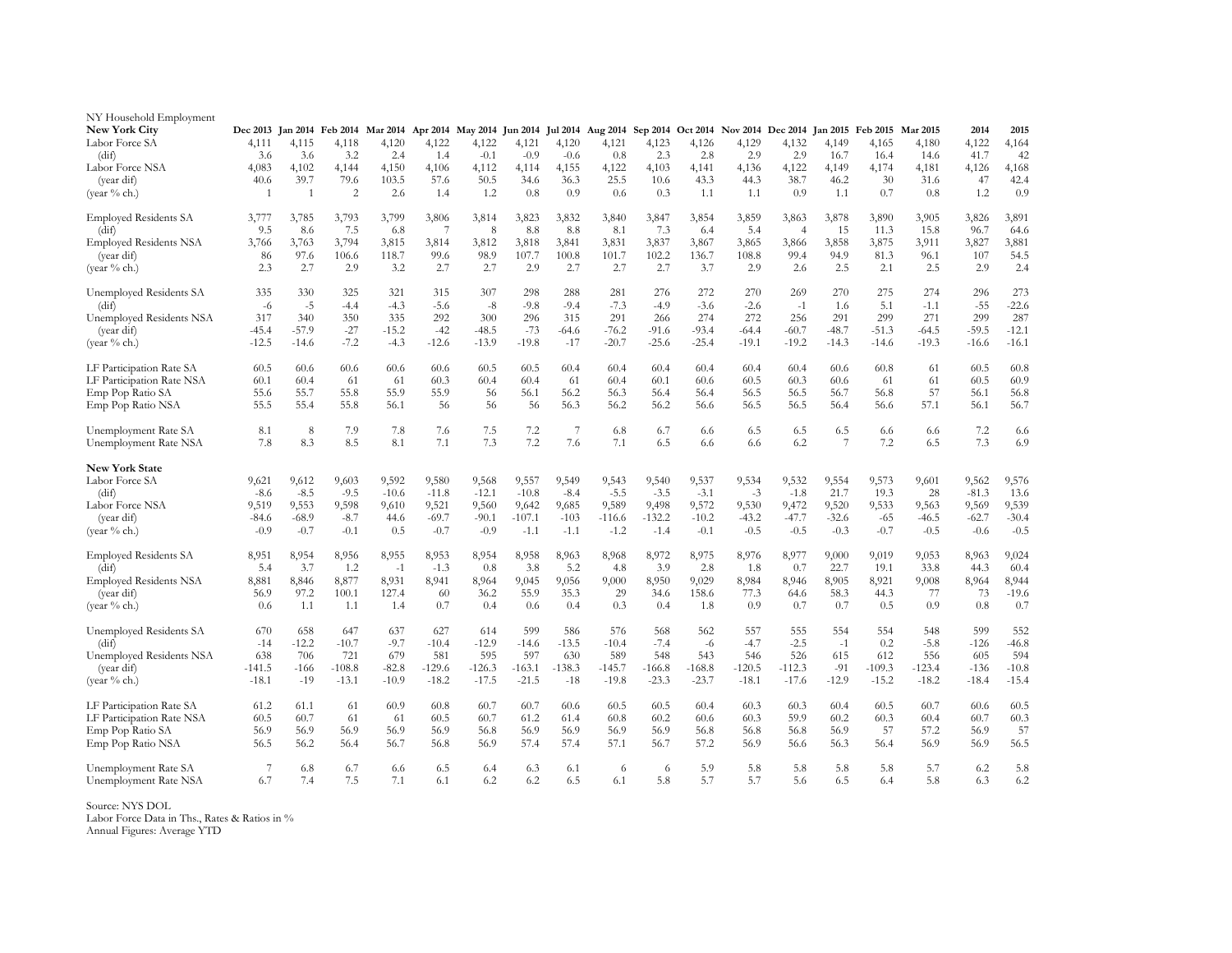| NY Household Employment<br><b>New York City</b> |                |              |                |              |            | Dec 2013 Jan 2014 Feb 2014 Mar 2014 Apr 2014 May 2014 Jun 2014 |              |                |              |              |              |              | Jul 2014 Aug 2014 Sep 2014 Oct 2014 Nov 2014 Dec 2014 Jan 2015 Feb 2015 Mar 2015 |                |               |               | 2014          | 2015          |
|-------------------------------------------------|----------------|--------------|----------------|--------------|------------|----------------------------------------------------------------|--------------|----------------|--------------|--------------|--------------|--------------|----------------------------------------------------------------------------------|----------------|---------------|---------------|---------------|---------------|
| Labor Force SA                                  | 4,111          | 4,115        | 4,118          | 4,120        | 4,122      | 4,122                                                          | 4,121        | 4,120          | 4,121        | 4,123        | 4,126        | 4,129        | 4,132                                                                            | 4,149          | 4,165         | 4,180         | 4,122         | 4,164         |
| (dif)                                           | 3.6            | 3.6          | 3.2            | 2.4          | 1.4        | $-0.1$                                                         | $-0.9$       | $-0.6$         | 0.8          | 2.3          | 2.8          | 2.9          | 2.9                                                                              | 16.7           | 16.4          | 14.6          | 41.7          | 42            |
| Labor Force NSA                                 | 4,083          | 4,102        | 4,144          | 4,150        | 4,106      | 4,112                                                          | 4,114        | 4,155          | 4,122        | 4,103        | 4,141        | 4,136        | 4,122                                                                            | 4,149          | 4,174         | 4,181         | 4,126         | 4,168         |
| (year dif)                                      | 40.6           | 39.7         | 79.6           | 103.5        | 57.6       | 50.5                                                           | 34.6         | 36.3           | 25.5         | 10.6         | 43.3         | 44.3         | 38.7                                                                             | 46.2           | 30            | 31.6          | 47            | 42.4          |
| (year % ch.)                                    | 1              | 1            | $\overline{c}$ | 2.6          | 1.4        | 1.2                                                            | 0.8          | 0.9            | 0.6          | 0.3          | 1.1          | 1.1          | 0.9                                                                              | 1.1            | 0.7           | 0.8           | 1.2           | 0.9           |
|                                                 |                |              |                |              |            |                                                                |              |                |              |              |              |              |                                                                                  |                |               |               |               |               |
| <b>Employed Residents SA</b><br>(dif)           | 3,777<br>9.5   | 3,785<br>8.6 | 3,793<br>7.5   | 3,799<br>6.8 | 3,806<br>7 | 3,814<br>8                                                     | 3,823<br>8.8 | 3,832<br>8.8   | 3,840<br>8.1 | 3,847<br>7.3 | 3,854<br>6.4 | 3,859<br>5.4 | 3,863<br>$\overline{4}$                                                          | 3,878<br>15    | 3,890<br>11.3 | 3,905<br>15.8 | 3,826<br>96.7 | 3,891<br>64.6 |
| <b>Employed Residents NSA</b>                   | 3,766          | 3,763        | 3,794          | 3,815        | 3,814      | 3,812                                                          | 3,818        | 3,841          | 3,831        | 3,837        | 3,867        | 3,865        | 3,866                                                                            | 3,858          | 3,875         | 3,911         | 3,827         | 3,881         |
| (year dif)                                      | 86             | 97.6         | 106.6          | 118.7        | 99.6       | 98.9                                                           | 107.7        | 100.8          | 101.7        | 102.2        | 136.7        | 108.8        | 99.4                                                                             | 94.9           | 81.3          | 96.1          | 107           | 54.5          |
| (year % ch.)                                    | 2.3            | 2.7          | 2.9            | 3.2          | 2.7        | 2.7                                                            | 2.9          | 2.7            | 2.7          | 2.7          | 3.7          | 2.9          | 2.6                                                                              | 2.5            | 2.1           | 2.5           | 2.9           | 2.4           |
|                                                 |                |              |                |              |            |                                                                |              |                |              |              |              |              |                                                                                  |                |               |               |               |               |
| Unemployed Residents SA                         | 335            | 330          | 325            | 321          | 315        | 307                                                            | 298          | 288            | 281          | 276          | 272          | 270          | 269                                                                              | 270            | 275           | 274           | 296           | 273           |
| (dif)                                           | $-6$           | $-5$         | $-4.4$         | $-4.3$       | $-5.6$     | $-8$                                                           | $-9.8$       | $-9.4$         | $-7.3$       | $-4.9$       | $-3.6$       | $-2.6$       | $-1$                                                                             | 1.6            | 5.1           | $-1.1$        | $-55$         | $-22.6$       |
| Unemployed Residents NSA                        | 317            | 340          | 350            | 335          | 292        | 300                                                            | 296          | 315            | 291          | 266          | 274          | 272          | 256                                                                              | 291            | 299           | 271           | 299           | 287           |
| (year dif)                                      | $-45.4$        | $-57.9$      | $-27$          | $-15.2$      | $-42$      | $-48.5$                                                        | $-73$        | $-64.6$        | $-76.2$      | $-91.6$      | $-93.4$      | $-64.4$      | $-60.7$                                                                          | $-48.7$        | $-51.3$       | $-64.5$       | $-59.5$       | $-12.1$       |
| (year % ch.)                                    | $-12.5$        | $-14.6$      | $-7.2$         | $-4.3$       | $-12.6$    | $-13.9$                                                        | $-19.8$      | $-17$          | $-20.7$      | $-25.6$      | $-25.4$      | $-19.1$      | $-19.2$                                                                          | $-14.3$        | $-14.6$       | $-19.3$       | $-16.6$       | $-16.1$       |
| LF Participation Rate SA                        | 60.5           | 60.6         | 60.6           | 60.6         | 60.6       | 60.5                                                           | 60.5         | 60.4           | 60.4         | 60.4         | 60.4         | 60.4         | 60.4                                                                             | 60.6           | 60.8          | 61            | 60.5          | 60.8          |
| LF Participation Rate NSA                       | 60.1           | 60.4         | 61             | 61           | 60.3       | 60.4                                                           | 60.4         | 61             | 60.4         | 60.1         | 60.6         | 60.5         | 60.3                                                                             | 60.6           | 61            | 61            | 60.5          | 60.9          |
| Emp Pop Ratio SA                                | 55.6           | 55.7         | 55.8           | 55.9         | 55.9       | 56                                                             | 56.1         | 56.2           | 56.3         | 56.4         | 56.4         | 56.5         | 56.5                                                                             | 56.7           | 56.8          | 57            | 56.1          | 56.8          |
| Emp Pop Ratio NSA                               | 55.5           | 55.4         | 55.8           | 56.1         | 56         | 56                                                             | 56           | 56.3           | 56.2         | 56.2         | 56.6         | 56.5         | 56.5                                                                             | 56.4           | 56.6          | 57.1          | 56.1          | 56.7          |
|                                                 |                |              |                |              |            |                                                                |              |                |              |              |              |              |                                                                                  |                |               |               |               |               |
| Unemployment Rate SA                            | 8.1            | 8            | 7.9            | 7.8          | 7.6        | 7.5                                                            | 7.2          | $\overline{7}$ | 6.8          | 6.7          | 6.6          | 6.5          | 6.5                                                                              | 6.5            | 6.6           | 6.6           | 7.2           | 6.6           |
| Unemployment Rate NSA                           | 7.8            | 8.3          | 8.5            | 8.1          | 7.1        | 7.3                                                            | 7.2          | 7.6            | 7.1          | 6.5          | 6.6          | 6.6          | 6.2                                                                              | $\overline{7}$ | 7.2           | 6.5           | 7.3           | 6.9           |
| <b>New York State</b>                           |                |              |                |              |            |                                                                |              |                |              |              |              |              |                                                                                  |                |               |               |               |               |
| Labor Force SA                                  | 9,621          | 9,612        | 9,603          | 9,592        | 9,580      | 9,568                                                          | 9,557        | 9,549          | 9,543        | 9,540        | 9,537        | 9,534        | 9,532                                                                            | 9,554          | 9,573         | 9,601         | 9,562         | 9,576         |
| (dif)                                           | $-8.6$         | $-8.5$       | $-9.5$         | $-10.6$      | $-11.8$    | $-12.1$                                                        | $-10.8$      | $-8.4$         | $-5.5$       | $-3.5$       | $-3.1$       | $-3$         | $-1.8$                                                                           | 21.7           | 19.3          | 28            | $-81.3$       | 13.6          |
| Labor Force NSA                                 | 9,519          | 9,553        | 9,598          | 9,610        | 9,521      | 9,560                                                          | 9,642        | 9,685          | 9,589        | 9,498        | 9,572        | 9,530        | 9,472                                                                            | 9,520          | 9,533         | 9,563         | 9,569         | 9,539         |
| (year dif)                                      | $-84.6$        | $-68.9$      | $-8.7$         | 44.6         | $-69.7$    | $-90.1$                                                        | $-107.1$     | $-103$         | $-116.6$     | $-132.2$     | $-10.2$      | $-43.2$      | $-47.7$                                                                          | $-32.6$        | $-65$         | $-46.5$       | $-62.7$       | $-30.4$       |
| (year % ch.)                                    | $-0.9$         | $-0.7$       | $-0.1$         | 0.5          | $-0.7$     | $-0.9$                                                         | $-1.1$       | $-1.1$         | $-1.2$       | $-1.4$       | $-0.1$       | $-0.5$       | $-0.5$                                                                           | $-0.3$         | $-0.7$        | $-0.5$        | $-0.6$        | $-0.5$        |
|                                                 |                |              |                |              |            |                                                                |              |                |              |              |              |              |                                                                                  |                |               |               |               |               |
| <b>Employed Residents SA</b>                    | 8,951          | 8,954        | 8,956          | 8,955        | 8,953      | 8,954                                                          | 8,958        | 8,963          | 8,968        | 8,972        | 8,975        | 8,976        | 8,977                                                                            | 9,000          | 9,019         | 9,053         | 8,963         | 9,024         |
| (dif)                                           | 5.4            | 3.7          | 1.2            | $-1$         | $-1.3$     | 0.8                                                            | 3.8          | 5.2            | 4.8          | 3.9          | 2.8          | 1.8          | 0.7                                                                              | 22.7           | 19.1          | 33.8          | 44.3          | 60.4          |
| <b>Employed Residents NSA</b>                   | 8,881          | 8,846        | 8,877          | 8,931        | 8,941      | 8,964                                                          | 9,045        | 9,056          | 9,000        | 8,950        | 9,029        | 8,984        | 8,946                                                                            | 8,905          | 8,921         | 9,008         | 8,964         | 8,944         |
| (year dif)                                      | 56.9           | 97.2         | 100.1          | 127.4        | 60         | 36.2                                                           | 55.9         | 35.3           | 29           | 34.6         | 158.6        | 77.3         | 64.6                                                                             | 58.3           | 44.3          | 77            | 73            | $-19.6$       |
| (year % ch.)                                    | 0.6            | 1.1          | 1.1            | 1.4          | 0.7        | 0.4                                                            | 0.6          | 0.4            | 0.3          | 0.4          | 1.8          | 0.9          | 0.7                                                                              | 0.7            | 0.5           | 0.9           | 0.8           | 0.7           |
| Unemployed Residents SA                         | 670            | 658          | 647            | 637          | 627        | 614                                                            | 599          | 586            | 576          | 568          | 562          | 557          | 555                                                                              | 554            | 554           | 548           | 599           | 552           |
| (dif)                                           | $-14$          | $-12.2$      | $-10.7$        | $-9.7$       | $-10.4$    | $-12.9$                                                        | $-14.6$      | $-13.5$        | $-10.4$      | $-7.4$       | $-6$         | $-4.7$       | $-2.5$                                                                           | $-1$           | 0.2           | $-5.8$        | $-126$        | $-46.8$       |
| Unemployed Residents NSA                        | 638            | 706          | 721            | 679          | 581        | 595                                                            | 597          | 630            | 589          | 548          | 543          | 546          | 526                                                                              | 615            | 612           | 556           | 605           | 594           |
| (year dif)                                      | $-141.5$       | -166         | $-108.8$       | $-82.8$      | $-129.6$   | $-126.3$                                                       | $-163.1$     | $-138.3$       | $-145.7$     | $-166.8$     | $-168.8$     | $-120.5$     | $-112.3$                                                                         | $-91$          | $-109.3$      | $-123.4$      | $-136$        | $-10.8$       |
| (year % ch.)                                    | $-18.1$        | $-19$        | $-13.1$        | $-10.9$      | $-18.2$    | $-17.5$                                                        | $-21.5$      | $-18$          | $-19.8$      | $-23.3$      | $-23.7$      | $-18.1$      | $-17.6$                                                                          | $-12.9$        | $-15.2$       | $-18.2$       | $-18.4$       | $-15.4$       |
|                                                 |                |              |                |              |            |                                                                |              |                |              |              |              |              |                                                                                  |                |               |               |               |               |
| LF Participation Rate SA                        | 61.2           | 61.1         | 61             | 60.9         | 60.8       | 60.7                                                           | 60.7         | 60.6           | 60.5         | 60.5         | 60.4         | 60.3         | 60.3                                                                             | 60.4           | 60.5          | 60.7          | 60.6          | 60.5          |
| LF Participation Rate NSA                       | 60.5           | 60.7         | 61             | 61           | 60.5       | 60.7                                                           | 61.2         | 61.4           | 60.8         | 60.2         | 60.6         | 60.3         | 59.9                                                                             | 60.2           | 60.3          | 60.4          | 60.7          | 60.3          |
| Emp Pop Ratio SA                                | 56.9           | 56.9         | 56.9           | 56.9         | 56.9       | 56.8                                                           | 56.9         | 56.9           | 56.9         | 56.9         | 56.8         | 56.8         | 56.8                                                                             | 56.9           | 57            | 57.2          | 56.9          | 57            |
| Emp Pop Ratio NSA                               | 56.5           | 56.2         | 56.4           | 56.7         | 56.8       | 56.9                                                           | 57.4         | 57.4           | 57.1         | 56.7         | 57.2         | 56.9         | 56.6                                                                             | 56.3           | 56.4          | 56.9          | 56.9          | 56.5          |
| Unemployment Rate SA                            | $\overline{7}$ | 6.8          | 6.7            | 6.6          | 6.5        | 6.4                                                            | 6.3          | 6.1            | 6            | 6            | 5.9          | 5.8          | 5.8                                                                              | 5.8            | 5.8           | 5.7           | 6.2           | 5.8           |
| Unemployment Rate NSA                           | 6.7            | 7.4          | 7.5            | 7.1          | 6.1        | 6.2                                                            | 6.2          | 6.5            | 6.1          | 5.8          | 5.7          | 5.7          | 5.6                                                                              | 6.5            | 6.4           | 5.8           | 6.3           | 6.2           |
|                                                 |                |              |                |              |            |                                                                |              |                |              |              |              |              |                                                                                  |                |               |               |               |               |

Source: NYS DOL Labor Force Data in Ths., Rates & Ratios in % Annual Figures: Average YTD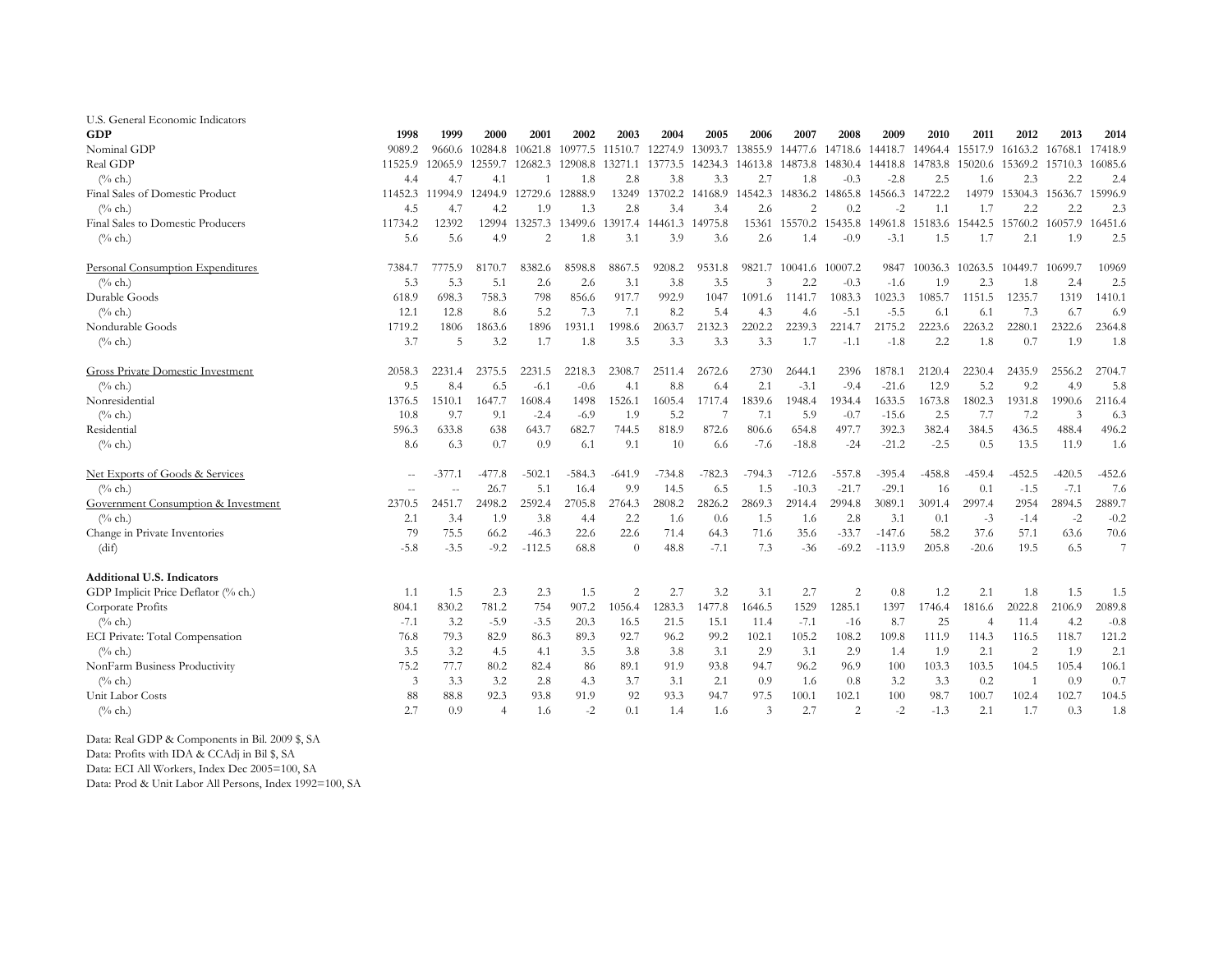| U.S. General Economic Indicators    |         |         |          |                |          |                |          |          |         |                |                |          |          |                |                |                 |         |
|-------------------------------------|---------|---------|----------|----------------|----------|----------------|----------|----------|---------|----------------|----------------|----------|----------|----------------|----------------|-----------------|---------|
| <b>GDP</b>                          | 1998    | 1999    | 2000     | 2001           | 2002     | 2003           | 2004     | 2005     | 2006    | 2007           | 2008           | 2009     | 2010     | 2011           | 2012           | 2013            | 2014    |
| Nominal GDP                         | 9089.2  | 9660.6  | 10284.8  | 10621.8        | 10977.5  | 11510.7        | 12274.9  | 13093.7  | 13855.9 | 14477.6        | 14718.6        | 14418.7  | 14964.4  | 15517.9        | 16163.2        | 16768.1         | 17418.9 |
| Real GDP                            | 11525.9 | 12065.9 | 12559.7  | 12682.3        | 12908.8  | 13271.1        | 13773.5  | 14234.3  | 14613.8 | 14873.8        | 14830.4        | 14418.8  | 14783.8  | 15020.6        | 15369.2        | 15710.3         | 16085.6 |
| $(\%$ ch.)                          | 4.4     | 4.7     | 4.1      |                | 1.8      | 2.8            | 3.8      | 3.3      | 2.7     | 1.8            | $-0.3$         | $-2.8$   | 2.5      | 1.6            | 2.3            | 2.2             | 2.4     |
| Final Sales of Domestic Product     | 11452.3 | 11994.9 | 12494.9  | 12729.6        | 12888.9  | 13249          | 13702.2  | 14168.9  | 14542.3 | 14836.2        | 14865.8        | 14566.3  | 14722.2  | 14979          |                | 15304.3 15636.7 | 15996.9 |
| $(\%$ ch.)                          | 4.5     | 4.7     | 4.2      | 1.9            | 1.3      | 2.8            | 3.4      | 3.4      | 2.6     | $\overline{2}$ | 0.2            | $-2$     | 1.1      | 1.7            | 2.2            | 2.2             | 2.3     |
| Final Sales to Domestic Producers   | 11734.2 | 12392   | 12994    | 13257.3        | 13499.6  | 13917.4        | 14461.3  | 14975.8  | 15361   | 15570.2        | 15435.8        | 14961.8  | 15183.6  | 15442.5        | 15760.2        | 16057.9         | 16451.6 |
| $\frac{0}{6}$ ch.)                  | 5.6     | 5.6     | 4.9      | $\overline{2}$ | 1.8      | 3.1            | 3.9      | 3.6      | 2.6     | 1.4            | $-0.9$         | $-3.1$   | 1.5      | 1.7            | 2.1            | 1.9             | 2.5     |
| Personal Consumption Expenditures   | 7384.7  | 7775.9  | 8170.7   | 8382.6         | 8598.8   | 8867.5         | 9208.2   | 9531.8   | 9821.7  | 10041.6        | 10007.2        | 9847     | 10036.3  | 10263.5        | 10449.7        | 10699.7         | 10969   |
| $(\%$ ch.)                          | 5.3     | 5.3     | 5.1      | 2.6            | 2.6      | 3.1            | 3.8      | 3.5      | 3       | 2.2            | $-0.3$         | $-1.6$   | 1.9      | 2.3            | 1.8            | 2.4             | 2.5     |
| Durable Goods                       | 618.9   | 698.3   | 758.3    | 798            | 856.6    | 917.7          | 992.9    | 1047     | 1091.6  | 1141.7         | 1083.3         | 1023.3   | 1085.7   | 1151.5         | 1235.7         | 1319            | 1410.1  |
| $(%$ ch.)                           | 12.1    | 12.8    | 8.6      | 5.2            | 7.3      | 7.1            | 8.2      | 5.4      | 4.3     | 4.6            | $-5.1$         | $-5.5$   | 6.1      | 6.1            | 7.3            | 6.7             | 6.9     |
| Nondurable Goods                    | 1719.2  | 1806    | 1863.6   | 1896           | 1931.1   | 1998.6         | 2063.7   | 2132.3   | 2202.2  | 2239.3         | 2214.7         | 2175.2   | 2223.6   | 2263.2         | 2280.1         | 2322.6          | 2364.8  |
| $(^{0}/_{0}$ ch.)                   | 3.7     | 5       | 3.2      | 1.7            | 1.8      | 3.5            | 3.3      | 3.3      | 3.3     | 1.7            | $-1.1$         | $-1.8$   | 2.2      | 1.8            | 0.7            | 1.9             | 1.8     |
| Gross Private Domestic Investment   | 2058.3  | 2231.4  | 2375.5   | 2231.5         | 2218.3   | 2308.7         | 2511.4   | 2672.6   | 2730    | 2644.1         | 2396           | 1878.1   | 2120.4   | 2230.4         | 2435.9         | 2556.2          | 2704.7  |
| $(\%$ ch.)                          | 9.5     | 8.4     | 6.5      | $-6.1$         | $-0.6$   | 4.1            | 8.8      | 6.4      | 2.1     | $-3.1$         | $-9.4$         | $-21.6$  | 12.9     | 5.2            | 9.2            | 4.9             | 5.8     |
| Nonresidential                      | 1376.5  | 1510.1  | 1647.7   | 1608.4         | 1498     | 1526.1         | 1605.4   | 1717.4   | 1839.6  | 1948.4         | 1934.4         | 1633.5   | 1673.8   | 1802.3         | 1931.8         | 1990.6          | 2116.4  |
| $(\%$ ch.)                          | 10.8    | 9.7     | 9.1      | $-2.4$         | $-6.9$   | 1.9            | 5.2      |          | 7.1     | 5.9            | $-0.7$         | $-15.6$  | 2.5      | 7.7            | 7.2            | 3               | 6.3     |
| Residential                         | 596.3   | 633.8   | 638      | 643.7          | 682.7    | 744.5          | 818.9    | 872.6    | 806.6   | 654.8          | 497.7          | 392.3    | 382.4    | 384.5          | 436.5          | 488.4           | 496.2   |
| $(\%$ ch.)                          | 8.6     | 6.3     | 0.7      | 0.9            | 6.1      | 9.1            | 10       | 6.6      | $-7.6$  | $-18.8$        | $-24$          | $-21.2$  | $-2.5$   | 0.5            | 13.5           | 11.9            | 1.6     |
| Net Exports of Goods & Services     | $\sim$  | -377.1  | $-477.8$ | $-502.1$       | $-584.3$ | $-641.9$       | $-734.8$ | $-782.3$ | -794.3  | -712.6         | $-557.8$       | $-395.4$ | $-458.8$ | -459.4         | $-452.5$       | $-420.5$        | -452.6  |
| $(\%$ ch.)                          | ц,      | ä,      | 26.7     | 5.1            | 16.4     | 9.9            | 14.5     | 6.5      | 1.5     | $-10.3$        | $-21.7$        | $-29.1$  | 16       | 0.1            | $-1.5$         | $-7.1$          | 7.6     |
| Government Consumption & Investment | 2370.5  | 2451.7  | 2498.2   | 2592.4         | 2705.8   | 2764.3         | 2808.2   | 2826.2   | 2869.3  | 2914.4         | 2994.8         | 3089.1   | 3091.4   | 2997.4         | 2954           | 2894.5          | 2889.7  |
| $\frac{6}{6}$ ch.)                  | 2.1     | 3.4     | 1.9      | 3.8            | 4.4      | 2.2            | 1.6      | 0.6      | 1.5     | 1.6            | 2.8            | 3.1      | 0.1      | $-3$           | $-1.4$         | $-2$            | $-0.2$  |
| Change in Private Inventories       | 79      | 75.5    | 66.2     | $-46.3$        | 22.6     | 22.6           | 71.4     | 64.3     | 71.6    | 35.6           | $-33.7$        | $-147.6$ | 58.2     | 37.6           | 57.1           | 63.6            | 70.6    |
| (dif)                               | -5.8    | $-3.5$  | $-9.2$   | $-112.5$       | 68.8     | $\theta$       | 48.8     | $-7.1$   | 7.3     | $-36$          | $-69.2$        | $-113.9$ | 205.8    | $-20.6$        | 19.5           | 6.5             | $\tau$  |
| <b>Additional U.S. Indicators</b>   |         |         |          |                |          |                |          |          |         |                |                |          |          |                |                |                 |         |
| GDP Implicit Price Deflator (% ch.) | 1.1     | 1.5     | 2.3      | 2.3            | 1.5      | $\overline{c}$ | 2.7      | 3.2      | 3.1     | 2.7            | $\overline{2}$ | 0.8      | 1.2      | 2.1            | 1.8            | 1.5             | 1.5     |
| Corporate Profits                   | 804.1   | 830.2   | 781.2    | 754            | 907.2    | 1056.4         | 1283.3   | 1477.8   | 1646.5  | 1529           | 1285.1         | 1397     | 1746.4   | 1816.6         | 2022.8         | 2106.9          | 2089.8  |
| $(\%$ ch.)                          | $-7.1$  | 3.2     | $-5.9$   | $-3.5$         | 20.3     | 16.5           | 21.5     | 15.1     | 11.4    | $-7.1$         | $-16$          | 8.7      | 25       | $\overline{4}$ | 11.4           | 4.2             | $-0.8$  |
| ECI Private: Total Compensation     | 76.8    | 79.3    | 82.9     | 86.3           | 89.3     | 92.7           | 96.2     | 99.2     | 102.1   | 105.2          | 108.2          | 109.8    | 111.9    | 114.3          | 116.5          | 118.7           | 121.2   |
| $\frac{6}{6}$ ch.)                  | 3.5     | 3.2     | 4.5      | 4.1            | 3.5      | 3.8            | 3.8      | 3.1      | 2.9     | 3.1            | 2.9            | 1.4      | 1.9      | 2.1            | $\overline{2}$ | 1.9             | 2.1     |
| NonFarm Business Productivity       | 75.2    | 77.7    | 80.2     | 82.4           | 86       | 89.1           | 91.9     | 93.8     | 94.7    | 96.2           | 96.9           | 100      | 103.3    | 103.5          | 104.5          | 105.4           | 106.1   |
| $(\%$ ch.)                          | 3       | 3.3     | 3.2      | 2.8            | 4.3      | 3.7            | 3.1      | 2.1      | 0.9     | 1.6            | 0.8            | 3.2      | 3.3      | 0.2            |                | 0.9             | 0.7     |
| Unit Labor Costs                    | 88      | 88.8    | 92.3     | 93.8           | 91.9     | 92             | 93.3     | 94.7     | 97.5    | 100.1          | 102.1          | 100      | 98.7     | 100.7          | 102.4          | 102.7           | 104.5   |
| $(\%$ ch.)                          | 2.7     | 0.9     | 4        | 1.6            | $-2$     | 0.1            | 1.4      | 1.6      | 3       | 2.7            | 2              | $-2$     | $-1.3$   | 2.1            | 1.7            | 0.3             | 1.8     |

Data: Real GDP & Components in Bil. 2009 \$, SA

Data: Profits with IDA & CCAdj in Bil \$, SA

Data: ECI All Workers, Index Dec 2005=100, SA

Data: Prod & Unit Labor All Persons, Index 1992=100, SA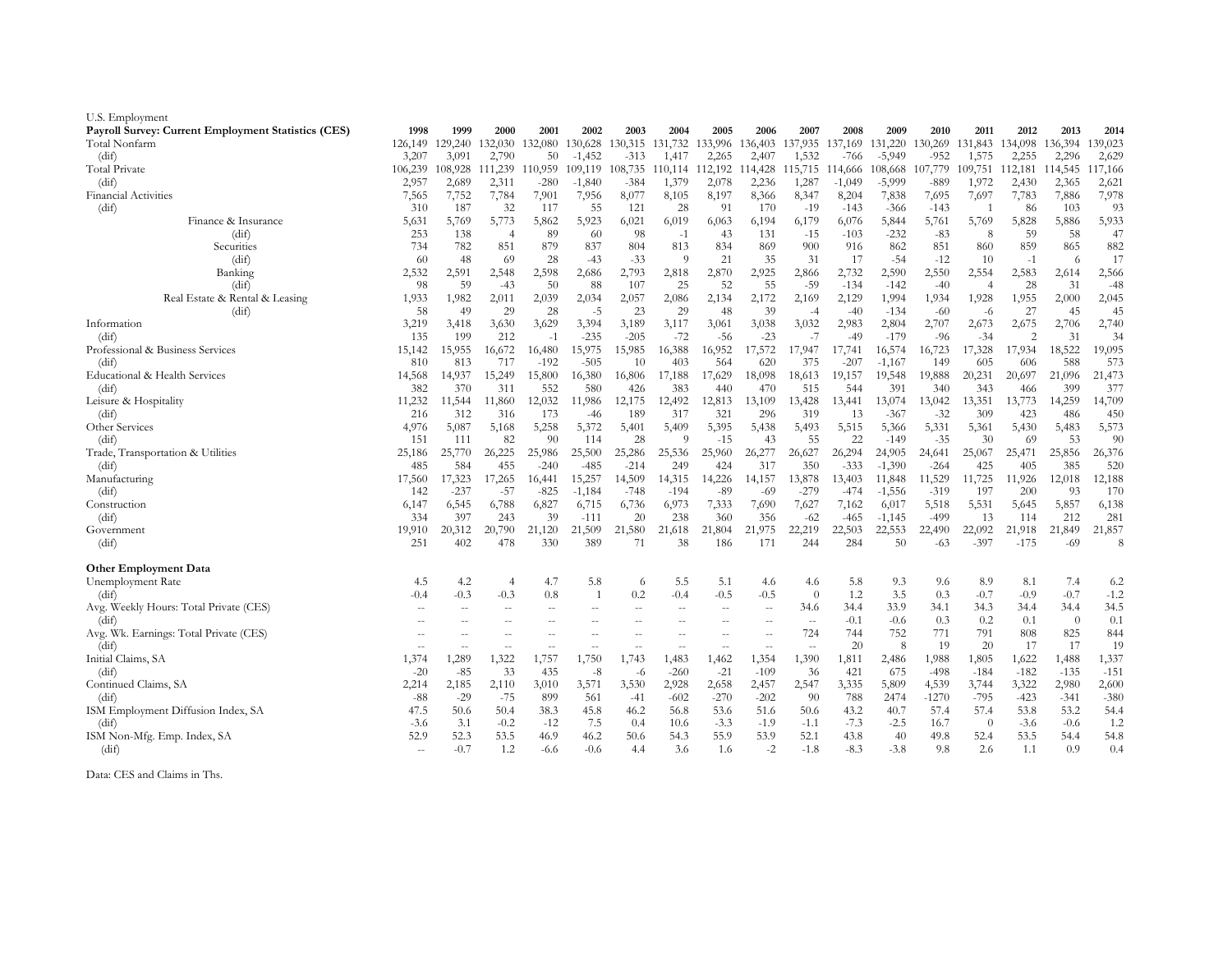| U.S. Employment                                     |               |               |                |                  |                  |                  |               |               |                 |                          |                  |                    |                  |                |                 |               |               |
|-----------------------------------------------------|---------------|---------------|----------------|------------------|------------------|------------------|---------------|---------------|-----------------|--------------------------|------------------|--------------------|------------------|----------------|-----------------|---------------|---------------|
| Payroll Survey: Current Employment Statistics (CES) | 1998          | 1999          | 2000           | 2001             | 2002             | 2003             | 2004          | 2005          | 2006            | 2007                     | 2008             | 2009               | 2010             | 2011           | 2012            | 2013          | 2014          |
| Total Nonfarm                                       | 126,149       | 129,240       | 132,030        | 132,080          | 130,628          | 130,315          | 131,732       | 133,996       | 136,403         | 137,935                  | 137,169          | 131,220            | 130,269          | 131,843        | 134,098         | 136,394       | 139,023       |
| (dif)                                               | 3,207         | 3,091         | 2,790          | 50               | $-1,452$         | $-313$           | 1,417         | 2,265         | 2,407           | 1,532                    | $-766$           | $-5.949$           | $-952$           | 1,575          | 2,255           | 2,296         | 2,629         |
| Total Private                                       | 106,239       | 108,928       | 111,239        | 110,959          | 109,119          | 108,735          | 110,114       | 112,192       | 114,428         | 115,715                  | 114,666          | 108,668            | 107,779          | 109,751        | 112,181 114,545 |               | 117,166       |
| (dif)                                               | 2,957         | 2,689         | 2,311          | $-280$           | $-1,840$         | $-384$           | 1,379         | 2,078         | 2,236           | 1,287                    | $-1,049$         | $-5,999$           | $-889$           | 1,972          | 2,430           | 2,365         | 2,621         |
| <b>Financial Activities</b>                         | 7,565         | 7,752         | 7,784          | 7,901            | 7,956            | 8,077            | 8,105         | 8,197         | 8,366           | 8,347                    | 8,204            | 7,838              | 7,695            | 7,697          | 7,783           | 7,886         | 7,978         |
| (dif)                                               | 310           | 187           | 32             | 117              | 55               | 121              | 28            | 91            | 170             | $-19$                    | $-143$           | -366               | $-143$           |                | -86             | 103           | 93            |
| Finance & Insurance                                 | 5,631         | 5,769         | 5,773          | 5,862            | 5,923            | 6,021            | 6,019         | 6,063         | 6,194           | 6,179                    | 6,076            | 5,844              | 5,761            | 5,769          | 5,828           | 5,886         | 5,933         |
| (dif)                                               | 253           | 138           | $\overline{4}$ | 89               | -60              | 98               | $-1$          | 43            | 131             | $-15$                    | $-103$           | $-232$             | $-83$            | 8              | 59              | 58            | 47            |
| Securities                                          | 734           | 782           | 851            | 879              | 837              | 804              | 813           | 834           | 869             | 900                      | 916              | 862                | 851              | 860            | 859             | 865           | 882           |
| (dif)                                               | -60           | 48            | 69             | 28               | $-43$            | $-33$            | -9            | 21            | 35              | 31                       | 17               | $-54$              | $-12$            | 10             | $-1$            | -6            | 17            |
| Banking                                             | 2,532         | 2,591         | 2,548          | 2,598            | 2,686            | 2,793            | 2,818         | 2,870         | 2,925           | 2,866                    | 2,732            | 2,590              | 2,550            | 2,554          | 2,583           | 2,614         | 2,566         |
| (dif)                                               | 98            | 59            | $-43$          | 50               | 88               | 107              | 25            | 52            | 55              | $-59$                    | $-134$           | $-142$             | $-40$            | $\overline{4}$ | 28              | 31            | $-48$         |
| Real Estate & Rental & Leasing                      | 1,933         | 1,982         | 2,011          | 2,039            | 2,034            | 2,057            | 2,086         | 2,134         | 2,172           | 2,169                    | 2,129            | 1,994              | 1,934            | 1,928          | 1,955           | 2,000         | 2,045         |
| (dif)                                               | 58            | 49            | 29             | 28               | $-5$             | 23               | 29            | 48            | 39              | $-4$                     | $-40$            | $-134$             | $-60$            | -6             | 27              | 45            | 45            |
| Information                                         | 3,219         | 3,418         | 3,630          | 3,629            | 3,394            | 3,189            | 3,117         | 3,061         | 3,038           | 3,032                    | 2,983            | 2,804              | 2,707            | 2,673          | 2,675           | 2,706         | 2,740         |
| (dif)                                               | 135           | 199           | 212            | $-1$             | $-235$           | $-205$           | $-72$         | $-56$         | $-23$           | $-7$                     | $-49$            | $-179$             | $-96$            | $-34$          | 2               | 31            | 34            |
| Professional & Business Services                    | 15,142        | 15,955        | 16,672         | 16,480           | 15,975           | 15,985           | 16,388        | 16,952        | 17,572          | 17,947                   | 17,741           | 16,574             | 16,723           | 17,328         | 17,934          | 18,522        | 19,095        |
| (dif)                                               | 810           | 813           | 717            | $-192$           | $-505$           | 10               | 403           | 564           | 620             | 375                      | $-207$           | $-1,167$           | 149              | 605            | 606             | 588           | 573           |
| Educational & Health Services                       | 14,568        | 14,937        | 15,249         | 15,800           | 16,380           | 16,806           | 17,188        | 17,629        | 18,098          | 18,613                   | 19,157           | 19,548             | 19,888           | 20,231         | 20,697          | 21,096        | 21,473        |
| (dif)                                               | 382           | 370           | 311            | 552              | 580              | 426              | 383           | 440           | 470             | 515                      | 544              | 391                | 340              | 343            | 466             | 399           | 377           |
| Leisure & Hospitality                               | 11,232        | 11,544        | 11,860         | 12,032           | 11,986           | 12,175           | 12,492        | 12,813        | 13,109          | 13,428                   | 13,441           | 13,074             | 13,042           | 13,351         | 13,773          | 14,259        | 14,709        |
| (dif)                                               | 216           | 312           | 316            | 173              | $-46$            | 189              | 317           | 321           | 296             | 319                      | 13               | $-367$             | $-32$            | 309            | 423             | 486           | 450           |
| Other Services                                      | 4,976         | 5,087         | 5,168          | 5,258            | 5,372            | 5,401            | 5,409         | 5,395         | 5,438           | 5,493                    | 5,515            | 5,366              | 5,331            | 5,361          | 5,430           | 5,483         | 5,573         |
| (dif)                                               | 151           | 111           | 82             | 90               | 114              | 28               | 9             | $-15$         | 43              | 55                       | 22               | $-149$             | $-35$            | 30             | 69              | 53            | 90            |
| Trade, Transportation & Utilities                   | 25,186<br>485 | 25,770<br>584 | 26,225<br>455  | 25,986<br>$-240$ | 25,500<br>$-485$ | 25,286<br>$-214$ | 25,536<br>249 | 25,960<br>424 | 26,277<br>317   | 26,627<br>350            | 26,294<br>$-333$ | 24,905<br>$-1,390$ | 24,641<br>$-264$ | 25,067<br>425  | 25,471<br>405   | 25,856<br>385 | 26,376<br>520 |
| (dif)                                               | 17,560        | 17,323        | 17,265         | 16,441           | 15,257           | 14,509           | 14,315        | 14,226        |                 | 13,878                   | 13,403           | 11,848             | 11,529           | 11,725         | 11,926          | 12,018        | 12,188        |
| Manufacturing                                       | 142           | $-237$        | $-57$          | $-825$           | $-1,184$         | $-748$           | $-194$        | $-89$         | 14,157<br>$-69$ | $-279$                   | -474             | $-1,556$           | $-319$           | 197            | 200             | 93            | 170           |
| (dif)<br>Construction                               | 6,147         | 6,545         | 6,788          | 6,827            | 6,715            | 6,736            | 6,973         | 7,333         | 7,690           | 7,627                    | 7,162            | 6,017              | 5,518            | 5,531          | 5,645           | 5,857         | 6,138         |
| (dif)                                               | 334           | 397           | 243            | 39               | $-111$           | 20               | 238           | 360           | 356             | $-62$                    | $-465$           | $-1,145$           | -499             | 13             | 114             | 212           | 281           |
| Government                                          | 19.910        | 20,312        | 20,790         | 21,120           | 21,509           | 21,580           | 21,618        | 21,804        | 21,975          | 22,219                   | 22,503           | 22,553             | 22,490           | 22,092         | 21,918          | 21,849        | 21,857        |
| (dif)                                               | 251           | 402           | 478            | 330              | 389              | 71               | 38            | 186           | 171             | 244                      | 284              | 50                 | $-63$            | $-397$         | $-175$          | $-69$         | 8             |
|                                                     |               |               |                |                  |                  |                  |               |               |                 |                          |                  |                    |                  |                |                 |               |               |
| <b>Other Employment Data</b>                        |               |               |                |                  |                  |                  |               |               |                 |                          |                  |                    |                  |                |                 |               |               |
| Unemployment Rate                                   | 4.5           | 4.2           | $\overline{4}$ | 4.7              | 5.8              | 6                | 5.5           | 5.1           | 4.6             | 4.6                      | 5.8              | 9.3                | 9.6              | 8.9            | 8.1             | 7.4           | 6.2           |
| (dif)                                               | $-0.4$        | $-0.3$        | $-0.3$         | 0.8              | $\overline{1}$   | 0.2              | $-0.4$        | $-0.5$        | $-0.5$          | $\theta$                 | 1.2              | 3.5                | 0.3              | $-0.7$         | $-0.9$          | $-0.7$        | $-1.2$        |
| Avg. Weekly Hours: Total Private (CES)              |               | $\sim$        | $\sim$         | $\sim$           | $\sim$ $\sim$    | $\sim$           | $\sim$        | $\sim$        | $\sim$          | 34.6                     | 34.4             | 33.9               | 34.1             | 34.3           | 34.4            | 34.4          | 34.5          |
| (dif)                                               | $\sim$        | $\sim$        | $\sim$ $\sim$  | $\sim$           | $\sim$ $\sim$    | $\sim$           | $\sim$        | $-$           | $\sim$          | $\overline{\phantom{a}}$ | $-0.1$           | $-0.6$             | 0.3              | 0.2            | 0.1             | $\theta$      | 0.1           |
| Avg. Wk. Earnings: Total Private (CES)              |               |               | $\sim$         | $\sim$           | $\sim$           | $\sim$           |               | $\sim$        | $\sim$          | 724                      | 744              | 752                | 771              | 791            | 808             | 825           | 844           |
| (dif)                                               | $\sim$ $\sim$ | $\sim$        | $\sim$         | $-$              | $\sim$ $-$       | $-$              | $\sim$ $-$    | $\sim$ $\sim$ | $\sim$ $-$      | $\sim$                   | 20               | 8                  | -19              | 20             | 17              | 17            | 19            |
| Initial Claims, SA                                  | 1,374         | 1,289         | 1,322          | 1,757            | 1,750            | 1,743            | 1,483         | 1,462         | 1,354           | 1,390                    | 1,811            | 2,486              | 1,988            | 1,805          | 1,622           | 1,488         | 1,337         |
| (dif)                                               | $-20$         | $-85$         | 33             | 435              | $-8$             | $-6$             | $-260$        | $-21$         | $-109$          | 36                       | 421              | 675                | $-498$           | $-184$         | $-182$          | $-135$        | $-151$        |
| Continued Claims, SA                                | 2,214         | 2,185         | 2,110          | 3,010            | 3,571            | 3,530            | 2,928         | 2,658         | 2,457           | 2,547                    | 3,335            | 5,809              | 4,539            | 3,744          | 3,322           | 2,980         | 2,600         |
| (dif)                                               | $-88$         | $-29$         | $-75$          | 899              | 561              | $-41$            | $-602$        | $-270$        | $-202$          | 90                       | 788              | 2474               | $-1270$          | $-795$         | $-423$          | $-341$        | $-380$        |
| ISM Employment Diffusion Index, SA                  | 47.5          | 50.6          | 50.4           | 38.3             | 45.8             | 46.2             | 56.8          | 53.6          | 51.6            | 50.6                     | 43.2             | 40.7               | 57.4             | 57.4           | 53.8            | 53.2          | 54.4          |
| (dif)                                               | $-3.6$        | 3.1           | $-0.2$         | $-12$            | 7.5              | 0.4              | 10.6          | $-3.3$        | $-1.9$          | $-1.1$                   | $-7.3$           | $-2.5$             | 16.7             | $\theta$       | $-3.6$          | $-0.6$        | 1.2           |
| ISM Non-Mfg. Emp. Index, SA                         | 52.9          | 52.3          | 53.5           | 46.9             | 46.2             | 50.6             | 54.3          | 55.9          | 53.9            | 52.1                     | 43.8             | 40                 | 49.8             | 52.4           | 53.5            | 54.4          | 54.8          |
| (dif)                                               | $\sim$ $\sim$ | $-0.7$        | 1.2            | $-6.6$           | $-0.6$           | 4.4              | 3.6           | 1.6           | $-2$            | $-1.8$                   | $-8.3$           | $-3.8$             | 9.8              | 2.6            | 1.1             | 0.9           | 0.4           |
|                                                     |               |               |                |                  |                  |                  |               |               |                 |                          |                  |                    |                  |                |                 |               |               |

Data: CES and Claims in Ths.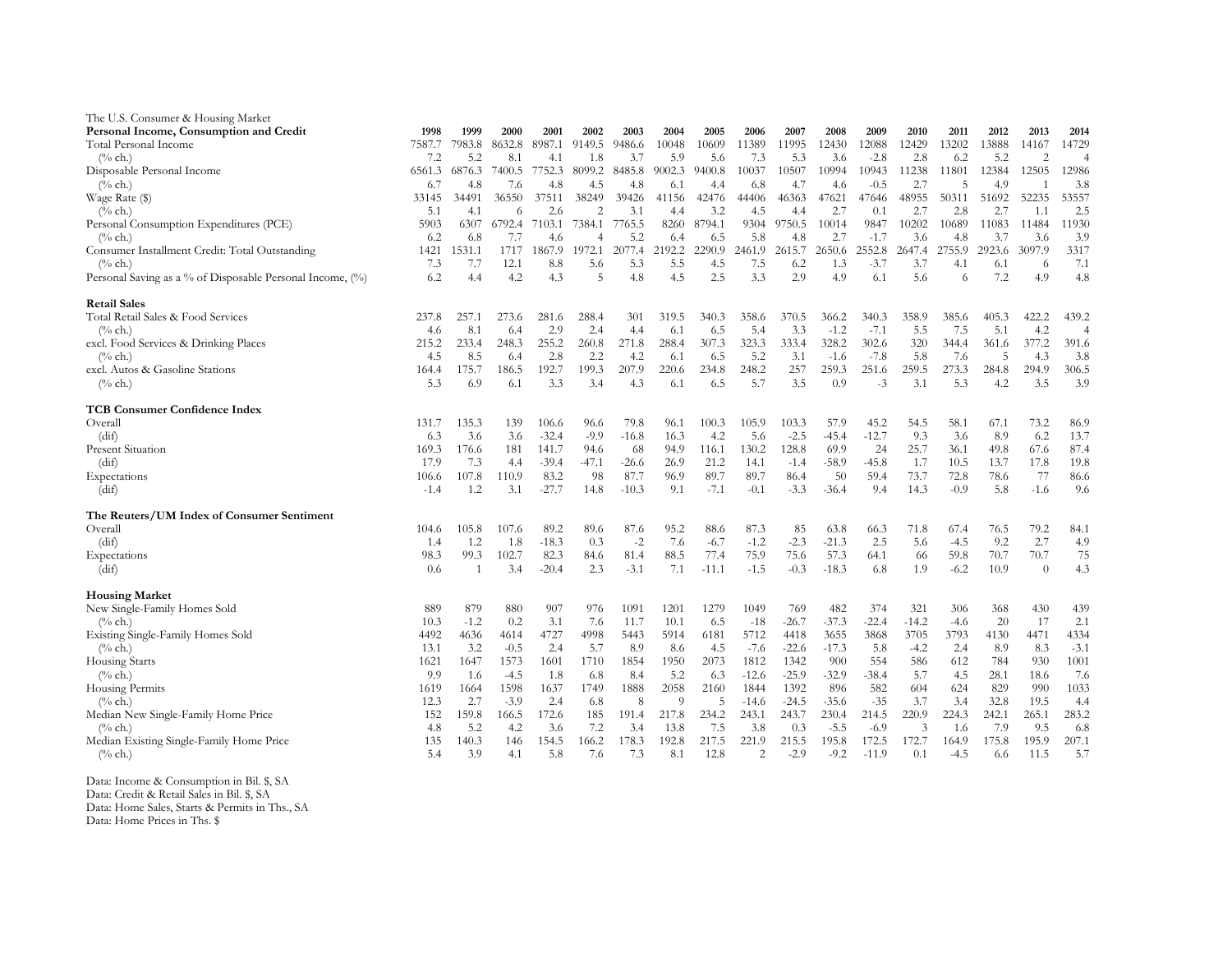| The U.S. Consumer & Housing Market                        |        |                |        |         |                |         |                |         |                |         |         |         |         |        |        |                |                |
|-----------------------------------------------------------|--------|----------------|--------|---------|----------------|---------|----------------|---------|----------------|---------|---------|---------|---------|--------|--------|----------------|----------------|
| Personal Income, Consumption and Credit                   | 1998   | 1999           | 2000   | 2001    | 2002           | 2003    | 2004           | 2005    | 2006           | 2007    | 2008    | 2009    | 2010    | 2011   | 2012   | 2013           | 2014           |
| Total Personal Income                                     | 7587.7 | 7983.8         | 8632.8 | 8987.1  | 9149.5         | 9486.6  | 10048          | 10609   | 11389          | 11995   | 12430   | 12088   | 12429   | 13202  | 13888  | 14167          | 14729          |
| $(\%$ ch.)                                                | 7.2    | 5.2            | 8.1    | 4.1     | 1.8            | 3.7     | 5.9            | 5.6     | 7.3            | 5.3     | 3.6     | $-2.8$  | 2.8     | 6.2    | 5.2    | $\overline{2}$ | $\overline{4}$ |
| Disposable Personal Income                                | 6561.3 | 6876.3         | 7400.5 | 7752.3  | 8099.2         | 8485.8  | 9002.3         | 9400.8  | 10037          | 10507   | 10994   | 10943   | 11238   | 11801  | 12384  | 12505          | 12986          |
| $(\%$ ch.)                                                | 6.7    | 4.8            | 7.6    | 4.8     | 4.5            | 4.8     | 6.1            | 4.4     | 6.8            | 4.7     | 4.6     | $-0.5$  | 2.7     | 5      | 4.9    |                | 3.8            |
| Wage Rate (\$)                                            | 33145  | 34491          | 36550  | 37511   | 38249          | 39426   | 41156          | 42476   | 44406          | 46363   | 47621   | 47646   | 48955   | 50311  | 51692  | 52235          | 53557          |
| $(\%$ ch.)                                                | 5.1    | 4.1            | 6      | 2.6     | $\overline{2}$ | 3.1     | 4.4            | 3.2     | 4.5            | 4.4     | 2.7     | 0.1     | 2.7     | 2.8    | 2.7    | 1.1            | 2.5            |
| Personal Consumption Expenditures (PCE)                   | 5903   | 6307           | 6792.4 | 7103.1  | 7384.1         | 7765.5  | 8260           | 8794.1  | 9304           | 9750.5  | 10014   | 9847    | 10202   | 10689  | 11083  | 11484          | 11930          |
| $(\%$ ch.)                                                | 6.2    | 6.8            | 7.7    | 4.6     | $\overline{4}$ | 5.2     | 6.4            | 6.5     | 5.8            | 4.8     | 2.7     | $-1.7$  | 3.6     | 4.8    | 3.7    | 3.6            | 3.9            |
| Consumer Installment Credit: Total Outstanding            | 1421   | 1531.1         | 1717   | 1867.9  | 1972.1         | 2077.4  | 2192.2         | 2290.9  | 2461.9         | 2615.7  | 2650.6  | 2552.8  | 2647.4  | 2755.9 | 2923.6 | 3097.9         | 3317           |
| $(\%$ ch.)                                                | 7.3    | 7.7            | 12.1   | 8.8     | 5.6            | 5.3     | 5.5            | 4.5     | 7.5            | 6.2     | 1.3     | $-3.7$  | 3.7     | 4.1    | 6.1    | 6              | 7.1            |
| Personal Saving as a % of Disposable Personal Income, (%) | 6.2    | 4.4            | 4.2    | 4.3     | 5              | 4.8     | 4.5            | 2.5     | 3.3            | 2.9     | 4.9     | 6.1     | 5.6     | 6      | 7.2    | 4.9            | 4.8            |
| <b>Retail Sales</b>                                       |        |                |        |         |                |         |                |         |                |         |         |         |         |        |        |                |                |
| Total Retail Sales & Food Services                        | 237.8  | 257.1          | 273.6  | 281.6   | 288.4          | 301     | 319.5          | 340.3   | 358.6          | 370.5   | 366.2   | 340.3   | 358.9   | 385.6  | 405.3  | 422.2          | 439.2          |
| $(\%$ ch.)                                                | 4.6    | 8.1            | 6.4    | 2.9     | 2.4            | 4.4     | 6.1            | 6.5     | 5.4            | 3.3     | $-1.2$  | $-7.1$  | 5.5     | 7.5    | 5.1    | 4.2            | $\overline{4}$ |
| excl. Food Services & Drinking Places                     | 215.2  | 233.4          | 248.3  | 255.2   | 260.8          | 271.8   | 288.4          | 307.3   | 323.3          | 333.4   | 328.2   | 302.6   | 320     | 344.4  | 361.6  | 377.2          | 391.6          |
| $(\%$ ch.)                                                | 4.5    | 8.5            | 6.4    | 2.8     | 2.2            | 4.2     | 6.1            | 6.5     | 5.2            | 3.1     | $-1.6$  | $-7.8$  | 5.8     | 7.6    | 5      | 4.3            | 3.8            |
| excl. Autos & Gasoline Stations                           | 164.4  | 175.7          | 186.5  | 192.7   | 199.3          | 207.9   | 220.6          | 234.8   | 248.2          | 257     | 259.3   | 251.6   | 259.5   | 273.3  | 284.8  | 294.9          | 306.5          |
| $(\%$ ch.)                                                | 5.3    | 6.9            | 6.1    | 3.3     | 3.4            | 4.3     | 6.1            | 6.5     | 5.7            | 3.5     | 0.9     | $-3$    | 3.1     | 5.3    | 4.2    | 3.5            | 3.9            |
| <b>TCB Consumer Confidence Index</b>                      |        |                |        |         |                |         |                |         |                |         |         |         |         |        |        |                |                |
| Overall                                                   | 131.7  | 135.3          | 139    | 106.6   | 96.6           | 79.8    | 96.1           | 100.3   | 105.9          | 103.3   | 57.9    | 45.2    | 54.5    | 58.1   | 67.1   | 73.2           | 86.9           |
| (dif)                                                     | 6.3    | 3.6            | 3.6    | $-32.4$ | $-9.9$         | $-16.8$ | 16.3           | 4.2     | 5.6            | $-2.5$  | $-45.4$ | $-12.7$ | 9.3     | 3.6    | 8.9    | 6.2            | 13.7           |
| <b>Present Situation</b>                                  | 169.3  | 176.6          | 181    | 141.7   | 94.6           | 68      | 94.9           | 116.1   | 130.2          | 128.8   | 69.9    | 24      | 25.7    | 36.1   | 49.8   | 67.6           | 87.4           |
| (dif)                                                     | 17.9   | 7.3            | 4.4    | $-39.4$ | $-47.1$        | $-26.6$ | 26.9           | 21.2    | 14.1           | $-1.4$  | $-58.9$ | $-45.8$ | 1.7     | 10.5   | 13.7   | 17.8           | 19.8           |
| Expectations                                              | 106.6  | 107.8          | 110.9  | 83.2    | 98             | 87.7    | 96.9           | 89.7    | 89.7           | 86.4    | 50      | 59.4    | 73.7    | 72.8   | 78.6   | 77             | 86.6           |
| (dif)                                                     | $-1.4$ | 1.2            | 3.1    | $-27.7$ | 14.8           | $-10.3$ | 9.1            | $-7.1$  | $-0.1$         | $-3.3$  | $-36.4$ | 9.4     | 14.3    | $-0.9$ | 5.8    | $-1.6$         | 9.6            |
| The Reuters/UM Index of Consumer Sentiment                |        |                |        |         |                |         |                |         |                |         |         |         |         |        |        |                |                |
| Overall                                                   | 104.6  | 105.8          | 107.6  | 89.2    | 89.6           | 87.6    | 95.2           | 88.6    | 87.3           | 85      | 63.8    | 66.3    | 71.8    | 67.4   | 76.5   | 79.2           | 84.1           |
| (dif)                                                     | 1.4    | 1.2            | 1.8    | $-18.3$ | 0.3            | $-2$    | 7.6            | $-6.7$  | $-1.2$         | $-2.3$  | $-21.3$ | 2.5     | 5.6     | $-4.5$ | 9.2    | 2.7            | 4.9            |
| Expectations                                              | 98.3   | 99.3           | 102.7  | 82.3    | 84.6           | 81.4    | 88.5           | 77.4    | 75.9           | 75.6    | 57.3    | 64.1    | -66     | 59.8   | 70.7   | 70.7           | 75             |
| (dif)                                                     | 0.6    | $\overline{1}$ | 3.4    | $-20.4$ | 2.3            | $-3.1$  | 7.1            | $-11.1$ | $-1.5$         | $-0.3$  | $-18.3$ | 6.8     | 1.9     | $-6.2$ | 10.9   | $\theta$       | 4.3            |
| <b>Housing Market</b>                                     |        |                |        |         |                |         |                |         |                |         |         |         |         |        |        |                |                |
| New Single-Family Homes Sold                              | 889    | 879            | 880    | 907     | 976            | 1091    | 1201           | 1279    | 1049           | 769     | 482     | 374     | 321     | 306    | 368    | 430            | 439            |
| $(\%$ ch.)                                                | 10.3   | $-1.2$         | 0.2    | 3.1     | 7.6            | 11.7    | 10.1           | 6.5     | $-18$          | $-26.7$ | $-37.3$ | $-22.4$ | $-14.2$ | $-4.6$ | 20     | 17             | 2.1            |
| Existing Single-Family Homes Sold                         | 4492   | 4636           | 4614   | 4727    | 4998           | 5443    | 5914           | 6181    | 5712           | 4418    | 3655    | 3868    | 3705    | 3793   | 4130   | 4471           | 4334           |
| $(%$ ch.)                                                 | 13.1   | 3.2            | $-0.5$ | 2.4     | 5.7            | 8.9     | 8.6            | 4.5     | $-7.6$         | $-22.6$ | $-17.3$ | 5.8     | $-4.2$  | 2.4    | 8.9    | 8.3            | $-3.1$         |
| <b>Housing Starts</b>                                     | 1621   | 1647           | 1573   | 1601    | 1710           | 1854    | 1950           | 2073    | 1812           | 1342    | 900     | 554     | 586     | 612    | 784    | 930            | 1001           |
| $(\%$ ch.)                                                | 9.9    | 1.6            | $-4.5$ | 1.8     | 6.8            | 8.4     | 5.2            | 6.3     | $-12.6$        | $-25.9$ | $-32.9$ | $-38.4$ | 5.7     | 4.5    | 28.1   | 18.6           | 7.6            |
| Housing Permits                                           | 1619   | 1664           | 1598   | 1637    | 1749           | 1888    | 2058           | 2160    | 1844           | 1392    | 896     | 582     | 604     | 624    | 829    | 990            | 1033           |
| $(\%$ ch.)                                                | 12.3   | 2.7            | $-3.9$ | 2.4     | 6.8            | 8       | $\overline{Q}$ | 5       | $-14.6$        | $-24.5$ | $-35.6$ | $-35$   | 3.7     | 3.4    | 32.8   | 19.5           | 4.4            |
| Median New Single-Family Home Price                       | 152    | 159.8          | 166.5  | 172.6   | 185            | 191.4   | 217.8          | 234.2   | 243.1          | 243.7   | 230.4   | 214.5   | 220.9   | 224.3  | 242.1  | 265.1          | 283.2          |
| $(\%$ ch.)                                                | 4.8    | 5.2            | 4.2    | 3.6     | 7.2            | 3.4     | 13.8           | 7.5     | 3.8            | 0.3     | $-5.5$  | $-6.9$  | 3       | 1.6    | 7.9    | 9.5            | 6.8            |
| Median Existing Single-Family Home Price                  | 135    | 140.3          | 146    | 154.5   | 166.2          | 178.3   | 192.8          | 217.5   | 221.9          | 215.5   | 195.8   | 172.5   | 172.7   | 164.9  | 175.8  | 195.9          | 207.1          |
| $(\%$ ch.)                                                | 5.4    | 3.9            | 4.1    | 5.8     | 7.6            | 7.3     | 8.1            | 12.8    | $\overline{c}$ | $-2.9$  | $-9.2$  | $-11.9$ | 0.1     | $-4.5$ | 6.6    | 11.5           | 5.7            |
|                                                           |        |                |        |         |                |         |                |         |                |         |         |         |         |        |        |                |                |

Data: Income & Consumption in Bil. \$, SA Data: Credit & Retail Sales in Bil. \$, SA Data: Home Sales, Starts & Permits in Ths., SAData: Home Prices in Ths. \$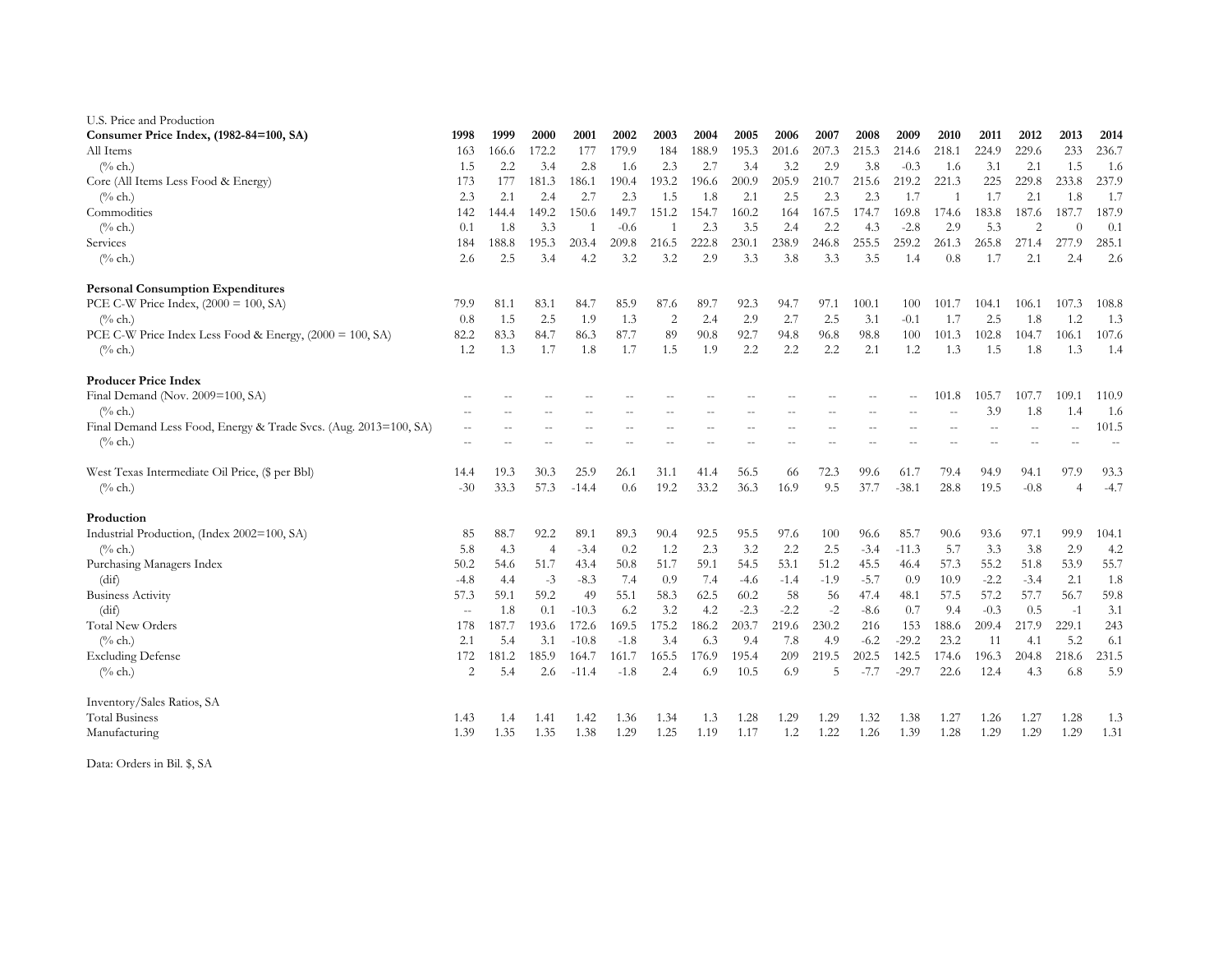| U.S. Price and Production                                        |                |       |                |              |        |                |       |        |        |        |        |                          |              |        |                          |          |         |
|------------------------------------------------------------------|----------------|-------|----------------|--------------|--------|----------------|-------|--------|--------|--------|--------|--------------------------|--------------|--------|--------------------------|----------|---------|
| Consumer Price Index, (1982-84=100, SA)                          | 1998           | 1999  | 2000           | 2001         | 2002   | 2003           | 2004  | 2005   | 2006   | 2007   | 2008   | 2009                     | 2010         | 2011   | 2012                     | 2013     | 2014    |
| All Items                                                        | 163            | 166.6 | 172.2          | 177          | 179.9  | 184            | 188.9 | 195.3  | 201.6  | 207.3  | 215.3  | 214.6                    | 218.1        | 224.9  | 229.6                    | 233      | 236.7   |
| $\frac{6}{6}$ ch.)                                               | 1.5            | 2.2   | 3.4            | 2.8          | 1.6    | 2.3            | 2.7   | 3.4    | 3.2    | 2.9    | 3.8    | $-0.3$                   | 1.6          | 3.1    | 2.1                      | 1.5      | 1.6     |
| Core (All Items Less Food & Energy)                              | 173            | 177   | 181.3          | 186.1        | 190.4  | 193.2          | 196.6 | 200.9  | 205.9  | 210.7  | 215.6  | 219.2                    | 221.3        | 225    | 229.8                    | 233.8    | 237.9   |
| $(\%$ ch.)                                                       | 2.3            | 2.1   | 2.4            | 2.7          | 2.3    | 1.5            | 1.8   | 2.1    | 2.5    | 2.3    | 2.3    | 1.7                      | $\mathbf{1}$ | 1.7    | 2.1                      | 1.8      | 1.7     |
| Commodities                                                      | 142            | 144.4 | 149.2          | 150.6        | 149.7  | 151.2          | 154.7 | 160.2  | 164    | 167.5  | 174.7  | 169.8                    | 174.6        | 183.8  | 187.6                    | 187.7    | 187.9   |
| $(\%$ ch.)                                                       | 0.1            | 1.8   | 3.3            | $\mathbf{1}$ | $-0.6$ |                | 2.3   | 3.5    | 2.4    | 2.2    | 4.3    | $-2.8$                   | 2.9          | 5.3    | 2                        | $\Omega$ | 0.1     |
| Services                                                         | 184            | 188.8 | 195.3          | 203.4        | 209.8  | 216.5          | 222.8 | 230.1  | 238.9  | 246.8  | 255.5  | 259.2                    | 261.3        | 265.8  | 271.4                    | 277.9    | 285.1   |
| $(\%$ ch.)                                                       | 2.6            | 2.5   | 3.4            | 4.2          | 3.2    | 3.2            | 2.9   | 3.3    | 3.8    | 3.3    | 3.5    | 1.4                      | 0.8          | 1.7    | 2.1                      | 2.4      | 2.6     |
| <b>Personal Consumption Expenditures</b>                         |                |       |                |              |        |                |       |        |        |        |        |                          |              |        |                          |          |         |
| PCE C-W Price Index, $(2000 = 100, SA)$                          | 79.9           | 81.1  | 83.1           | 84.7         | 85.9   | 87.6           | 89.7  | 92.3   | 94.7   | 97.1   | 100.1  | 100                      | 101.7        | 104.1  | 106.1                    | 107.3    | 108.8   |
| $\frac{6}{6}$ ch.)                                               | 0.8            | 1.5   | 2.5            | 1.9          | 1.3    | $\overline{2}$ | 2.4   | 2.9    | 2.7    | 2.5    | 3.1    | $-0.1$                   | 1.7          | 2.5    | 1.8                      | 1.2      | 1.3     |
| PCE C-W Price Index Less Food & Energy, (2000 = 100, SA)         | 82.2           | 83.3  | 84.7           | 86.3         | 87.7   | 89             | 90.8  | 92.7   | 94.8   | 96.8   | 98.8   | 100                      | 101.3        | 102.8  | 104.7                    | 106.1    | 107.6   |
| $(\%$ ch.)                                                       | 1.2            | 1.3   | 1.7            | 1.8          | 1.7    | 1.5            | 1.9   | 2.2    | 2.2    | 2.2    | 2.1    | 1.2                      | 1.3          | 1.5    | 1.8                      | 1.3      | 1.4     |
| <b>Producer Price Index</b>                                      |                |       |                |              |        |                |       |        |        |        |        |                          |              |        |                          |          |         |
| Final Demand (Nov. 2009=100, SA)                                 |                |       |                |              |        |                |       |        |        |        | $-$    | $\overline{\phantom{a}}$ | 101.8        | 105.7  | 107.7                    | 109.1    | 110.9   |
| $(\%$ ch.)                                                       |                |       |                |              |        |                |       |        |        |        |        |                          |              | 3.9    | 1.8                      | 1.4      | 1.6     |
| Final Demand Less Food, Energy & Trade Svcs. (Aug. 2013=100, SA) |                |       |                |              |        |                |       |        |        |        |        |                          |              |        | $\sim$                   | $-$      | 101.5   |
| $(\%$ ch.)                                                       |                |       |                |              |        |                |       |        |        |        |        |                          |              |        | $\overline{\phantom{a}}$ | $-$      | $-\, -$ |
| West Texas Intermediate Oil Price, (\$ per Bbl)                  | 14.4           | 19.3  | 30.3           | 25.9         | 26.1   | 31.1           | 41.4  | 56.5   | 66     | 72.3   | 99.6   | 61.7                     | 79.4         | 94.9   | 94.1                     | 97.9     | 93.3    |
| $(\%$ ch.)                                                       | $-30$          | 33.3  | 57.3           | $-14.4$      | 0.6    | 19.2           | 33.2  | 36.3   | 16.9   | 9.5    | 37.7   | $-38.1$                  | 28.8         | 19.5   | $-0.8$                   |          | $-4.7$  |
| Production                                                       |                |       |                |              |        |                |       |        |        |        |        |                          |              |        |                          |          |         |
| Industrial Production, (Index 2002=100, SA)                      | 85             | 88.7  | 92.2           | 89.1         | 89.3   | 90.4           | 92.5  | 95.5   | 97.6   | 100    | 96.6   | 85.7                     | 90.6         | 93.6   | 97.1                     | 99.9     | 104.1   |
| $(\%$ ch.)                                                       | 5.8            | 4.3   | $\overline{4}$ | $-3.4$       | 0.2    | 1.2            | 2.3   | 3.2    | 2.2    | 2.5    | $-3.4$ | $-11.3$                  | 5.7          | 3.3    | 3.8                      | 2.9      | 4.2     |
| Purchasing Managers Index                                        | 50.2           | 54.6  | 51.7           | 43.4         | 50.8   | 51.7           | 59.1  | 54.5   | 53.1   | 51.2   | 45.5   | 46.4                     | 57.3         | 55.2   | 51.8                     | 53.9     | 55.7    |
| (dif)                                                            | $-4.8$         | 4.4   | $-3$           | $-8.3$       | 7.4    | 0.9            | 7.4   | $-4.6$ | $-1.4$ | $-1.9$ | $-5.7$ | 0.9                      | 10.9         | $-2.2$ | $-3.4$                   | 2.1      | 1.8     |
| <b>Business Activity</b>                                         | 57.3           | 59.1  | 59.2           | 49           | 55.1   | 58.3           | 62.5  | 60.2   | 58     | 56     | 47.4   | 48.1                     | 57.5         | 57.2   | 57.7                     | 56.7     | 59.8    |
| (dif)                                                            | $\sim$ $\sim$  | 1.8   | 0.1            | $-10.3$      | 6.2    | 3.2            | 4.2   | $-2.3$ | $-2.2$ | $-2$   | $-8.6$ | 0.7                      | 9.4          | $-0.3$ | 0.5                      | $-1$     | 3.1     |
| <b>Total New Orders</b>                                          | 178            | 187.7 | 193.6          | 172.6        | 169.5  | 175.2          | 186.2 | 203.7  | 219.6  | 230.2  | 216    | 153                      | 188.6        | 209.4  | 217.9                    | 229.1    | 243     |
| $(\%$ ch.)                                                       | 2.1            | 5.4   | 3.1            | $-10.8$      | $-1.8$ | 3.4            | 6.3   | 9.4    | 7.8    | 4.9    | $-6.2$ | $-29.2$                  | 23.2         | 11     | 4.1                      | 5.2      | 6.1     |
| <b>Excluding Defense</b>                                         | 172            | 181.2 | 185.9          | 164.7        | 161.7  | 165.5          | 176.9 | 195.4  | 209    | 219.5  | 202.5  | 142.5                    | 174.6        | 196.3  | 204.8                    | 218.6    | 231.5   |
| $(^{0}/_{0}$ ch.)                                                | $\overline{2}$ | 5.4   | 2.6            | $-11.4$      | $-1.8$ | 2.4            | 6.9   | 10.5   | 6.9    | 5      | $-7.7$ | $-29.7$                  | 22.6         | 12.4   | 4.3                      | 6.8      | 5.9     |
| Inventory/Sales Ratios, SA                                       |                |       |                |              |        |                |       |        |        |        |        |                          |              |        |                          |          |         |
| <b>Total Business</b>                                            | 1.43           | 1.4   | 1.41           | 1.42         | 1.36   | 1.34           | 1.3   | 1.28   | 1.29   | 1.29   | 1.32   | 1.38                     | 1.27         | 1.26   | 1.27                     | 1.28     | 1.3     |
| Manufacturing                                                    | 1.39           | 1.35  | 1.35           | 1.38         | 1.29   | 1.25           | 1.19  | 1.17   | 1.2    | 1.22   | 1.26   | 1.39                     | 1.28         | 1.29   | 1.29                     | 1.29     | 1.31    |

Data: Orders in Bil. \$, SA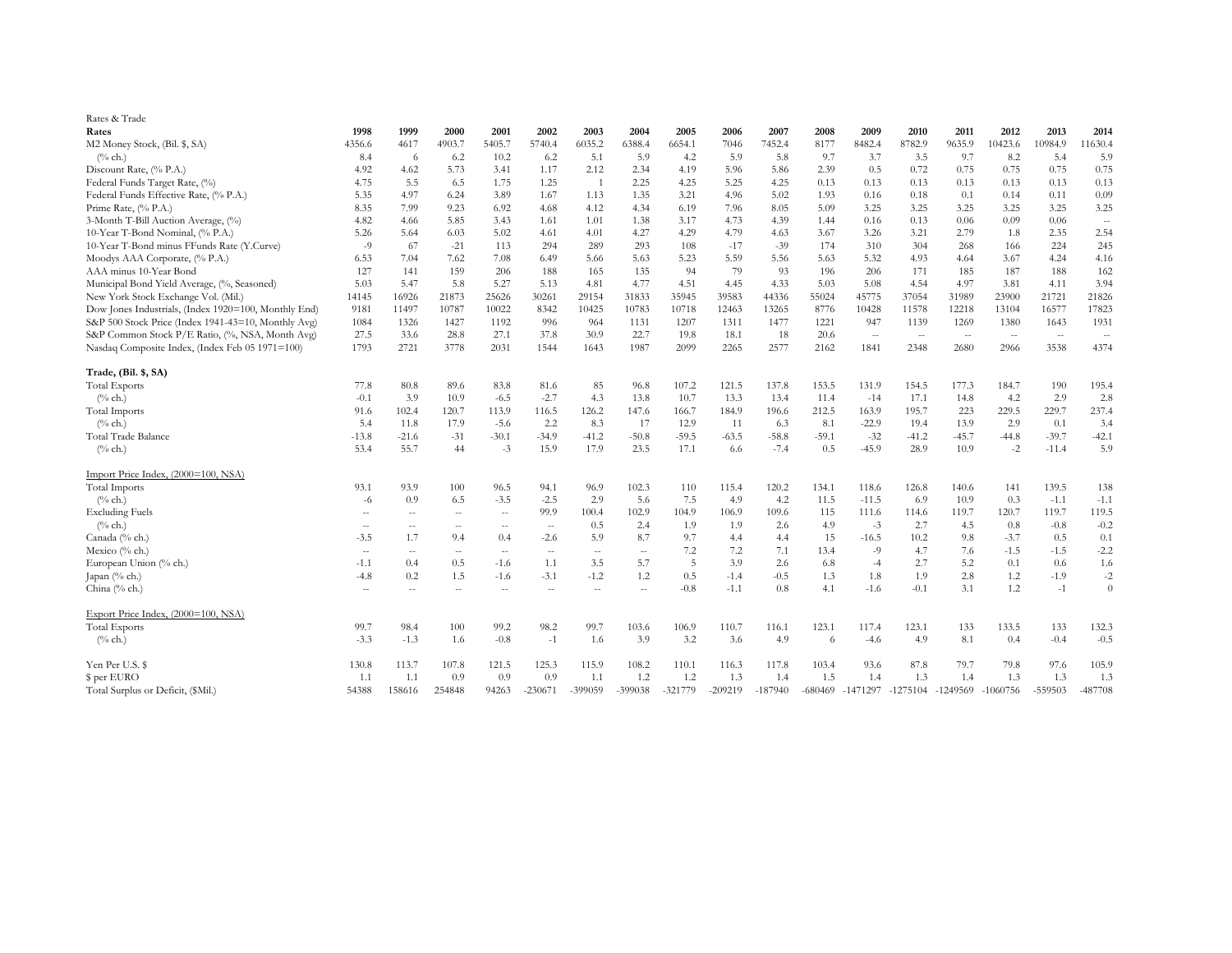| Rates & Trade                                        |         |               |        |               |           |         |                |           |           |           |         |            |            |          |            |           |           |
|------------------------------------------------------|---------|---------------|--------|---------------|-----------|---------|----------------|-----------|-----------|-----------|---------|------------|------------|----------|------------|-----------|-----------|
| Rates                                                | 1998    | 1999          | 2000   | 2001          | 2002      | 2003    | 2004           | 2005      | 2006      | 2007      | 2008    | 2009       | 2010       | 2011     | 2012       | 2013      | 2014      |
| M2 Money Stock, (Bil. \$, SA)                        | 4356.6  | 4617          | 4903.7 | 5405.7        | 5740.4    | 6035.2  | 6388.4         | 6654.1    | 7046      | 7452.4    | 8177    | 8482.4     | 8782.9     | 9635.9   | 10423.6    | 10984.9   | 11630.4   |
| $(\%$ ch.)                                           | 8.4     | 6             | 6.2    | 10.2          | 6.2       | 5.1     | 5.9            | 4.2       | 5.9       | 5.8       | 9.7     | 3.7        | 3.5        | 9.7      | 8.2        | 5.4       | 5.9       |
| Discount Rate, (% P.A.)                              | 4.92    | 4.62          | 5.73   | 3.41          | 1.17      | 2.12    | 2.34           | 4.19      | 5.96      | 5.86      | 2.39    | 0.5        | 0.72       | 0.75     | 0.75       | 0.75      | 0.75      |
| Federal Funds Target Rate, (%)                       | 4.75    | 5.5           | 6.5    | 1.75          | 1.25      | -1      | 2.25           | 4.25      | 5.25      | 4.25      | 0.13    | 0.13       | 0.13       | 0.13     | 0.13       | 0.13      | 0.13      |
| Federal Funds Effective Rate, (% P.A.)               | 5.35    | 4.97          | 6.24   | 3.89          | 1.67      | 1.13    | 1.35           | 3.21      | 4.96      | 5.02      | 1.93    | 0.16       | 0.18       | 0.1      | 0.14       | 0.11      | 0.09      |
| Prime Rate, (% P.A.)                                 | 8.35    | 7.99          | 9.23   | 6.92          | 4.68      | 4.12    | 4.34           | 6.19      | 7.96      | 8.05      | 5.09    | 3.25       | 3.25       | 3.25     | 3.25       | 3.25      | 3.25      |
| 3-Month T-Bill Auction Average, (%)                  | 4.82    | 4.66          | 5.85   | 3.43          | 1.61      | 1.01    | 1.38           | 3.17      | 4.73      | 4.39      | 1.44    | 0.16       | 0.13       | 0.06     | 0.09       | 0.06      | $\sim$    |
| 10-Year T-Bond Nominal, (% P.A.)                     | 5.26    | 5.64          | 6.03   | 5.02          | 4.61      | 4.01    | 4.27           | 4.29      | 4.79      | 4.63      | 3.67    | 3.26       | 3.21       | 2.79     | 1.8        | 2.35      | 2.54      |
| 10-Year T-Bond minus FFunds Rate (Y.Curve)           | $-9$    | 67            | $-21$  | 113           | 294       | 289     | 293            | 108       | $-17$     | $-39$     | 174     | 310        | 304        | 268      | 166        | 224       | 245       |
| Moodys AAA Corporate, (% P.A.)                       | 6.53    | 7.04          | 7.62   | 7.08          | 6.49      | 5.66    | 5.63           | 5.23      | 5.59      | 5.56      | 5.63    | 5.32       | 4.93       | 4.64     | 3.67       | 4.24      | 4.16      |
| AAA minus 10-Year Bond                               | 127     | 141           | 159    | 206           | 188       | 165     | 135            | 94        | 79        | 93        | 196     | 206        | 171        | 185      | 187        | 188       | 162       |
| Municipal Bond Yield Average, (%, Seasoned)          | 5.03    | 5.47          | 5.8    | 5.27          | 5.13      | 4.81    | 4.77           | 4.51      | 4.45      | 4.33      | 5.03    | 5.08       | 4.54       | 4.97     | 3.81       | 4.11      | 3.94      |
| New York Stock Exchange Vol. (Mil.)                  | 14145   | 16926         | 21873  | 25626         | 30261     | 29154   | 31833          | 35945     | 39583     | 44336     | 55024   | 45775      | 37054      | 31989    | 23900      | 21721     | 21826     |
| Dow Jones Industrials, (Index 1920=100, Monthly End) | 9181    | 11497         | 10787  | 10022         | 8342      | 10425   | 10783          | 10718     | 12463     | 13265     | 8776    | 10428      | 11578      | 12218    | 13104      | 16577     | 17823     |
| S&P 500 Stock Price (Index 1941-43=10, Monthly Avg)  | 1084    | 1326          | 1427   | 1192          | 996       | 964     | 1131           | 1207      | 1311      | 1477      | 1221    | 947        | 1139       | 1269     | 1380       | 1643      | 1931      |
| S&P Common Stock P/E Ratio, (%, NSA, Month Avg)      | 27.5    | 33.6          | 28.8   | 27.1          | 37.8      | 30.9    | 22.7           | 19.8      | 18.1      | 18        | 20.6    | $\sim$     | $\sim$     | $\sim$   | $\sim$     | $\sim$    | $\sim$    |
| Nasdaq Composite Index, (Index Feb 05 1971=100)      | 1793    | 2721          | 3778   | 2031          | 1544      | 1643    | 1987           | 2099      | 2265      | 2577      | 2162    | 1841       | 2348       | 2680     | 2966       | 3538      | 4374      |
| Trade, (Bil. \$, SA)                                 |         |               |        |               |           |         |                |           |           |           |         |            |            |          |            |           |           |
| <b>Total Exports</b>                                 | 77.8    | 80.8          | 89.6   | 83.8          | 81.6      | 85      | 96.8           | 107.2     | 121.5     | 137.8     | 153.5   | 131.9      | 154.5      | 177.3    | 184.7      | 190       | 195.4     |
| $(\%$ ch.)                                           | $-0.1$  | 3.9           | 10.9   | $-6.5$        | $-2.7$    | 4.3     | 13.8           | 10.7      | 13.3      | 13.4      | 11.4    | $-14$      | 17.1       | 14.8     | 4.2        | 2.9       | 2.8       |
| <b>Total Imports</b>                                 | 91.6    | 102.4         | 120.7  | 113.9         | 116.5     | 126.2   | 147.6          | 166.7     | 184.9     | 196.6     | 212.5   | 163.9      | 195.7      | 223      | 229.5      | 229.7     | 237.4     |
| $(\%$ ch.)                                           | 5.4     | 11.8          | 17.9   | $-5.6$        | 2.2       | 8.3     | 17             | 12.9      | 11        | 6.3       | 8.1     | $-22.9$    | 19.4       | 13.9     | 2.9        | 0.1       | 3.4       |
| Total Trade Balance                                  | $-13.8$ | $-21.6$       | $-31$  | $-30.1$       | $-34.9$   | $-41.2$ | $-50.8$        | $-59.5$   | $-63.5$   | $-58.8$   | $-59.1$ | $-32$      | $-41.2$    | $-45.7$  | $-44.8$    | $-39.7$   | $-42.1$   |
| $(\%$ ch.)                                           | 53.4    | 55.7          | 44     | $-3$          | 15.9      | 17.9    | 23.5           | 17.1      | 6.6       | $-7.4$    | 0.5     | $-45.9$    | 28.9       | 10.9     | $-2$       | $-11.4$   | 5.9       |
| Import Price Index, (2000=100, NSA)                  |         |               |        |               |           |         |                |           |           |           |         |            |            |          |            |           |           |
| <b>Total Imports</b>                                 | 93.1    | 93.9          | 100    | 96.5          | 94.1      | 96.9    | 102.3          | 110       | 115.4     | 120.2     | 134.1   | 118.6      | 126.8      | 140.6    | 141        | 139.5     | 138       |
| $(\%$ ch.)                                           | $-6$    | 0.9           | 6.5    | $-3.5$        | $-2.5$    | 2.9     | 5.6            | 7.5       | 4.9       | 4.2       | 11.5    | $-11.5$    | 6.9        | 10.9     | 0.3        | $-1.1$    | $-1.1$    |
| <b>Excluding Fuels</b>                               | $\sim$  | $-$           | $\sim$ | $\sim$        | 99.9      | 100.4   | 102.9          | 104.9     | 106.9     | 109.6     | 115     | 111.6      | 114.6      | 119.7    | 120.7      | 119.7     | 119.5     |
| $(\%$ ch.)                                           | $\sim$  | $\sim$ $\sim$ | $\sim$ | $\sim$        | $\sim$    | 0.5     | 2.4            | 1.9       | 1.9       | 2.6       | 4.9     | $-3$       | 2.7        | 4.5      | 0.8        | $-0.8$    | $-0.2$    |
| Canada (% ch.)                                       | $-3.5$  | 1.7           | 9.4    | 0.4           | $-2.6$    | 5.9     | 8.7            | 9.7       | 4.4       | 4.4       | 15      | $-16.5$    | 10.2       | 9.8      | $-3.7$     | 0.5       | 0.1       |
| Mexico (% ch.)                                       | $\sim$  | $\sim$        | $\sim$ | $\sim$ $\sim$ | $\sim$    | $\sim$  | $\sim$ $-$     | 7.2       | 7.2       | 7.1       | 13.4    | $-9$       | 4.7        | 7.6      | $-1.5$     | $-1.5$    | $-2.2$    |
| European Union (% ch.)                               | $-1.1$  | 0.4           | 0.5    | $-1.6$        | 1.1       | 3.5     | 5.7            | 5         | 3.9       | 2.6       | 6.8     | $-4$       | 2.7        | 5.2      | 0.1        | 0.6       | 1.6       |
| Japan (% ch.)                                        | $-4.8$  | 0.2           | 1.5    | $-1.6$        | $-3.1$    | $-1.2$  | 1.2            | 0.5       | $-1.4$    | $-0.5$    | 1.3     | 1.8        | 1.9        | 2.8      | 1.2        | $-1.9$    | $-2$      |
| China (% ch.)                                        | $\sim$  | --            | $\sim$ | $\rightarrow$ | $\sim$    | $\sim$  | $\overline{a}$ | $-0.8$    | $-1.1$    | 0.8       | 4.1     | $-1.6$     | $-0.1$     | 3.1      | 1.2        | $-1$      | $\theta$  |
| Export Price Index, (2000=100, NSA)                  |         |               |        |               |           |         |                |           |           |           |         |            |            |          |            |           |           |
| <b>Total Exports</b>                                 | 99.7    | 98.4          | 100    | 99.2          | 98.2      | 99.7    | 103.6          | 106.9     | 110.7     | 116.1     | 123.1   | 117.4      | 123.1      | 133      | 133.5      | 133       | 132.3     |
| $(\%$ ch.)                                           | $-3.3$  | $-1.3$        | 1.6    | $-0.8$        | $-1$      | 1.6     | 3.9            | 3.2       | 3.6       | 4.9       | 6       | $-4.6$     | 4.9        | 8.1      | 0.4        | $-0.4$    | $-0.5$    |
| Yen Per U.S. \$                                      | 130.8   | 113.7         | 107.8  | 121.5         | 125.3     | 115.9   | 108.2          | 110.1     | 116.3     | 117.8     | 103.4   | 93.6       | 87.8       | 79.7     | 79.8       | 97.6      | 105.9     |
| \$ per EURO                                          | 1.1     | 1.1           | 0.9    | 0.9           | 0.9       | 1.1     | 1.2            | 1.2       | 1.3       | 1.4       | 1.5     | 1.4        | 1.3        | 1.4      | 1.3        | 1.3       | 1.3       |
| Total Surplus or Deficit, (\$Mil.)                   | 54388   | 158616        | 254848 | 94263         | $-230671$ | -399059 | $-399038$      | $-321779$ | $-209219$ | $-187940$ | -680469 | $-1471297$ | $-1275104$ | -1249569 | $-1060756$ | $-559503$ | $-487708$ |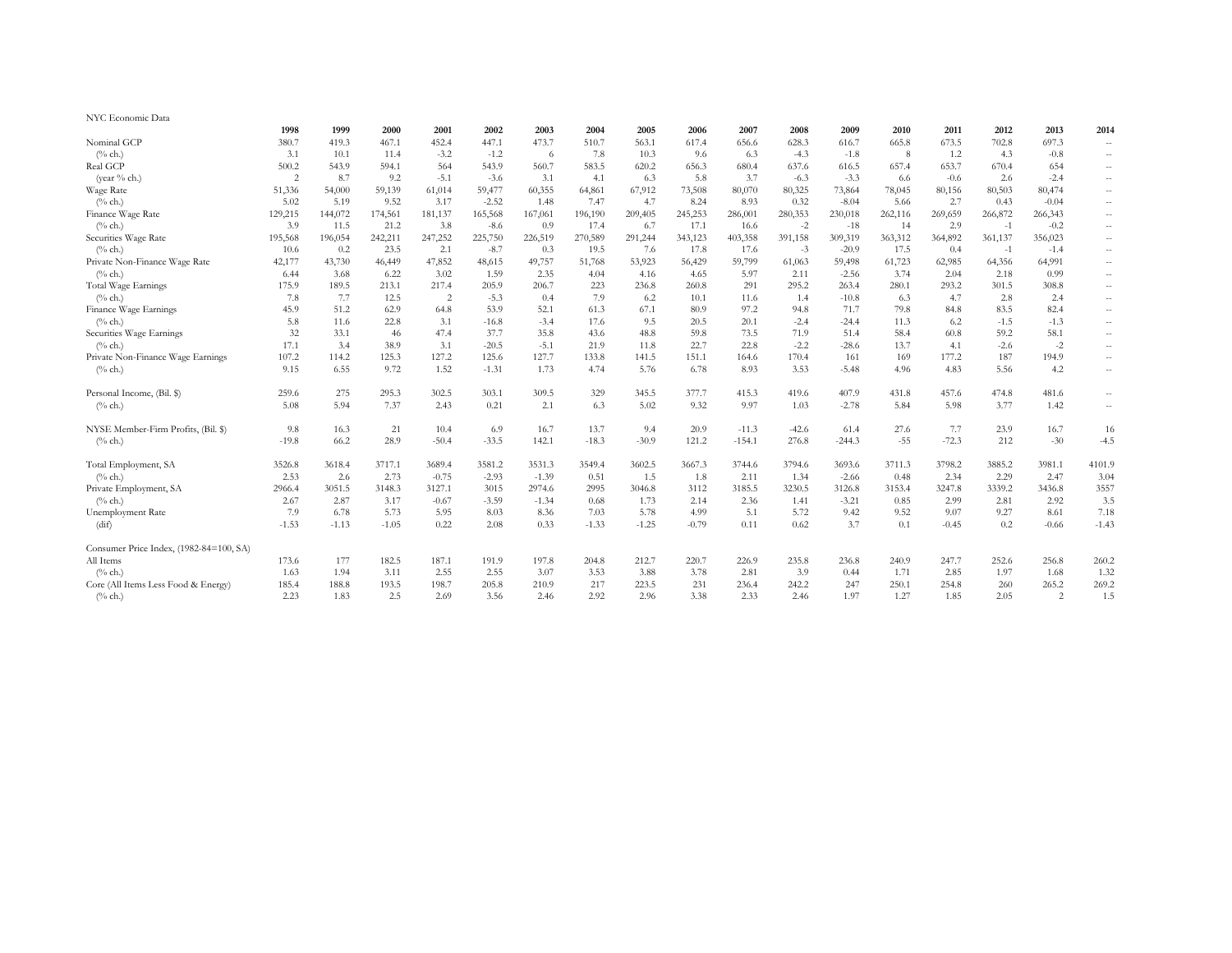| NYC Economic Data                       |                |         |         |                |         |         |         |         |         |          |         |          |         |         |         |                |                          |
|-----------------------------------------|----------------|---------|---------|----------------|---------|---------|---------|---------|---------|----------|---------|----------|---------|---------|---------|----------------|--------------------------|
|                                         | 1998           | 1999    | 2000    | 2001           | 2002    | 2003    | 2004    | 2005    | 2006    | 2007     | 2008    | 2009     | 2010    | 2011    | 2012    | 2013           | 2014                     |
| Nominal GCP                             | 380.7          | 419.3   | 467.1   | 452.4          | 447.1   | 473.7   | 510.7   | 563.1   | 617.4   | 656.6    | 628.3   | 616.7    | 665.8   | 673.5   | 702.8   | 697.3          | $\sim$                   |
| $(\%$ ch.)                              | 3.1            | 10.1    | 11.4    | $-3.2$         | $-1.2$  | - 6     | 7.8     | 10.3    | 9.6     | 6.3      | $-4.3$  | $-1.8$   | 8       | 1.2     | 4.3     | $-0.8$         | $\overline{\phantom{a}}$ |
| Real GCP                                | 500.2          | 543.9   | 594.1   | 564            | 543.9   | 560.7   | 583.5   | 620.2   | 656.3   | 680.4    | 637.6   | 616.5    | 657.4   | 653.7   | 670.4   | 654            | $\sim$ $\sim$            |
| (year % ch.)                            | $\overline{c}$ | 8.7     | 9.2     | $-5.1$         | $-3.6$  | 3.1     | 4.1     | 6.3     | 5.8     | 3.7      | $-6.3$  | $-3.3$   | 6.6     | $-0.6$  | 2.6     | $-2.4$         | $\overline{\phantom{a}}$ |
| Wage Rate                               | 51,336         | 54,000  | 59,139  | 61,014         | 59,477  | 60,355  | 64,861  | 67,912  | 73,508  | 80,070   | 80,325  | 73,864   | 78,045  | 80,156  | 80,503  | 80,474         | $\sim$                   |
| $(\%$ ch.)                              | 5.02           | 5.19    | 9.52    | 3.17           | $-2.52$ | 1.48    | 7.47    | 4.7     | 8.24    | 8.93     | 0.32    | $-8.04$  | 5.66    | 2.7     | 0.43    | $-0.04$        | $\overline{\phantom{a}}$ |
| Finance Wage Rate                       | 129,215        | 144,072 | 174,561 | 181,137        | 165,568 | 167,061 | 196,190 | 209,405 | 245,253 | 286,001  | 280,353 | 230,018  | 262,116 | 269,659 | 266,872 | 266,343        | $\sim$                   |
| $(\%$ ch.)                              | 3.9            | 11.5    | 21.2    | 3.8            | $-8.6$  | 0.9     | 17.4    | 6.7     | 17.1    | 16.6     | $-2$    | $-18$    | 14      | 2.9     | $-1$    | $-0.2$         | $\overline{\phantom{a}}$ |
| Securities Wage Rate                    | 195,568        | 196,054 | 242,211 | 247,252        | 225,750 | 226,519 | 270,589 | 291,244 | 343,123 | 403,358  | 391,158 | 309,319  | 363,312 | 364,892 | 361,137 | 356,023        | $\sim$ $\sim$            |
| $(\%$ ch.)                              | 10.6           | 0.2     | 23.5    | 2.1            | $-8.7$  | 0.3     | 19.5    | 7.6     | 17.8    | 17.6     | $-3$    | $-20.9$  | 17.5    | 0.4     | $-1$    | $-1.4$         | $\overline{\phantom{a}}$ |
| Private Non-Finance Wage Rate           | 42,177         | 43,730  | 46,449  | 47,852         | 48,615  | 49,757  | 51,768  | 53,923  | 56,429  | 59,799   | 61,063  | 59,498   | 61,723  | 62,985  | 64,356  | 64,991         | $\sim$                   |
| $(\%$ ch.)                              | 6.44           | 3.68    | 6.22    | 3.02           | 1.59    | 2.35    | 4.04    | 4.16    | 4.65    | 5.97     | 2.11    | $-2.56$  | 3.74    | 2.04    | 2.18    | 0.99           | $\overline{\phantom{a}}$ |
| <b>Total Wage Earnings</b>              | 175.9          | 189.5   | 213.1   | 217.4          | 205.9   | 206.7   | 223     | 236.8   | 260.8   | 291      | 295.2   | 263.4    | 280.1   | 293.2   | 301.5   | 308.8          | $\overline{\phantom{a}}$ |
| $(\%$ ch.                               | 7.8            | 7.7     | 12.5    | $\overline{c}$ | $-5.3$  | 0.4     | 7.9     | 6.2     | 10.1    | 11.6     | 1.4     | $-10.8$  | 6.3     | 4.7     | 2.8     | 2.4            | $\sim$ $\sim$            |
| Finance Wage Earnings                   | 45.9           | 51.2    | 62.9    | 64.8           | 53.9    | 52.1    | 61.3    | 67.1    | 80.9    | 97.2     | 94.8    | 71.7     | 79.8    | 84.8    | 83.5    | 82.4           | $\overline{\phantom{a}}$ |
| $(\%$ ch.)                              | 5.8            | 11.6    | 22.8    | 3.1            | $-16.8$ | $-3.4$  | 17.6    | 9.5     | 20.5    | 20.1     | $-2.4$  | $-24.4$  | 11.3    | 6.2     | $-1.5$  | $-1.3$         | $\sim$ $\sim$            |
| Securities Wage Earnings                | 32             | 33.1    | 46      | 47.4           | 37.7    | 35.8    | 43.6    | 48.8    | 59.8    | 73.5     | 71.9    | 51.4     | 58.4    | 60.8    | 59.2    | 58.1           | $\sim$ $\sim$            |
| $(\%$ ch.)                              | 17.1           | 3.4     | 38.9    | 3.1            | $-20.5$ | $-5.1$  | 21.9    | 11.8    | 22.7    | 22.8     | $-2.2$  | $-28.6$  | 13.7    | 4.1     | $-2.6$  | $-2$           | $\overline{\phantom{a}}$ |
| Private Non-Finance Wage Earnings       | 107.2          | 114.2   | 125.3   | 127.2          | 125.6   | 127.7   | 133.8   | 141.5   | 151.1   | 164.6    | 170.4   | 161      | 169     | 177.2   | 187     | 194.9          | $\sim$ $-$               |
| $(\%$ ch.)                              | 9.15           | 6.55    | 9.72    | 1.52           | $-1.31$ | 1.73    | 4.74    | 5.76    | 6.78    | 8.93     | 3.53    | $-5.48$  | 4.96    | 4.83    | 5.56    | 4.2            | $\overline{\phantom{a}}$ |
| Personal Income, (Bil. \$)              | 259.6          | 275     | 295.3   | 302.5          | 303.1   | 309.5   | 329     | 345.5   | 377.7   | 415.3    | 419.6   | 407.9    | 431.8   | 457.6   | 474.8   | 481.6          | $\overline{\phantom{a}}$ |
| $(\%$ ch.)                              | 5.08           | 5.94    | 7.37    | 2.43           | 0.21    | 2.1     | 6.3     | 5.02    | 9.32    | 9.97     | 1.03    | $-2.78$  | 5.84    | 5.98    | 3.77    | 1.42           | $\overline{\phantom{a}}$ |
| NYSE Member-Firm Profits, (Bil. \$)     | 9.8            | 16.3    | 21      | 10.4           | 6.9     | 16.7    | 13.7    | 9.4     | 20.9    | $-11.3$  | $-42.6$ | 61.4     | 27.6    | 7.7     | 23.9    | 16.7           | 16                       |
| $(\%$ ch.)                              | $-19.8$        | 66.2    | 28.9    | $-50.4$        | $-33.5$ | 142.1   | $-18.3$ | $-30.9$ | 121.2   | $-154.1$ | 276.8   | $-244.3$ | $-55$   | $-72.3$ | 212     | $-30$          | $-4.5$                   |
| Total Employment, SA                    | 3526.8         | 3618.4  | 3717.1  | 3689.4         | 3581.2  | 3531.3  | 3549.4  | 3602.5  | 3667.3  | 3744.6   | 3794.6  | 3693.6   | 3711.3  | 3798.2  | 3885.2  | 3981.1         | 4101.9                   |
| $(\%$ ch.)                              | 2.53           | 2.6     | 2.73    | $-0.75$        | $-2.93$ | $-1.39$ | 0.51    | 1.5     | 1.8     | 2.11     | 1.34    | $-2.66$  | 0.48    | 2.34    | 2.29    | 2.47           | 3.04                     |
| Private Employment, SA                  | 2966.4         | 3051.5  | 3148.3  | 3127.1         | 3015    | 2974.6  | 2995    | 3046.8  | 3112    | 3185.5   | 3230.5  | 3126.8   | 3153.4  | 3247.8  | 3339.2  | 3436.8         | 3557                     |
| $(\%$ ch.)                              | 2.67           | 2.87    | 3.17    | $-0.67$        | $-3.59$ | $-1.34$ | 0.68    | 1.73    | 2.14    | 2.36     | 1.41    | $-3.21$  | 0.85    | 2.99    | 2.81    | 2.92           | 3.5                      |
| Unemployment Rate                       | 7.9            | 6.78    | 5.73    | 5.95           | 8.03    | 8.36    | 7.03    | 5.78    | 4.99    | 5.1      | 5.72    | 9.42     | 9.52    | 9.07    | 9.27    | 8.61           | 7.18                     |
| (dif)                                   | $-1.53$        | $-1.13$ | $-1.05$ | 0.22           | 2.08    | 0.33    | $-1.33$ | $-1.25$ | $-0.79$ | 0.11     | 0.62    | 3.7      | 0.1     | $-0.45$ | 0.2     | $-0.66$        | $-1.43$                  |
| Consumer Price Index, (1982-84=100, SA) |                |         |         |                |         |         |         |         |         |          |         |          |         |         |         |                |                          |
| All Items                               | 173.6          | 177     | 182.5   | 187.1          | 191.9   | 197.8   | 204.8   | 212.7   | 220.7   | 226.9    | 235.8   | 236.8    | 240.9   | 247.7   | 252.6   | 256.8          | 260.2                    |
| $(\%$ ch.)                              | 1.63           | 1.94    | 3.11    | 2.55           | 2.55    | 3.07    | 3.53    | 3.88    | 3.78    | 2.81     | 3.9     | 0.44     | 1.71    | 2.85    | 1.97    | 1.68           | 1.32                     |
| Core (All Items Less Food & Energy)     | 185.4          | 188.8   | 193.5   | 198.7          | 205.8   | 210.9   | 217     | 223.5   | 231     | 236.4    | 242.2   | 247      | 250.1   | 254.8   | 260     | 265.2          | 269.2                    |
| $(\%$ ch.)                              | 2.23           | 1.83    | 2.5     | 2.69           | 3.56    | 2.46    | 2.92    | 2.96    | 3.38    | 2.33     | 2.46    | 1.97     | 1.27    | 1.85    | 2.05    | $\overline{c}$ | 1.5                      |